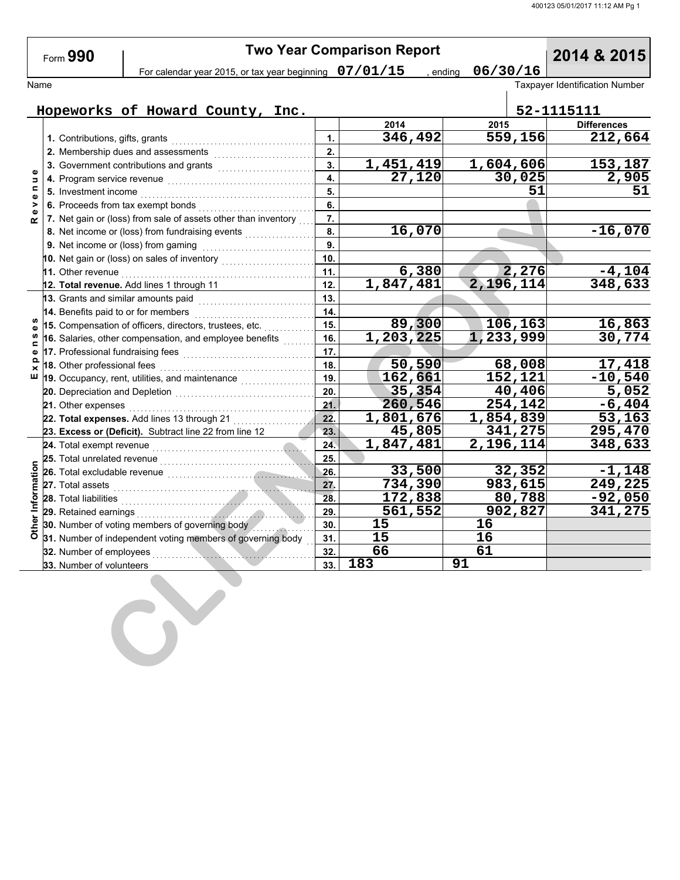|                   |      | Form 990                        |                                                                                                                                                                                                                                     |     | <b>Two Year Comparison Report</b> |                      | 2014 & 2015                           |
|-------------------|------|---------------------------------|-------------------------------------------------------------------------------------------------------------------------------------------------------------------------------------------------------------------------------------|-----|-----------------------------------|----------------------|---------------------------------------|
|                   |      |                                 | For calendar year 2015, or tax year beginning $07/01/15$                                                                                                                                                                            |     |                                   | 06/30/16<br>, ending |                                       |
|                   | Name |                                 |                                                                                                                                                                                                                                     |     |                                   |                      | <b>Taxpayer Identification Number</b> |
|                   |      |                                 | Hopeworks of Howard County, Inc.                                                                                                                                                                                                    |     |                                   |                      | 52-1115111                            |
|                   |      |                                 |                                                                                                                                                                                                                                     |     | 2014                              | 2015                 | <b>Differences</b>                    |
|                   |      | 1. Contributions, gifts, grants |                                                                                                                                                                                                                                     | 1.  | 346,492                           | 559,156              | 212,664                               |
|                   |      |                                 | 2. Membership dues and assessments                                                                                                                                                                                                  | 2.  |                                   |                      |                                       |
|                   |      |                                 | 3. Government contributions and grants                                                                                                                                                                                              | 3.  | $\overline{1,451,419}$            | 1,604,606            | 153,187                               |
| Φ                 |      |                                 | 4. Program service revenue                                                                                                                                                                                                          | 4.  | 27,120                            | 30,025               | 2,905                                 |
| Б                 |      | 5. Investment income            |                                                                                                                                                                                                                                     | 5.  |                                   | 51                   | 51                                    |
| Φ<br>>            |      |                                 | 6. Proceeds from tax exempt bonds                                                                                                                                                                                                   | 6.  |                                   |                      |                                       |
| œ                 |      |                                 | 7. Net gain or (loss) from sale of assets other than inventory                                                                                                                                                                      | 7.  |                                   |                      |                                       |
|                   |      |                                 | 8. Net income or (loss) from fundraising events                                                                                                                                                                                     | 8.  | 16,070                            |                      | $-16,070$                             |
|                   |      |                                 | 9. Net income or (loss) from gaming                                                                                                                                                                                                 | 9.  |                                   |                      |                                       |
|                   |      |                                 | 10. Net gain or (loss) on sales of inventory                                                                                                                                                                                        | 10. |                                   |                      |                                       |
|                   |      | 11. Other revenue               |                                                                                                                                                                                                                                     | 11. | 6,380                             | 2,276                | $-4,104$                              |
|                   |      |                                 | 12. Total revenue. Add lines 1 through 11                                                                                                                                                                                           | 12. | 1,847,481                         | 2,196,114            | 348,633                               |
|                   |      |                                 | <b>13.</b> Grants and similar amounts paid                                                                                                                                                                                          | 13. |                                   |                      |                                       |
|                   |      |                                 | 14. Benefits paid to or for members                                                                                                                                                                                                 | 14. |                                   |                      |                                       |
|                   |      |                                 | 15. Compensation of officers, directors, trustees, etc.                                                                                                                                                                             | 15. | 89,300                            | 106,163              | 16,863                                |
|                   |      |                                 | 16. Salaries, other compensation, and employee benefits                                                                                                                                                                             | 16. | 1,203,225                         | 1,233,999            | 30,774                                |
|                   |      |                                 | 17. Professional fundraising fees <b>contained and report in the set of the set of the set of the set of the set o</b>                                                                                                              | 17. |                                   |                      |                                       |
|                   |      | 18. Other professional fees     |                                                                                                                                                                                                                                     | 18. | 50,590                            | 68,008               | 17,418                                |
| ш                 |      |                                 | 19. Occupancy, rent, utilities, and maintenance                                                                                                                                                                                     | 19. | 162,661                           | 152,121              | $-10,540$                             |
|                   |      |                                 |                                                                                                                                                                                                                                     | 20. | 35,354                            | 40,406               | 5,052                                 |
|                   |      | 21. Other expenses              |                                                                                                                                                                                                                                     | 21. | 260,546                           | $\overline{254,142}$ | $-6,404$                              |
|                   |      |                                 | 22. Total expenses. Add lines 13 through 21                                                                                                                                                                                         | 22. | 1,801,676                         | 1,854,839            | 53,163                                |
|                   |      |                                 | 23. Excess or (Deficit). Subtract line 22 from line 12                                                                                                                                                                              | 23. | 45,805                            | 341,275              | 295,470                               |
|                   |      |                                 | 24. Total exempt revenue <i>communication</i> contains a series and contained a series and contained a series and contained a series of the series of the series of the series of the series of the series of the series of the ser | 24. | 1,847,481                         | 2,196,114            | 348,633                               |
|                   |      | 25. Total unrelated revenue     |                                                                                                                                                                                                                                     | 25. |                                   |                      |                                       |
|                   |      | 26. Total excludable revenue    |                                                                                                                                                                                                                                     | 26. | 33,500                            | 32,352               | $-1,148$                              |
|                   |      |                                 |                                                                                                                                                                                                                                     | 27. | 734,390                           | 983,615              | 249,225                               |
|                   |      | 28. Total liabilities           |                                                                                                                                                                                                                                     | 28. | 172,838                           | 80,788               | $-92,050$                             |
| Other Information |      | 29. Retained earnings           |                                                                                                                                                                                                                                     | 29. | 561,552                           | 902,827              | 341,275                               |
|                   |      |                                 | 30. Number of voting members of governing body                                                                                                                                                                                      | 30. | 15                                | 16                   |                                       |
|                   |      |                                 | 31. Number of independent voting members of governing body                                                                                                                                                                          | 31. | 15                                | 16                   |                                       |
|                   |      | 32. Number of employees         |                                                                                                                                                                                                                                     | 32. | 66                                | 61                   |                                       |
|                   |      | 33. Number of volunteers        |                                                                                                                                                                                                                                     | 33. | 183                               | 91                   |                                       |
|                   |      |                                 |                                                                                                                                                                                                                                     |     |                                   |                      |                                       |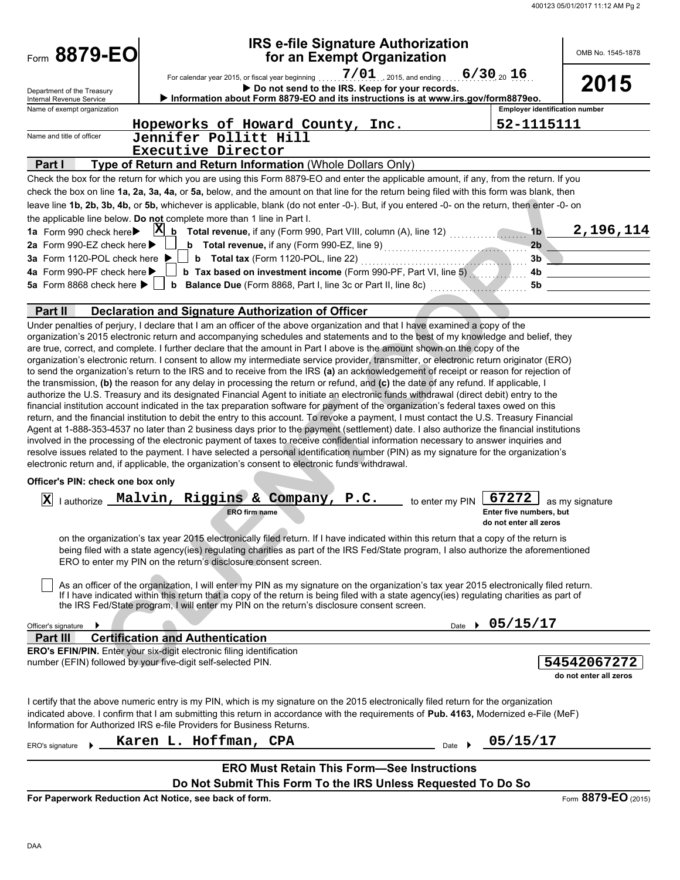| Form 8879-EO                                                  | <b>IRS e-file Signature Authorization</b><br>for an Exempt Organization                                                                                                                                                                                                                                                                                                                                                                                                                                                                                                                                                                                                                                                                                                                                                                                                                                                                                                                                                                                                                                                                                                                                                                                                                                                                                                                                                                                                                                                                                                                                                                                                                                                                                                                 |                                                            | OMB No. 1545-1878                     |
|---------------------------------------------------------------|-----------------------------------------------------------------------------------------------------------------------------------------------------------------------------------------------------------------------------------------------------------------------------------------------------------------------------------------------------------------------------------------------------------------------------------------------------------------------------------------------------------------------------------------------------------------------------------------------------------------------------------------------------------------------------------------------------------------------------------------------------------------------------------------------------------------------------------------------------------------------------------------------------------------------------------------------------------------------------------------------------------------------------------------------------------------------------------------------------------------------------------------------------------------------------------------------------------------------------------------------------------------------------------------------------------------------------------------------------------------------------------------------------------------------------------------------------------------------------------------------------------------------------------------------------------------------------------------------------------------------------------------------------------------------------------------------------------------------------------------------------------------------------------------|------------------------------------------------------------|---------------------------------------|
| Department of the Treasury<br><b>Internal Revenue Service</b> | $7/01$ 2015, and ending 6/30 20 16<br>For calendar year 2015, or fiscal year beginning<br>Do not send to the IRS. Keep for your records.<br>Information about Form 8879-EO and its instructions is at www.irs.gov/form8879eo.                                                                                                                                                                                                                                                                                                                                                                                                                                                                                                                                                                                                                                                                                                                                                                                                                                                                                                                                                                                                                                                                                                                                                                                                                                                                                                                                                                                                                                                                                                                                                           |                                                            | 2015                                  |
| Name of exempt organization                                   | Hopeworks of Howard County, Inc.                                                                                                                                                                                                                                                                                                                                                                                                                                                                                                                                                                                                                                                                                                                                                                                                                                                                                                                                                                                                                                                                                                                                                                                                                                                                                                                                                                                                                                                                                                                                                                                                                                                                                                                                                        | <b>Employer identification number</b><br>52-1115111        |                                       |
| Name and title of officer                                     | Jennifer Pollitt Hill                                                                                                                                                                                                                                                                                                                                                                                                                                                                                                                                                                                                                                                                                                                                                                                                                                                                                                                                                                                                                                                                                                                                                                                                                                                                                                                                                                                                                                                                                                                                                                                                                                                                                                                                                                   |                                                            |                                       |
|                                                               | Executive Director                                                                                                                                                                                                                                                                                                                                                                                                                                                                                                                                                                                                                                                                                                                                                                                                                                                                                                                                                                                                                                                                                                                                                                                                                                                                                                                                                                                                                                                                                                                                                                                                                                                                                                                                                                      |                                                            |                                       |
| Part I                                                        | Type of Return and Return Information (Whole Dollars Only)                                                                                                                                                                                                                                                                                                                                                                                                                                                                                                                                                                                                                                                                                                                                                                                                                                                                                                                                                                                                                                                                                                                                                                                                                                                                                                                                                                                                                                                                                                                                                                                                                                                                                                                              |                                                            |                                       |
| 3a Form 1120-POL check here ▶                                 | Check the box for the return for which you are using this Form 8879-EO and enter the applicable amount, if any, from the return. If you<br>check the box on line 1a, 2a, 3a, 4a, or 5a, below, and the amount on that line for the return being filed with this form was blank, then<br>leave line 1b, 2b, 3b, 4b, or 5b, whichever is applicable, blank (do not enter -0-). But, if you entered -0- on the return, then enter -0- on<br>the applicable line below. Do not complete more than 1 line in Part I.<br>1a Form 990 check here $X_{b}$ Total revenue, if any (Form 990, Part VIII, column (A), line 12) $\ldots$<br><b>b</b> Total tax (Form 1120-POL, line 22) <b>contained</b> $\begin{bmatrix} 1 & 0 \\ 0 & 1 \end{bmatrix}$<br><b>b</b> Tax based on investment income (Form 990-PF, Part VI, line 5)                                                                                                                                                                                                                                                                                                                                                                                                                                                                                                                                                                                                                                                                                                                                                                                                                                                                                                                                                                    | 1 <sub>b</sub><br>2 <sub>b</sub><br>3 <sub>b</sub>         | 2,196,114                             |
| 4a Form 990-PF check here ▶                                   |                                                                                                                                                                                                                                                                                                                                                                                                                                                                                                                                                                                                                                                                                                                                                                                                                                                                                                                                                                                                                                                                                                                                                                                                                                                                                                                                                                                                                                                                                                                                                                                                                                                                                                                                                                                         | 4b                                                         |                                       |
| Part II                                                       | Declaration and Signature Authorization of Officer                                                                                                                                                                                                                                                                                                                                                                                                                                                                                                                                                                                                                                                                                                                                                                                                                                                                                                                                                                                                                                                                                                                                                                                                                                                                                                                                                                                                                                                                                                                                                                                                                                                                                                                                      |                                                            |                                       |
|                                                               | Under penalties of perjury, I declare that I am an officer of the above organization and that I have examined a copy of the<br>organization's 2015 electronic return and accompanying schedules and statements and to the best of my knowledge and belief, they<br>are true, correct, and complete. I further declare that the amount in Part I above is the amount shown on the copy of the<br>organization's electronic return. I consent to allow my intermediate service provider, transmitter, or electronic return originator (ERO)<br>to send the organization's return to the IRS and to receive from the IRS (a) an acknowledgement of receipt or reason for rejection of<br>the transmission, (b) the reason for any delay in processing the return or refund, and (c) the date of any refund. If applicable, I<br>authorize the U.S. Treasury and its designated Financial Agent to initiate an electronic funds withdrawal (direct debit) entry to the<br>financial institution account indicated in the tax preparation software for payment of the organization's federal taxes owed on this<br>return, and the financial institution to debit the entry to this account. To revoke a payment, I must contact the U.S. Treasury Financial<br>Agent at 1-888-353-4537 no later than 2 business days prior to the payment (settlement) date. I also authorize the financial institutions<br>involved in the processing of the electronic payment of taxes to receive confidential information necessary to answer inquiries and<br>resolve issues related to the payment. I have selected a personal identification number (PIN) as my signature for the organization's<br>electronic return and, if applicable, the organization's consent to electronic funds withdrawal. |                                                            |                                       |
| Officer's PIN: check one box only                             |                                                                                                                                                                                                                                                                                                                                                                                                                                                                                                                                                                                                                                                                                                                                                                                                                                                                                                                                                                                                                                                                                                                                                                                                                                                                                                                                                                                                                                                                                                                                                                                                                                                                                                                                                                                         |                                                            |                                       |
| x                                                             | lauthorize Malvin, Riggins & Company, P.C. to enter my PIN<br><b>ERO</b> firm name                                                                                                                                                                                                                                                                                                                                                                                                                                                                                                                                                                                                                                                                                                                                                                                                                                                                                                                                                                                                                                                                                                                                                                                                                                                                                                                                                                                                                                                                                                                                                                                                                                                                                                      | 67272<br>Enter five numbers, but<br>do not enter all zeros | as my signature                       |
|                                                               | on the organization's tax year 2015 electronically filed return. If I have indicated within this return that a copy of the return is<br>being filed with a state agency(ies) regulating charities as part of the IRS Fed/State program, I also authorize the aforementioned<br>ERO to enter my PIN on the return's disclosure consent screen.                                                                                                                                                                                                                                                                                                                                                                                                                                                                                                                                                                                                                                                                                                                                                                                                                                                                                                                                                                                                                                                                                                                                                                                                                                                                                                                                                                                                                                           |                                                            |                                       |
|                                                               | As an officer of the organization, I will enter my PIN as my signature on the organization's tax year 2015 electronically filed return.<br>If I have indicated within this return that a copy of the return is being filed with a state agency(ies) regulating charities as part of<br>the IRS Fed/State program, I will enter my PIN on the return's disclosure consent screen.                                                                                                                                                                                                                                                                                                                                                                                                                                                                                                                                                                                                                                                                                                                                                                                                                                                                                                                                                                                                                                                                                                                                                                                                                                                                                                                                                                                                        |                                                            |                                       |
| Officer's signature                                           |                                                                                                                                                                                                                                                                                                                                                                                                                                                                                                                                                                                                                                                                                                                                                                                                                                                                                                                                                                                                                                                                                                                                                                                                                                                                                                                                                                                                                                                                                                                                                                                                                                                                                                                                                                                         | Date $\rightarrow$ 05/15/17                                |                                       |
| Part II                                                       | <b>Certification and Authentication</b><br>ERO's EFIN/PIN. Enter your six-digit electronic filing identification<br>number (EFIN) followed by your five-digit self-selected PIN.                                                                                                                                                                                                                                                                                                                                                                                                                                                                                                                                                                                                                                                                                                                                                                                                                                                                                                                                                                                                                                                                                                                                                                                                                                                                                                                                                                                                                                                                                                                                                                                                        |                                                            | 54542067272<br>do not enter all zeros |
|                                                               | I certify that the above numeric entry is my PIN, which is my signature on the 2015 electronically filed return for the organization<br>indicated above. I confirm that I am submitting this return in accordance with the requirements of Pub. 4163, Modernized e-File (MeF)<br>Information for Authorized IRS e-file Providers for Business Returns.                                                                                                                                                                                                                                                                                                                                                                                                                                                                                                                                                                                                                                                                                                                                                                                                                                                                                                                                                                                                                                                                                                                                                                                                                                                                                                                                                                                                                                  |                                                            |                                       |
| ERO's signature                                               | Karen L. Hoffman, CPA<br>Date                                                                                                                                                                                                                                                                                                                                                                                                                                                                                                                                                                                                                                                                                                                                                                                                                                                                                                                                                                                                                                                                                                                                                                                                                                                                                                                                                                                                                                                                                                                                                                                                                                                                                                                                                           | 05/15/17                                                   |                                       |
|                                                               | <b>ERO Must Retain This Form-See Instructions</b>                                                                                                                                                                                                                                                                                                                                                                                                                                                                                                                                                                                                                                                                                                                                                                                                                                                                                                                                                                                                                                                                                                                                                                                                                                                                                                                                                                                                                                                                                                                                                                                                                                                                                                                                       |                                                            |                                       |
|                                                               | Do Not Submit This Form To the IRS Unless Requested To Do So                                                                                                                                                                                                                                                                                                                                                                                                                                                                                                                                                                                                                                                                                                                                                                                                                                                                                                                                                                                                                                                                                                                                                                                                                                                                                                                                                                                                                                                                                                                                                                                                                                                                                                                            |                                                            |                                       |
|                                                               | For Paperwork Reduction Act Notice, see back of form.                                                                                                                                                                                                                                                                                                                                                                                                                                                                                                                                                                                                                                                                                                                                                                                                                                                                                                                                                                                                                                                                                                                                                                                                                                                                                                                                                                                                                                                                                                                                                                                                                                                                                                                                   |                                                            | Form 8879-EO (2015)                   |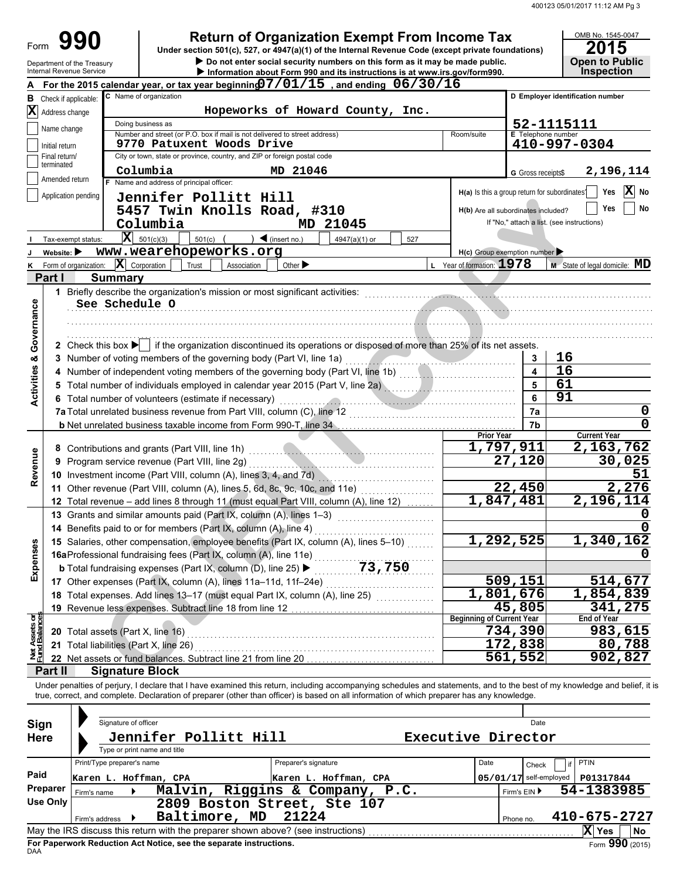| Form                           |                                |                                                        |                                                                                             |                                                                                                                 | <b>Return of Organization Exempt From Income Tax</b><br>Under section 501(c), 527, or 4947(a)(1) of the Internal Revenue Code (except private foundations)                                                                     |                                               |                           | OMB No. 1545-0047<br>2015                                                                                                                                                  |
|--------------------------------|--------------------------------|--------------------------------------------------------|---------------------------------------------------------------------------------------------|-----------------------------------------------------------------------------------------------------------------|--------------------------------------------------------------------------------------------------------------------------------------------------------------------------------------------------------------------------------|-----------------------------------------------|---------------------------|----------------------------------------------------------------------------------------------------------------------------------------------------------------------------|
|                                |                                | Department of the Treasury<br>Internal Revenue Service |                                                                                             |                                                                                                                 | Do not enter social security numbers on this form as it may be made public.<br>Information about Form 990 and its instructions is at www.irs.gov/form990.                                                                      |                                               |                           | <b>Open to Public</b><br><b>Inspection</b>                                                                                                                                 |
|                                |                                |                                                        |                                                                                             |                                                                                                                 | For the 2015 calendar year, or tax year beginning $7/01/15$ , and ending $06/30/16$                                                                                                                                            |                                               |                           |                                                                                                                                                                            |
| в                              |                                | Check if applicable:                                   | C Name of organization                                                                      |                                                                                                                 |                                                                                                                                                                                                                                |                                               |                           | D Employer identification number                                                                                                                                           |
| X                              | Address change                 |                                                        |                                                                                             | Hopeworks of Howard County, Inc.                                                                                |                                                                                                                                                                                                                                |                                               |                           |                                                                                                                                                                            |
|                                | Name change                    |                                                        | Doing business as                                                                           |                                                                                                                 |                                                                                                                                                                                                                                |                                               |                           | 52-1115111                                                                                                                                                                 |
|                                |                                |                                                        |                                                                                             | Number and street (or P.O. box if mail is not delivered to street address)                                      |                                                                                                                                                                                                                                | Room/suite                                    | E Telephone number        |                                                                                                                                                                            |
|                                | Initial return                 |                                                        | 9770 Patuxent Woods Drive                                                                   | City or town, state or province, country, and ZIP or foreign postal code                                        |                                                                                                                                                                                                                                |                                               |                           | 410-997-0304                                                                                                                                                               |
|                                | Final return/<br>terminated    |                                                        |                                                                                             |                                                                                                                 |                                                                                                                                                                                                                                |                                               |                           |                                                                                                                                                                            |
|                                | Amended return                 |                                                        | Columbia<br>F Name and address of principal officer:                                        | MD 21046                                                                                                        |                                                                                                                                                                                                                                |                                               | <b>G</b> Gross receipts\$ | 2,196,114                                                                                                                                                                  |
|                                |                                | Application pending                                    |                                                                                             |                                                                                                                 |                                                                                                                                                                                                                                | H(a) Is this a group return for subordinates? |                           | $ \mathbf{X} $<br>Yes<br>No                                                                                                                                                |
|                                |                                |                                                        | Jennifer Pollitt Hill                                                                       |                                                                                                                 |                                                                                                                                                                                                                                |                                               |                           | No<br>Yes                                                                                                                                                                  |
|                                |                                |                                                        |                                                                                             | 5457 Twin Knolls Road, #310                                                                                     |                                                                                                                                                                                                                                | H(b) Are all subordinates included?           |                           |                                                                                                                                                                            |
|                                |                                |                                                        | Columbia                                                                                    | MD                                                                                                              | 21045                                                                                                                                                                                                                          |                                               |                           | If "No," attach a list. (see instructions)                                                                                                                                 |
|                                |                                | Tax-exempt status:                                     | $\overline{\mathbf{X}}$ 501(c)(3)<br>$501(c)$ (                                             | $\blacktriangleleft$ (insert no.)                                                                               | 4947(a)(1) or<br>527                                                                                                                                                                                                           |                                               |                           |                                                                                                                                                                            |
|                                | Website: $\blacktriangleright$ |                                                        | www.wearehopeworks.org                                                                      |                                                                                                                 |                                                                                                                                                                                                                                | $H(c)$ Group exemption number                 |                           |                                                                                                                                                                            |
|                                |                                | Form of organization:                                  | $ \mathbf{X} $ Corporation<br>Trust                                                         | Other $\blacktriangleright$<br>Association                                                                      |                                                                                                                                                                                                                                | L Year of formation: 1978                     |                           | M State of legal domicile: MD                                                                                                                                              |
|                                | Part I                         | <b>Summary</b>                                         |                                                                                             |                                                                                                                 |                                                                                                                                                                                                                                |                                               |                           |                                                                                                                                                                            |
|                                |                                |                                                        |                                                                                             | 1 Briefly describe the organization's mission or most significant activities:                                   |                                                                                                                                                                                                                                |                                               |                           |                                                                                                                                                                            |
|                                |                                | See Schedule O                                         |                                                                                             |                                                                                                                 |                                                                                                                                                                                                                                |                                               |                           |                                                                                                                                                                            |
|                                |                                |                                                        |                                                                                             |                                                                                                                 |                                                                                                                                                                                                                                |                                               |                           |                                                                                                                                                                            |
| Governance                     |                                |                                                        |                                                                                             | the contract of the contract of the contract of the contract of the contract of the contract of the contract of |                                                                                                                                                                                                                                |                                               |                           |                                                                                                                                                                            |
|                                |                                |                                                        |                                                                                             |                                                                                                                 | 2 Check this box if the organization discontinued its operations or disposed of more than 25% of its net assets.                                                                                                               |                                               |                           |                                                                                                                                                                            |
|                                |                                |                                                        |                                                                                             | 3 Number of voting members of the governing body (Part VI, line 1a)                                             |                                                                                                                                                                                                                                |                                               | 3                         | 16                                                                                                                                                                         |
|                                |                                |                                                        |                                                                                             |                                                                                                                 | 4 Number of independent voting members of the governing body (Part VI, line 1b) [100] [100] [100] [100] [100] [100] [100] [100] [100] [100] [100] [100] [100] [100] [100] [100] [100] [100] [100] [100] [100] [100] [100] [100 |                                               | $\overline{\mathbf{4}}$   | $\overline{16}$                                                                                                                                                            |
| <b>Activities &amp;</b>        |                                |                                                        |                                                                                             |                                                                                                                 | 5 Total number of individuals employed in calendar year 2015 (Part V, line 2a)                                                                                                                                                 |                                               | 5                         | 61                                                                                                                                                                         |
|                                |                                |                                                        | 6 Total number of volunteers (estimate if necessary)                                        |                                                                                                                 |                                                                                                                                                                                                                                |                                               | 6                         | 91                                                                                                                                                                         |
|                                |                                |                                                        |                                                                                             |                                                                                                                 |                                                                                                                                                                                                                                |                                               | 7a                        | 0                                                                                                                                                                          |
|                                |                                |                                                        |                                                                                             |                                                                                                                 | b Net unrelated business taxable income from Form 990-T, line 34 [10] Net unrelated business taxable income from Form 990-T, line 34                                                                                           |                                               | 7b                        | 0                                                                                                                                                                          |
|                                |                                |                                                        |                                                                                             |                                                                                                                 |                                                                                                                                                                                                                                | <b>Prior Year</b>                             |                           | <b>Current Year</b>                                                                                                                                                        |
|                                |                                |                                                        |                                                                                             |                                                                                                                 |                                                                                                                                                                                                                                | 1,797,911                                     |                           | 2,163,762                                                                                                                                                                  |
|                                |                                |                                                        | 9 Program service revenue (Part VIII, line 2g)                                              |                                                                                                                 |                                                                                                                                                                                                                                |                                               | 27,120                    | 30,025                                                                                                                                                                     |
| Revenue                        |                                |                                                        | 10 Investment income (Part VIII, column (A), lines 3, 4, and 7d)                            |                                                                                                                 |                                                                                                                                                                                                                                |                                               |                           | 51                                                                                                                                                                         |
|                                |                                |                                                        |                                                                                             | 11 Other revenue (Part VIII, column (A), lines 5, 6d, 8c, 9c, 10c, and 11e)                                     | .                                                                                                                                                                                                                              |                                               | 22,450                    | 2,276                                                                                                                                                                      |
|                                |                                |                                                        |                                                                                             | 12 Total revenue - add lines 8 through 11 (must equal Part VIII, column (A), line 12)                           |                                                                                                                                                                                                                                | 1,847,481                                     |                           | 2,196,114                                                                                                                                                                  |
|                                |                                |                                                        |                                                                                             | 13 Grants and similar amounts paid (Part IX, column (A), lines 1-3)                                             |                                                                                                                                                                                                                                |                                               |                           | 0                                                                                                                                                                          |
|                                |                                |                                                        | 14 Benefits paid to or for members (Part IX, column (A), line 4)                            |                                                                                                                 |                                                                                                                                                                                                                                |                                               |                           |                                                                                                                                                                            |
| Expenses                       |                                |                                                        |                                                                                             | 15 Salaries, other compensation, employee benefits (Part IX, column (A), lines 5-10)                            |                                                                                                                                                                                                                                | 1,292,525                                     |                           | 1,340,162                                                                                                                                                                  |
|                                |                                |                                                        | 16aProfessional fundraising fees (Part IX, column (A), line 11e)                            |                                                                                                                 |                                                                                                                                                                                                                                |                                               |                           |                                                                                                                                                                            |
|                                |                                |                                                        | <b>b</b> Total fundraising expenses (Part IX, column $(D)$ , line 25) $\blacktriangleright$ |                                                                                                                 | 73,750                                                                                                                                                                                                                         |                                               |                           |                                                                                                                                                                            |
|                                |                                |                                                        | 17 Other expenses (Part IX, column (A), lines 11a-11d, 11f-24e)                             |                                                                                                                 |                                                                                                                                                                                                                                |                                               | 509,151                   | 514,677                                                                                                                                                                    |
|                                |                                |                                                        |                                                                                             | 18 Total expenses. Add lines 13-17 (must equal Part IX, column (A), line 25)                                    |                                                                                                                                                                                                                                |                                               | $\overline{1,801,676}$    | 1,854,839                                                                                                                                                                  |
|                                |                                |                                                        | 19 Revenue less expenses. Subtract line 18 from line 12                                     |                                                                                                                 |                                                                                                                                                                                                                                | <b>Beginning of Current Year</b>              | $\overline{45}$ , 805     | 341,275<br>End of Year                                                                                                                                                     |
| Net Assets or<br>Fund Balances |                                | 20 Total assets (Part X, line 16)                      |                                                                                             |                                                                                                                 |                                                                                                                                                                                                                                |                                               | 734,390                   | 983,615                                                                                                                                                                    |
|                                |                                | 21 Total liabilities (Part X, line 26)                 |                                                                                             |                                                                                                                 |                                                                                                                                                                                                                                |                                               | 172,838                   | 80,788                                                                                                                                                                     |
|                                |                                |                                                        | 22 Net assets or fund balances. Subtract line 21 from line 20                               |                                                                                                                 |                                                                                                                                                                                                                                |                                               | 561,552                   | 902,827                                                                                                                                                                    |
|                                | Part II                        | <b>Signature Block</b>                                 |                                                                                             |                                                                                                                 |                                                                                                                                                                                                                                |                                               |                           |                                                                                                                                                                            |
|                                |                                |                                                        |                                                                                             |                                                                                                                 |                                                                                                                                                                                                                                |                                               |                           |                                                                                                                                                                            |
|                                |                                |                                                        |                                                                                             |                                                                                                                 | true, correct, and complete. Declaration of preparer (other than officer) is based on all information of which preparer has any knowledge.                                                                                     |                                               |                           | Under penalties of perjury, I declare that I have examined this return, including accompanying schedules and statements, and to the best of my knowledge and belief, it is |
|                                |                                |                                                        |                                                                                             |                                                                                                                 |                                                                                                                                                                                                                                |                                               |                           |                                                                                                                                                                            |
| Sign                           |                                | Signature of officer                                   |                                                                                             |                                                                                                                 |                                                                                                                                                                                                                                |                                               | Date                      |                                                                                                                                                                            |
| <b>Here</b>                    |                                |                                                        | Jennifer Pollitt Hill                                                                       |                                                                                                                 |                                                                                                                                                                                                                                | Executive Director                            |                           |                                                                                                                                                                            |
|                                |                                |                                                        | Type or print name and title                                                                |                                                                                                                 |                                                                                                                                                                                                                                |                                               |                           |                                                                                                                                                                            |
|                                |                                | Print/Type preparer's name                             |                                                                                             | Preparer's signature                                                                                            |                                                                                                                                                                                                                                | Date                                          |                           | PTIN<br>if                                                                                                                                                                 |
| Paid                           |                                |                                                        |                                                                                             |                                                                                                                 |                                                                                                                                                                                                                                |                                               | Check                     |                                                                                                                                                                            |
|                                | Preparer                       | Karen L. Hoffman, CPA                                  |                                                                                             | Karen L. Hoffman, CPA                                                                                           |                                                                                                                                                                                                                                |                                               | $05/01/17$ self-employed  | P01317844                                                                                                                                                                  |
|                                | <b>Use Only</b>                | Firm's name                                            |                                                                                             | Malvin, Riggins & Company, P.C.                                                                                 |                                                                                                                                                                                                                                |                                               | Firm's EIN ▶              | 54-1383985                                                                                                                                                                 |
|                                |                                |                                                        | Baltimore, MD                                                                               | 2809 Boston Street, Ste 107<br>21224                                                                            |                                                                                                                                                                                                                                |                                               |                           | 410-675-2727                                                                                                                                                               |
|                                |                                | Firm's address                                         |                                                                                             | May the IRS discuss this return with the preparer shown above? (see instructions)                               |                                                                                                                                                                                                                                |                                               | Phone no.                 | X Yes                                                                                                                                                                      |
|                                |                                |                                                        |                                                                                             |                                                                                                                 |                                                                                                                                                                                                                                |                                               |                           | No                                                                                                                                                                         |

| Sign<br><b>Here</b>                                                                           |                                                     | Signature of officer | Jennifer Pollitt Hill<br>Type or print name and title              |  |                                               | Executive Director |      |              | Date                              |      |            |                           |
|-----------------------------------------------------------------------------------------------|-----------------------------------------------------|----------------------|--------------------------------------------------------------------|--|-----------------------------------------------|--------------------|------|--------------|-----------------------------------|------|------------|---------------------------|
| Paid                                                                                          | Print/Type preparer's name<br>Karen L. Hoffman, CPA |                      |                                                                    |  | Preparer's signature<br>Karen L. Hoffman, CPA |                    | Date |              | Check<br>$05/01/17$ self-employed | PTIN | P01317844  |                           |
| Preparer                                                                                      | Firm's name                                         |                      |                                                                    |  | Malvin, Riggins & Company,<br>P.C.            |                    |      | Firm's $EIN$ |                                   |      | 54-1383985 |                           |
| Use Only                                                                                      | Firm's address                                      |                      | Baltimore, MD                                                      |  | 2809 Boston Street, Ste 107<br>21224          |                    |      | Phone no.    |                                   |      |            | 410-675-2727              |
| May the IRS discuss this return with the preparer shown above? (see instructions)<br>x<br>Yes |                                                     |                      |                                                                    |  |                                               | <b>No</b>          |      |              |                                   |      |            |                           |
|                                                                                               |                                                     |                      | For Paperwork Reduction Act Notice, see the separate instructions. |  |                                               |                    |      |              |                                   |      |            | $F_{\text{O}}$ 990 (2015) |

**For Paperwork Reduction Act Notice, see the separate instructions.**<br><sub>DAA</sub>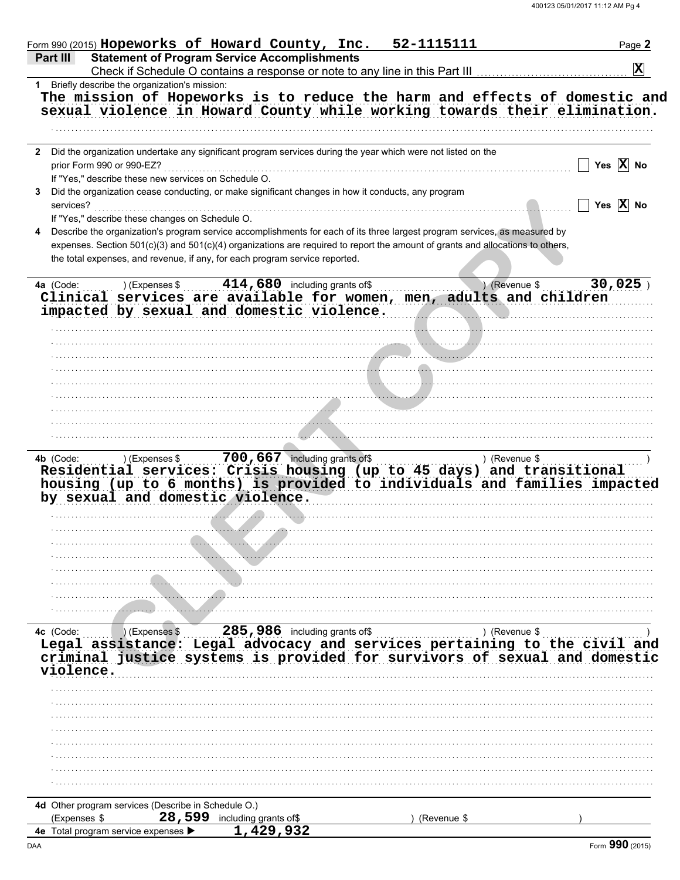| 285, 986 including grants of\$<br>4c (Code:<br>) (Revenue \$<br>) (Expenses \$<br>Legal assistance: Legal advocacy and services pertaining to the civil and<br>criminal justice systems is provided for survivors of sexual and domestic<br>violence.<br>4d Other program services (Describe in Schedule O.) |                       |
|--------------------------------------------------------------------------------------------------------------------------------------------------------------------------------------------------------------------------------------------------------------------------------------------------------------|-----------------------|
|                                                                                                                                                                                                                                                                                                              |                       |
|                                                                                                                                                                                                                                                                                                              |                       |
|                                                                                                                                                                                                                                                                                                              |                       |
|                                                                                                                                                                                                                                                                                                              |                       |
|                                                                                                                                                                                                                                                                                                              |                       |
|                                                                                                                                                                                                                                                                                                              |                       |
|                                                                                                                                                                                                                                                                                                              |                       |
|                                                                                                                                                                                                                                                                                                              |                       |
|                                                                                                                                                                                                                                                                                                              |                       |
|                                                                                                                                                                                                                                                                                                              |                       |
|                                                                                                                                                                                                                                                                                                              |                       |
|                                                                                                                                                                                                                                                                                                              |                       |
|                                                                                                                                                                                                                                                                                                              |                       |
|                                                                                                                                                                                                                                                                                                              |                       |
|                                                                                                                                                                                                                                                                                                              |                       |
|                                                                                                                                                                                                                                                                                                              |                       |
|                                                                                                                                                                                                                                                                                                              |                       |
|                                                                                                                                                                                                                                                                                                              |                       |
| by sexual and domestic violence.                                                                                                                                                                                                                                                                             |                       |
| housing (up to 6 months) is provided to individuals and families impacted                                                                                                                                                                                                                                    |                       |
| Residential services: Crisis housing (up to 45 days) and transitional                                                                                                                                                                                                                                        |                       |
| 700, 667 including grants of\$<br>4b (Code:<br>) (Expenses \$<br>) (Revenue \$                                                                                                                                                                                                                               |                       |
|                                                                                                                                                                                                                                                                                                              |                       |
|                                                                                                                                                                                                                                                                                                              |                       |
|                                                                                                                                                                                                                                                                                                              |                       |
|                                                                                                                                                                                                                                                                                                              |                       |
|                                                                                                                                                                                                                                                                                                              |                       |
|                                                                                                                                                                                                                                                                                                              |                       |
|                                                                                                                                                                                                                                                                                                              |                       |
|                                                                                                                                                                                                                                                                                                              |                       |
| impacted by sexual and domestic violence.                                                                                                                                                                                                                                                                    |                       |
| Clinical services are available for women, men, adults and children                                                                                                                                                                                                                                          |                       |
| 414, 680 including grants of\$<br>) (Revenue \$<br>) (Expenses \$<br>4a (Code:                                                                                                                                                                                                                               | $30,025$ )            |
| the total expenses, and revenue, if any, for each program service reported.                                                                                                                                                                                                                                  |                       |
| expenses. Section 501(c)(3) and 501(c)(4) organizations are required to report the amount of grants and allocations to others,                                                                                                                                                                               |                       |
| Describe the organization's program service accomplishments for each of its three largest program services, as measured by<br>4                                                                                                                                                                              |                       |
| services?<br>If "Yes," describe these changes on Schedule O.                                                                                                                                                                                                                                                 | Yes $\overline{X}$ No |
| Did the organization cease conducting, or make significant changes in how it conducts, any program<br>3.                                                                                                                                                                                                     |                       |
| If "Yes," describe these new services on Schedule O.                                                                                                                                                                                                                                                         |                       |
| prior Form 990 or 990-EZ?                                                                                                                                                                                                                                                                                    | Yes $\overline{X}$ No |
| Did the organization undertake any significant program services during the year which were not listed on the<br>$\mathbf{2}$                                                                                                                                                                                 |                       |
|                                                                                                                                                                                                                                                                                                              |                       |
| sexual violence in Howard County while working towards their elimination.                                                                                                                                                                                                                                    |                       |
| The mission of Hopeworks is to reduce the harm and effects of domestic and                                                                                                                                                                                                                                   |                       |
|                                                                                                                                                                                                                                                                                                              |                       |
| 1 Briefly describe the organization's mission:                                                                                                                                                                                                                                                               | $ \mathbf{x} $        |
| Check if Schedule O contains a response or note to any line in this Part III                                                                                                                                                                                                                                 |                       |
| 52-1115111<br>Form 990 (2015) Hopeworks of Howard County, Inc.<br><b>Statement of Program Service Accomplishments</b><br>Part III                                                                                                                                                                            | Page 2                |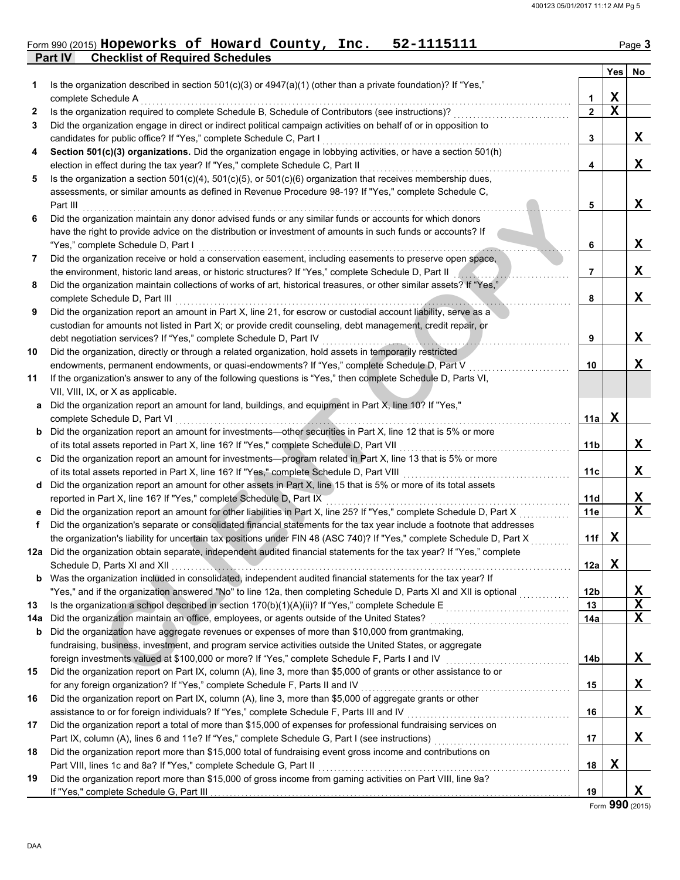#### **Part IV Checklist of Required Schedules** Form 990 (2015) Hopeworks of Howard County, Inc. 52-1115111 Page 3

|--|--|

|     | <u>onoonnot or noquirou oonouum</u>                                                                                                                                                                         |                 |             |                         |
|-----|-------------------------------------------------------------------------------------------------------------------------------------------------------------------------------------------------------------|-----------------|-------------|-------------------------|
| 1   |                                                                                                                                                                                                             |                 | <b>Yes</b>  | No                      |
|     | Is the organization described in section $501(c)(3)$ or $4947(a)(1)$ (other than a private foundation)? If "Yes,"<br>complete Schedule A                                                                    | 1               | X           |                         |
| 2   | Is the organization required to complete Schedule B, Schedule of Contributors (see instructions)?                                                                                                           | $\mathbf{2}$    | $\mathbf x$ |                         |
| 3   | Did the organization engage in direct or indirect political campaign activities on behalf of or in opposition to                                                                                            |                 |             |                         |
|     | candidates for public office? If "Yes," complete Schedule C, Part I                                                                                                                                         | 3               |             | X                       |
| 4   | Section 501(c)(3) organizations. Did the organization engage in lobbying activities, or have a section 501(h)                                                                                               |                 |             |                         |
|     | election in effect during the tax year? If "Yes," complete Schedule C, Part II                                                                                                                              | 4               |             | X                       |
| 5   | Is the organization a section $501(c)(4)$ , $501(c)(5)$ , or $501(c)(6)$ organization that receives membership dues,                                                                                        |                 |             |                         |
|     | assessments, or similar amounts as defined in Revenue Procedure 98-19? If "Yes," complete Schedule C,                                                                                                       |                 |             |                         |
|     | Part III                                                                                                                                                                                                    | 5               |             | X                       |
| 6   | Did the organization maintain any donor advised funds or any similar funds or accounts for which donors                                                                                                     |                 |             |                         |
|     | have the right to provide advice on the distribution or investment of amounts in such funds or accounts? If                                                                                                 |                 |             |                         |
|     | "Yes," complete Schedule D, Part I                                                                                                                                                                          | 6               |             | X                       |
| 7   | Did the organization receive or hold a conservation easement, including easements to preserve open space,                                                                                                   |                 |             |                         |
|     | the environment, historic land areas, or historic structures? If "Yes," complete Schedule D, Part II                                                                                                        | 7               |             | X                       |
| 8   | Did the organization maintain collections of works of art, historical treasures, or other similar assets? If "Yes,"                                                                                         |                 |             |                         |
|     | complete Schedule D, Part III                                                                                                                                                                               | 8               |             | X                       |
| 9   | Did the organization report an amount in Part X, line 21, for escrow or custodial account liability, serve as a                                                                                             |                 |             |                         |
|     | custodian for amounts not listed in Part X; or provide credit counseling, debt management, credit repair, or                                                                                                |                 |             |                         |
|     | debt negotiation services? If "Yes," complete Schedule D, Part IV                                                                                                                                           | 9               |             | x                       |
| 10  | Did the organization, directly or through a related organization, hold assets in temporarily restricted                                                                                                     |                 |             |                         |
|     | endowments, permanent endowments, or quasi-endowments? If "Yes," complete Schedule D, Part V                                                                                                                | 10              |             | x                       |
| 11  | If the organization's answer to any of the following questions is "Yes," then complete Schedule D, Parts VI,                                                                                                |                 |             |                         |
|     | VII, VIII, IX, or X as applicable.                                                                                                                                                                          |                 |             |                         |
| a   | Did the organization report an amount for land, buildings, and equipment in Part X, line 10? If "Yes,"                                                                                                      |                 |             |                         |
|     | complete Schedule D, Part VI                                                                                                                                                                                | 11a             | X           |                         |
| b   | Did the organization report an amount for investments-other securities in Part X, line 12 that is 5% or more                                                                                                |                 |             |                         |
|     | of its total assets reported in Part X, line 16? If "Yes," complete Schedule D, Part VII                                                                                                                    | 11b             |             | X                       |
| C   | Did the organization report an amount for investments—program related in Part X, line 13 that is 5% or more                                                                                                 |                 |             |                         |
|     | of its total assets reported in Part X, line 16? If "Yes," complete Schedule D, Part VIII                                                                                                                   | 11c             |             | X                       |
| d   | Did the organization report an amount for other assets in Part X, line 15 that is 5% or more of its total assets                                                                                            |                 |             |                         |
|     | reported in Part X, line 16? If "Yes," complete Schedule D, Part IX                                                                                                                                         | <b>11d</b>      |             | X                       |
| e   | Did the organization report an amount for other liabilities in Part X, line 25? If "Yes," complete Schedule D, Part X                                                                                       | 11e             |             | $\overline{\mathbf{x}}$ |
| f   | Did the organization's separate or consolidated financial statements for the tax year include a footnote that addresses                                                                                     |                 |             |                         |
|     | the organization's liability for uncertain tax positions under FIN 48 (ASC 740)? If "Yes," complete Schedule D, Part X                                                                                      | 11f             | X           |                         |
|     | 12a Did the organization obtain separate, independent audited financial statements for the tax year? If "Yes," complete                                                                                     |                 |             |                         |
|     |                                                                                                                                                                                                             | 12a             | X           |                         |
| b   | Was the organization included in consolidated, independent audited financial statements for the tax year? If                                                                                                |                 |             |                         |
|     | "Yes," and if the organization answered "No" to line 12a, then completing Schedule D, Parts XI and XII is optional                                                                                          | 12 <sub>b</sub> |             | <u>х</u>                |
| 13  |                                                                                                                                                                                                             | 13              |             | $\mathbf x$             |
| 14a | Did the organization maintain an office, employees, or agents outside of the United States?                                                                                                                 | 14a             |             | $\mathbf x$             |
| b   | Did the organization have aggregate revenues or expenses of more than \$10,000 from grantmaking,                                                                                                            |                 |             |                         |
|     | fundraising, business, investment, and program service activities outside the United States, or aggregate                                                                                                   |                 |             |                         |
|     | foreign investments valued at \$100,000 or more? If "Yes," complete Schedule F, Parts I and IV                                                                                                              | 14b             |             | X                       |
| 15  | Did the organization report on Part IX, column (A), line 3, more than \$5,000 of grants or other assistance to or                                                                                           |                 |             |                         |
|     | for any foreign organization? If "Yes," complete Schedule F, Parts II and IV                                                                                                                                | 15              |             | X                       |
| 16  | Did the organization report on Part IX, column (A), line 3, more than \$5,000 of aggregate grants or other                                                                                                  |                 |             |                         |
| 17  | assistance to or for foreign individuals? If "Yes," complete Schedule F, Parts III and IV<br>Did the organization report a total of more than \$15,000 of expenses for professional fundraising services on | 16              |             | X                       |
|     | Part IX, column (A), lines 6 and 11e? If "Yes," complete Schedule G, Part I (see instructions) [[[[[[[[[[[[[[[                                                                                              | 17              |             |                         |
| 18  | Did the organization report more than \$15,000 total of fundraising event gross income and contributions on                                                                                                 |                 |             | X                       |
|     | Part VIII, lines 1c and 8a? If "Yes," complete Schedule G, Part II                                                                                                                                          | 18              | X           |                         |
| 19  | Did the organization report more than \$15,000 of gross income from gaming activities on Part VIII, line 9a?                                                                                                |                 |             |                         |
|     |                                                                                                                                                                                                             | 19              |             | X                       |
|     |                                                                                                                                                                                                             |                 |             |                         |

Form **990** (2015)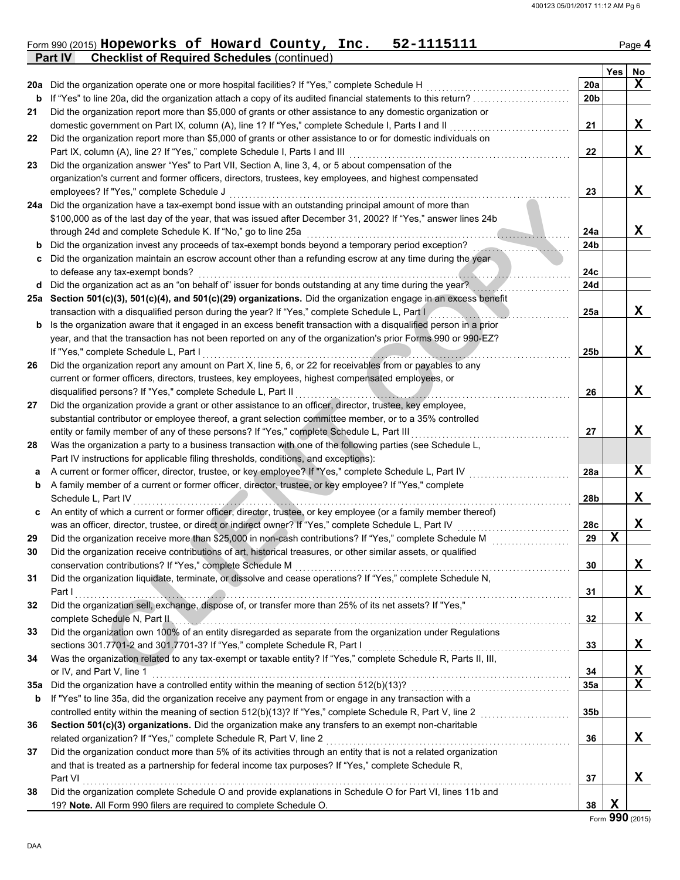|     | 52-1115111<br>Form 990 (2015) Hopeworks of Howard County, Inc.                                                    |                                                                                                                                                                                                                                                                                                                                             |            | Page 4 |
|-----|-------------------------------------------------------------------------------------------------------------------|---------------------------------------------------------------------------------------------------------------------------------------------------------------------------------------------------------------------------------------------------------------------------------------------------------------------------------------------|------------|--------|
|     | <b>Checklist of Required Schedules (continued)</b><br><b>Part IV</b>                                              |                                                                                                                                                                                                                                                                                                                                             |            |        |
|     |                                                                                                                   |                                                                                                                                                                                                                                                                                                                                             | <b>Yes</b> | No     |
|     | 20a Did the organization operate one or more hospital facilities? If "Yes," complete Schedule H                   |                                                                                                                                                                                                                                                                                                                                             |            |        |
| b   | If "Yes" to line 20a, did the organization attach a copy of its audited financial statements to this return?      |                                                                                                                                                                                                                                                                                                                                             |            |        |
| 21  | Did the organization report more than \$5,000 of grants or other assistance to any domestic organization or       |                                                                                                                                                                                                                                                                                                                                             |            |        |
|     | domestic government on Part IX, column (A), line 1? If "Yes," complete Schedule I, Parts I and II                 |                                                                                                                                                                                                                                                                                                                                             |            |        |
| 22  | Did the organization report more than \$5,000 of grants or other assistance to or for domestic individuals on     |                                                                                                                                                                                                                                                                                                                                             |            |        |
|     | Part IX, column (A), line 2? If "Yes," complete Schedule I, Parts I and III                                       |                                                                                                                                                                                                                                                                                                                                             |            |        |
| 23  | Did the organization answer "Yes" to Part VII, Section A, line 3, 4, or 5 about compensation of the               |                                                                                                                                                                                                                                                                                                                                             |            |        |
|     | organization's current and former officers, directors, trustees, key employees, and highest compensated           |                                                                                                                                                                                                                                                                                                                                             |            |        |
|     | employees? If "Yes," complete Schedule J                                                                          |                                                                                                                                                                                                                                                                                                                                             |            |        |
|     | 24a Did the organization have a tax-exempt bond issue with an outstanding principal amount of more than           |                                                                                                                                                                                                                                                                                                                                             |            |        |
|     | \$100,000 as of the last day of the year, that was issued after December 31, 2002? If "Yes," answer lines 24b     |                                                                                                                                                                                                                                                                                                                                             |            |        |
|     | through 24d and complete Schedule K. If "No," go to line 25a                                                      |                                                                                                                                                                                                                                                                                                                                             |            |        |
| b   | Did the organization invest any proceeds of tax-exempt bonds beyond a temporary period exception?                 |                                                                                                                                                                                                                                                                                                                                             |            |        |
|     | c Did the organization maintain an escrow account other than a refunding escrow at any time during the year       |                                                                                                                                                                                                                                                                                                                                             |            |        |
|     | to defease any tax-exempt bonds?                                                                                  |                                                                                                                                                                                                                                                                                                                                             |            |        |
|     | d Did the organization act as an "on behalf of" issuer for bonds outstanding at any time during the year?         | 24d                                                                                                                                                                                                                                                                                                                                         |            |        |
|     | 25a Section 501(c)(3), 501(c)(4), and 501(c)(29) organizations. Did the organization engage in an excess benefit  |                                                                                                                                                                                                                                                                                                                                             |            |        |
|     | transaction with a disqualified person during the year? If "Yes," complete Schedule L, Part I                     | 25a                                                                                                                                                                                                                                                                                                                                         |            |        |
| b   | Is the organization aware that it engaged in an excess benefit transaction with a disqualified person in a prior  |                                                                                                                                                                                                                                                                                                                                             |            |        |
|     | year, and that the transaction has not been reported on any of the organization's prior Forms 990 or 990-EZ?      |                                                                                                                                                                                                                                                                                                                                             |            |        |
|     | If "Yes," complete Schedule L, Part I                                                                             | 25b                                                                                                                                                                                                                                                                                                                                         |            |        |
| 26  | Did the organization report any amount on Part X, line 5, 6, or 22 for receivables from or payables to any        |                                                                                                                                                                                                                                                                                                                                             |            |        |
|     | current or former officers, directors, trustees, key employees, highest compensated employees, or                 |                                                                                                                                                                                                                                                                                                                                             |            |        |
|     | disqualified persons? If "Yes," complete Schedule L, Part II                                                      | 26                                                                                                                                                                                                                                                                                                                                          |            |        |
| 27  | Did the organization provide a grant or other assistance to an officer, director, trustee, key employee,          |                                                                                                                                                                                                                                                                                                                                             |            |        |
|     | substantial contributor or employee thereof, a grant selection committee member, or to a 35% controlled           |                                                                                                                                                                                                                                                                                                                                             |            |        |
|     | entity or family member of any of these persons? If "Yes," complete Schedule L, Part III                          | 27                                                                                                                                                                                                                                                                                                                                          |            |        |
| 28  | Was the organization a party to a business transaction with one of the following parties (see Schedule L,         |                                                                                                                                                                                                                                                                                                                                             |            |        |
|     | Part IV instructions for applicable filing thresholds, conditions, and exceptions):                               |                                                                                                                                                                                                                                                                                                                                             |            |        |
| а   | A current or former officer, director, trustee, or key employee? If "Yes," complete Schedule L, Part IV           | 28a                                                                                                                                                                                                                                                                                                                                         |            |        |
|     | <b>b</b> A family member of a current or former officer, director, trustee, or key employee? If "Yes," complete   |                                                                                                                                                                                                                                                                                                                                             |            |        |
|     | Schedule L, Part IV                                                                                               | 28b                                                                                                                                                                                                                                                                                                                                         |            |        |
|     | c An entity of which a current or former officer, director, trustee, or key employee (or a family member thereof) |                                                                                                                                                                                                                                                                                                                                             |            |        |
|     | was an officer, director, trustee, or direct or indirect owner? If "Yes," complete Schedule L, Part IV            | 28c                                                                                                                                                                                                                                                                                                                                         |            |        |
| 29  | Did the organization receive more than \$25,000 in non-cash contributions? If "Yes," complete Schedule M          |                                                                                                                                                                                                                                                                                                                                             |            |        |
| 30  | Did the organization receive contributions of art, historical treasures, or other similar assets, or qualified    |                                                                                                                                                                                                                                                                                                                                             |            |        |
|     | conservation contributions? If "Yes," complete Schedule M                                                         | 30                                                                                                                                                                                                                                                                                                                                          |            |        |
| 31  | Did the organization liquidate, terminate, or dissolve and cease operations? If "Yes," complete Schedule N,       |                                                                                                                                                                                                                                                                                                                                             |            |        |
|     | Part I                                                                                                            |                                                                                                                                                                                                                                                                                                                                             |            |        |
| 32  | Did the organization sell, exchange, dispose of, or transfer more than 25% of its net assets? If "Yes,"           |                                                                                                                                                                                                                                                                                                                                             |            |        |
|     | complete Schedule N, Part II                                                                                      |                                                                                                                                                                                                                                                                                                                                             |            |        |
| 33  |                                                                                                                   |                                                                                                                                                                                                                                                                                                                                             |            |        |
|     | sections 301.7701-2 and 301.7701-3? If "Yes," complete Schedule R, Part I                                         |                                                                                                                                                                                                                                                                                                                                             |            |        |
| 34  | Was the organization related to any tax-exempt or taxable entity? If "Yes," complete Schedule R, Parts II, III,   |                                                                                                                                                                                                                                                                                                                                             |            |        |
|     | or IV, and Part V, line 1                                                                                         |                                                                                                                                                                                                                                                                                                                                             |            |        |
| 35a | Did the organization have a controlled entity within the meaning of section 512(b)(13)?                           | 35a                                                                                                                                                                                                                                                                                                                                         |            |        |
| b   | If "Yes" to line 35a, did the organization receive any payment from or engage in any transaction with a           |                                                                                                                                                                                                                                                                                                                                             |            |        |
|     | controlled entity within the meaning of section 512(b)(13)? If "Yes," complete Schedule R, Part V, line 2         | 35 <sub>b</sub>                                                                                                                                                                                                                                                                                                                             |            |        |
| 36  | Section 501(c)(3) organizations. Did the organization make any transfers to an exempt non-charitable              |                                                                                                                                                                                                                                                                                                                                             |            |        |
|     | related organization? If "Yes," complete Schedule R, Part V, line 2                                               | 36                                                                                                                                                                                                                                                                                                                                          |            |        |
| 37  | Did the organization conduct more than 5% of its activities through an entity that is not a related organization  | X<br>20a<br>20b<br>X<br>21<br>X<br>22<br>X<br>23<br>X<br>24a<br>24b<br>24c<br>X<br>X<br>X<br>X<br>X<br>X<br>$\mathbf x$<br>X<br>29<br>X<br>X<br>31<br>X<br>32<br>Did the organization own 100% of an entity disregarded as separate from the organization under Regulations<br>X<br>33<br>X<br>34<br>$\mathbf x$<br>X<br>X<br>37<br>X<br>38 |            |        |
|     | and that is treated as a partnership for federal income tax purposes? If "Yes," complete Schedule R,              |                                                                                                                                                                                                                                                                                                                                             |            |        |
|     | Part VI                                                                                                           |                                                                                                                                                                                                                                                                                                                                             |            |        |
| 38  | Did the organization complete Schedule O and provide explanations in Schedule O for Part VI, lines 11b and        |                                                                                                                                                                                                                                                                                                                                             |            |        |
|     | 19? Note. All Form 990 filers are required to complete Schedule O.                                                |                                                                                                                                                                                                                                                                                                                                             |            |        |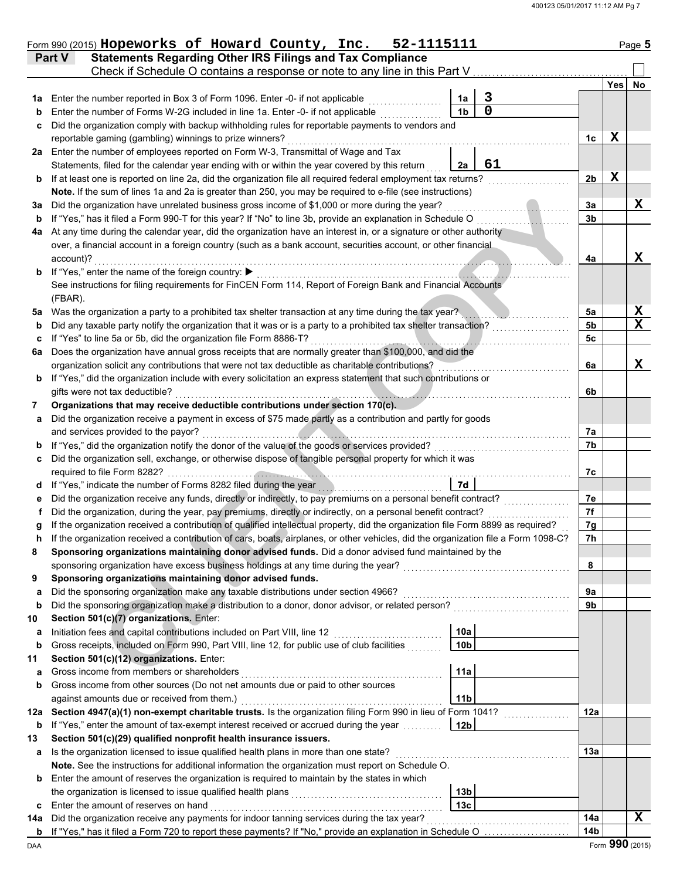|          | Form 990 (2015) Hopeworks of Howard County, Inc.<br>52-1115111                                                                                                                                             |                 |     | Page 5                          |
|----------|------------------------------------------------------------------------------------------------------------------------------------------------------------------------------------------------------------|-----------------|-----|---------------------------------|
|          | <b>Statements Regarding Other IRS Filings and Tax Compliance</b><br><b>Part V</b><br>Check if Schedule O contains a response or note to any line in this Part V                                            |                 |     |                                 |
|          |                                                                                                                                                                                                            |                 | Yes | <b>No</b>                       |
| 1a       | 3<br>Enter the number reported in Box 3 of Form 1096. Enter -0- if not applicable<br>1a                                                                                                                    |                 |     |                                 |
| b        | 0<br>1 <sub>b</sub><br>Enter the number of Forms W-2G included in line 1a. Enter -0- if not applicable                                                                                                     |                 |     |                                 |
| c        | Did the organization comply with backup withholding rules for reportable payments to vendors and                                                                                                           |                 |     |                                 |
|          | reportable gaming (gambling) winnings to prize winners?                                                                                                                                                    | 1c              | X   |                                 |
|          | 2a Enter the number of employees reported on Form W-3, Transmittal of Wage and Tax                                                                                                                         |                 |     |                                 |
|          | 61<br>Statements, filed for the calendar year ending with or within the year covered by this return<br>2a                                                                                                  |                 |     |                                 |
| b        | If at least one is reported on line 2a, did the organization file all required federal employment tax returns?                                                                                             | 2 <sub>b</sub>  | X   |                                 |
|          | Note. If the sum of lines 1a and 2a is greater than 250, you may be required to e-file (see instructions)                                                                                                  |                 |     |                                 |
| За       | Did the organization have unrelated business gross income of \$1,000 or more during the year?                                                                                                              | За              |     | X                               |
| b        | If "Yes," has it filed a Form 990-T for this year? If "No" to line 3b, provide an explanation in Schedule O                                                                                                | 3 <sub>b</sub>  |     |                                 |
| 4a       | At any time during the calendar year, did the organization have an interest in, or a signature or other authority                                                                                          |                 |     |                                 |
|          | over, a financial account in a foreign country (such as a bank account, securities account, or other financial                                                                                             |                 |     |                                 |
|          | account)?                                                                                                                                                                                                  | 4a              |     | x                               |
| b        | If "Yes," enter the name of the foreign country: ▶                                                                                                                                                         |                 |     |                                 |
|          | See instructions for filing requirements for FinCEN Form 114, Report of Foreign Bank and Financial Accounts                                                                                                |                 |     |                                 |
|          | (FBAR).                                                                                                                                                                                                    |                 |     |                                 |
| 5a       | Was the organization a party to a prohibited tax shelter transaction at any time during the tax year?                                                                                                      | 5a              |     | $\frac{\mathbf{x}}{\mathbf{x}}$ |
| b        | Did any taxable party notify the organization that it was or is a party to a prohibited tax shelter transaction?                                                                                           | 5b              |     |                                 |
| c        | If "Yes" to line 5a or 5b, did the organization file Form 8886-T?                                                                                                                                          | 5c              |     |                                 |
| 6а       | Does the organization have annual gross receipts that are normally greater than \$100,000, and did the<br>organization solicit any contributions that were not tax deductible as charitable contributions? |                 |     | X                               |
| b        | If "Yes," did the organization include with every solicitation an express statement that such contributions or                                                                                             | 6a              |     |                                 |
|          | gifts were not tax deductible?                                                                                                                                                                             | 6b              |     |                                 |
| 7        | Organizations that may receive deductible contributions under section 170(c).                                                                                                                              |                 |     |                                 |
| а        | Did the organization receive a payment in excess of \$75 made partly as a contribution and partly for goods                                                                                                |                 |     |                                 |
|          | and services provided to the payor?                                                                                                                                                                        | 7a              |     |                                 |
| b        | If "Yes," did the organization notify the donor of the value of the goods or services provided?                                                                                                            | 7b              |     |                                 |
| c        | Did the organization sell, exchange, or otherwise dispose of tangible personal property for which it was                                                                                                   |                 |     |                                 |
|          | required to file Form 8282?                                                                                                                                                                                | 7c              |     |                                 |
| d        | If "Yes," indicate the number of Forms 8282 filed during the year<br>7d                                                                                                                                    |                 |     |                                 |
| е        | Did the organization receive any funds, directly or indirectly, to pay premiums on a personal benefit contract?                                                                                            | 7e              |     |                                 |
|          | Did the organization, during the year, pay premiums, directly or indirectly, on a personal benefit contract?                                                                                               | 7f              |     |                                 |
|          | If the organization received a contribution of qualified intellectual property, did the organization file Form 8899 as required?                                                                           | 7q              |     |                                 |
| h        | If the organization received a contribution of cars, boats, airplanes, or other vehicles, did the organization file a Form 1098-C?                                                                         | 7h              |     |                                 |
| 8        | Sponsoring organizations maintaining donor advised funds. Did a donor advised fund maintained by the                                                                                                       |                 |     |                                 |
|          | sponsoring organization have excess business holdings at any time during the year?                                                                                                                         | 8               |     |                                 |
| 9        | Sponsoring organizations maintaining donor advised funds.                                                                                                                                                  |                 |     |                                 |
| a        | Did the sponsoring organization make any taxable distributions under section 4966?                                                                                                                         | 9а              |     |                                 |
| b        |                                                                                                                                                                                                            | 9b              |     |                                 |
| 10       | Section 501(c)(7) organizations. Enter:                                                                                                                                                                    |                 |     |                                 |
| а        | 10a<br>Initiation fees and capital contributions included on Part VIII, line 12                                                                                                                            |                 |     |                                 |
| b        | 10 <sub>b</sub><br>Gross receipts, included on Form 990, Part VIII, line 12, for public use of club facilities                                                                                             |                 |     |                                 |
| 11       | Section 501(c)(12) organizations. Enter:                                                                                                                                                                   |                 |     |                                 |
| а        | Gross income from members or shareholders<br>11a                                                                                                                                                           |                 |     |                                 |
| b        | Gross income from other sources (Do not net amounts due or paid to other sources                                                                                                                           |                 |     |                                 |
|          | 11 <sub>b</sub><br>against amounts due or received from them.)                                                                                                                                             |                 |     |                                 |
| 12a      | Section 4947(a)(1) non-exempt charitable trusts. Is the organization filing Form 990 in lieu of Form 1041?                                                                                                 | 12a             |     |                                 |
| b        | If "Yes," enter the amount of tax-exempt interest received or accrued during the year<br>12 <sub>b</sub>                                                                                                   |                 |     |                                 |
| 13       | Section 501(c)(29) qualified nonprofit health insurance issuers.                                                                                                                                           |                 |     |                                 |
| а        | Is the organization licensed to issue qualified health plans in more than one state?                                                                                                                       | 13a             |     |                                 |
|          | Note. See the instructions for additional information the organization must report on Schedule O.                                                                                                          |                 |     |                                 |
| b        | Enter the amount of reserves the organization is required to maintain by the states in which                                                                                                               |                 |     |                                 |
|          | 13 <sub>b</sub><br>13 <sub>c</sub>                                                                                                                                                                         |                 |     |                                 |
| c        | Enter the amount of reserves on hand<br>Did the organization receive any payments for indoor tanning services during the tax year?                                                                         | 14a             |     | X                               |
| 14a      |                                                                                                                                                                                                            | 14 <sub>b</sub> |     |                                 |
| b<br>DAA |                                                                                                                                                                                                            |                 |     | Form 990 (2015)                 |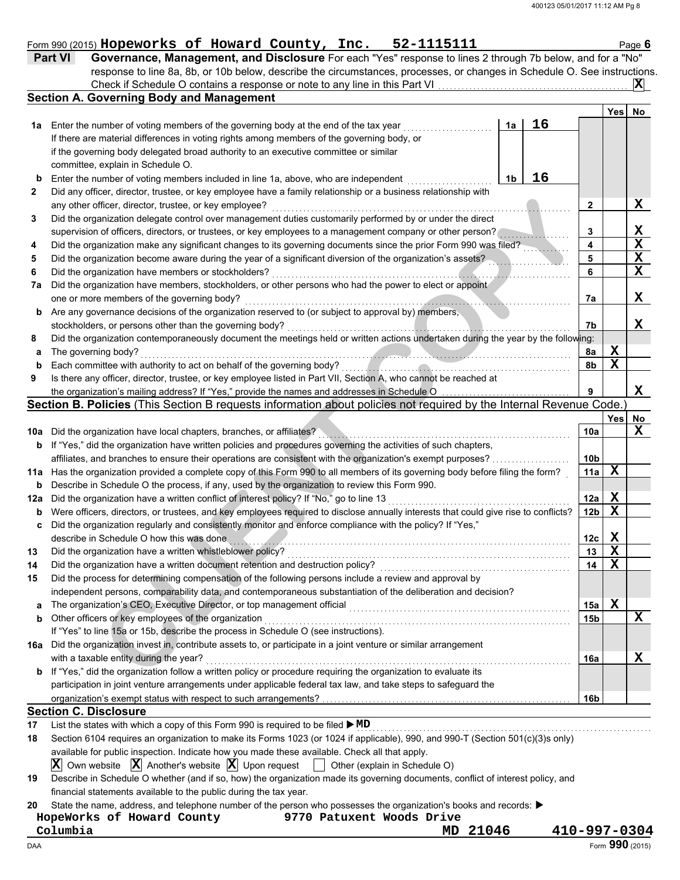### Form 990 (2015) Hopeworks of Howard County, Inc. 52-1115111 Page 6

| <b>Part VI</b> | Governance, Management, and Disclosure For each "Yes" response to lines 2 through 7b below, and for a "No"                |
|----------------|---------------------------------------------------------------------------------------------------------------------------|
|                | response to line 8a, 8b, or 10b below, describe the circumstances, processes, or changes in Schedule O. See instructions. |
|                | Check if Schedule O contains a response or note to any line in this Part VI.                                              |
|                |                                                                                                                           |

|              | <b>Section A. Governing Body and Management</b>                                                                                     |    |    |                 |             |                  |
|--------------|-------------------------------------------------------------------------------------------------------------------------------------|----|----|-----------------|-------------|------------------|
|              |                                                                                                                                     |    |    |                 | Yes         | No               |
| 1а           | Enter the number of voting members of the governing body at the end of the tax year                                                 | 1a | 16 |                 |             |                  |
|              | If there are material differences in voting rights among members of the governing body, or                                          |    |    |                 |             |                  |
|              | if the governing body delegated broad authority to an executive committee or similar                                                |    |    |                 |             |                  |
|              | committee, explain in Schedule O.                                                                                                   |    |    |                 |             |                  |
| b            | Enter the number of voting members included in line 1a, above, who are independent                                                  | 1b | 16 |                 |             |                  |
| $\mathbf{2}$ | Did any officer, director, trustee, or key employee have a family relationship or a business relationship with                      |    |    |                 |             |                  |
|              | any other officer, director, trustee, or key employee?                                                                              |    |    | 2               |             | X                |
| 3            | Did the organization delegate control over management duties customarily performed by or under the direct                           |    |    |                 |             |                  |
|              | supervision of officers, directors, or trustees, or key employees to a management company or other person?                          |    |    | 3               |             | X<br>$\mathbf X$ |
| 4            | Did the organization make any significant changes to its governing documents since the prior Form 990 was filed?                    |    |    | 4               |             |                  |
| 5            | Did the organization become aware during the year of a significant diversion of the organization's assets?                          |    |    | 5               |             | X<br>X           |
| 6            | Did the organization have members or stockholders?                                                                                  |    |    | 6               |             |                  |
| 7a           | Did the organization have members, stockholders, or other persons who had the power to elect or appoint                             |    |    |                 |             |                  |
|              | one or more members of the governing body?                                                                                          |    |    | 7a              |             | X                |
| b            | Are any governance decisions of the organization reserved to (or subject to approval by) members,                                   |    |    |                 |             |                  |
|              | stockholders, or persons other than the governing body?                                                                             |    |    | 7b              |             | x                |
| 8            | Did the organization contemporaneously document the meetings held or written actions undertaken during the year by the following:   |    |    |                 |             |                  |
| a            | The governing body?                                                                                                                 |    |    | 8a              | Х           |                  |
| b            | Each committee with authority to act on behalf of the governing body?                                                               |    |    | 8b              | $\mathbf x$ |                  |
| 9            | Is there any officer, director, trustee, or key employee listed in Part VII, Section A, who cannot be reached at                    |    |    |                 |             |                  |
|              | the organization's mailing address? If "Yes," provide the names and addresses in Schedule O                                         |    |    | 9               |             | X                |
|              | Section B. Policies (This Section B requests information about policies not required by the Internal Revenue Code.)                 |    |    |                 |             |                  |
|              |                                                                                                                                     |    |    |                 | Yes         | No<br>x          |
| 10a          | Did the organization have local chapters, branches, or affiliates?                                                                  |    |    | 10a             |             |                  |
| b            | If "Yes," did the organization have written policies and procedures governing the activities of such chapters,                      |    |    |                 |             |                  |
|              | affiliates, and branches to ensure their operations are consistent with the organization's exempt purposes?                         |    |    | 10 <sub>b</sub> | X           |                  |
| 11a          | Has the organization provided a complete copy of this Form 990 to all members of its governing body before filing the form?         |    |    | 11a             |             |                  |
| b            | Describe in Schedule O the process, if any, used by the organization to review this Form 990.                                       |    |    |                 | X           |                  |
| 12a          | Did the organization have a written conflict of interest policy? If "No," go to line 13                                             |    |    | 12a             | X           |                  |
| b            | Were officers, directors, or trustees, and key employees required to disclose annually interests that could give rise to conflicts? |    |    | 12b             |             |                  |
| c            | Did the organization regularly and consistently monitor and enforce compliance with the policy? If "Yes,"                           |    |    |                 | x           |                  |
|              | describe in Schedule O how this was done                                                                                            |    |    | 12c             | X           |                  |
| 13           | Did the organization have a written whistleblower policy?                                                                           |    |    | 13              | X           |                  |
| 14           | Did the organization have a written document retention and destruction policy?                                                      |    |    | 14              |             |                  |
| 15           | Did the process for determining compensation of the following persons include a review and approval by                              |    |    |                 |             |                  |
|              | independent persons, comparability data, and contemporaneous substantiation of the deliberation and decision?                       |    |    |                 | X           |                  |
|              | The organization's CEO, Executive Director, or top management official<br>Other officers or key employees of the organization       |    |    | 15a             |             |                  |
| b            |                                                                                                                                     |    |    | 15b             |             | X                |
|              | If "Yes" to line 15a or 15b, describe the process in Schedule O (see instructions).                                                 |    |    |                 |             |                  |
| 16a          | Did the organization invest in, contribute assets to, or participate in a joint venture or similar arrangement                      |    |    |                 |             |                  |
|              | with a taxable entity during the year?                                                                                              |    |    | 16a             |             | X                |
| b            | If "Yes," did the organization follow a written policy or procedure requiring the organization to evaluate its                      |    |    |                 |             |                  |
|              | participation in joint venture arrangements under applicable federal tax law, and take steps to safeguard the                       |    |    |                 |             |                  |
|              |                                                                                                                                     |    |    | 16 <sub>b</sub> |             |                  |
|              | <b>Section C. Disclosure</b>                                                                                                        |    |    |                 |             |                  |
| 17           | List the states with which a copy of this Form 990 is required to be filed ▶ MD                                                     |    |    |                 |             |                  |
| 18           | Section 6104 requires an organization to make its Forms 1023 (or 1024 if applicable), 990, and 990-T (Section 501(c)(3)s only)      |    |    |                 |             |                  |
|              | available for public inspection. Indicate how you made these available. Check all that apply.                                       |    |    |                 |             |                  |

 $\overline{\textbf{X}}$  Own website  $\overline{\textbf{X}}$  Another's website  $\overline{\textbf{X}}$  Upon request  $\overline{\phantom{a}}$  Other (explain in Schedule O)

**19** Describe in Schedule O whether (and if so, how) the organization made its governing documents, conflict of interest policy, and financial statements available to the public during the tax year.

**20** State the name, address, and telephone number of the person who possesses the organization's books and records: ▶

**HopeWorks of Howard County 9770 Patuxent Woods Drive Columbia MD 21046 410-997-0304**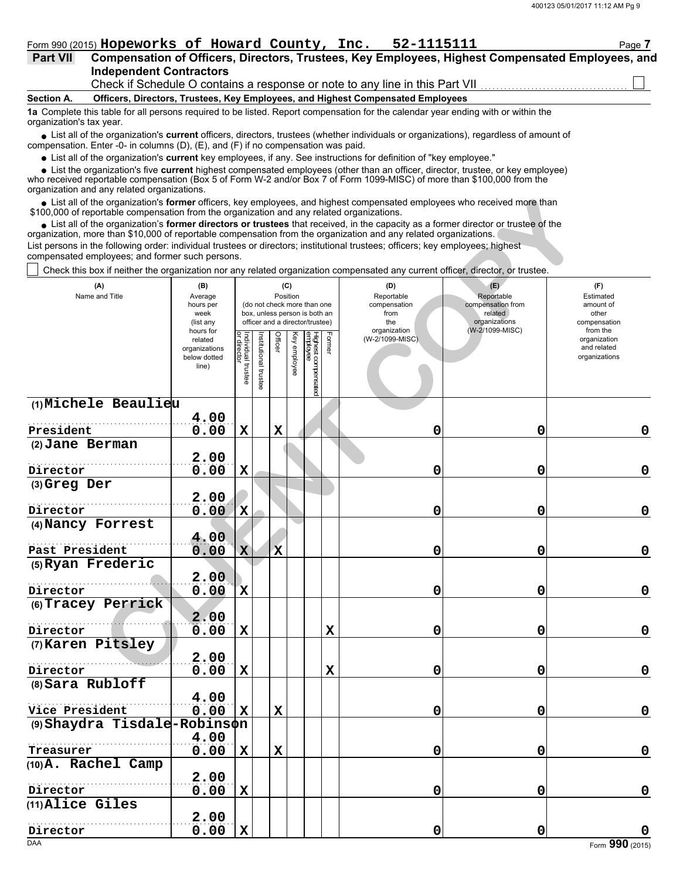|  | Form 990 (2015) Hopeworks of Howard County, Inc. |  |  | 52-1115111 |                                                                                                           | Page 7 |
|--|--------------------------------------------------|--|--|------------|-----------------------------------------------------------------------------------------------------------|--------|
|  |                                                  |  |  |            | Part VII Compensation of Officers, Directors, Trustees, Key Employees, Highest Compensated Employees, and |        |
|  | <b>Independent Contractors</b>                   |  |  |            |                                                                                                           |        |
|  | $\sim$ $\sim$ $\sim$ $\sim$ $\sim$               |  |  |            |                                                                                                           |        |

Check if Schedule O contains a response or note to any line in this Part VII

**Section A. Officers, Directors, Trustees, Key Employees, and Highest Compensated Employees**

**1a** Complete this table for all persons required to be listed. Report compensation for the calendar year ending with or within the organization's tax year.

■ List all of the organization's **current** officers, directors, trustees (whether individuals or organizations), regardless of amount of compensation. Enter -0- in columns (D), (E), and (F) if no compensation was paid.

List all of the organization's **current** key employees, if any. See instructions for definition of "key employee."

■ List all of the organization's **current** key employees, if any. See instructions for definition of "key employee."<br>■ List the organization's five **current** highest compensated employees (other than an officer, director,

who received reportable compensation (Box 5 of Form W-2 and/or Box 7 of Form 1099-MISC) of more than \$100,000 from the organization and any related organizations.

| • List all of the organization's former officers, key employees, and highest compensated employees who received more than<br>\$100,000 of reportable compensation from the organization and any related organizations.                              |                               |                                   |                      |             |                                                                                        |                                                              |        |                      |                                  |                             |
|-----------------------------------------------------------------------------------------------------------------------------------------------------------------------------------------------------------------------------------------------------|-------------------------------|-----------------------------------|----------------------|-------------|----------------------------------------------------------------------------------------|--------------------------------------------------------------|--------|----------------------|----------------------------------|-----------------------------|
| • List all of the organization's former directors or trustees that received, in the capacity as a former director or trustee of the                                                                                                                 |                               |                                   |                      |             |                                                                                        |                                                              |        |                      |                                  |                             |
| organization, more than \$10,000 of reportable compensation from the organization and any related organizations.<br>List persons in the following order: individual trustees or directors; institutional trustees; officers; key employees; highest |                               |                                   |                      |             |                                                                                        |                                                              |        |                      |                                  |                             |
| compensated employees; and former such persons.                                                                                                                                                                                                     |                               |                                   |                      |             |                                                                                        |                                                              |        |                      |                                  |                             |
| Check this box if neither the organization nor any related organization compensated any current officer, director, or trustee.                                                                                                                      |                               |                                   |                      |             |                                                                                        |                                                              |        |                      |                                  |                             |
| (A)<br>Name and Title                                                                                                                                                                                                                               | (B)<br>Average                |                                   |                      |             | (C)<br>Position                                                                        |                                                              |        | (D)<br>Reportable    | (E)<br>Reportable                | (F)<br>Estimated            |
|                                                                                                                                                                                                                                                     | hours per<br>week             |                                   |                      |             |                                                                                        | (do not check more than one<br>box, unless person is both an |        | compensation<br>from | compensation from<br>related     | amount of<br>other          |
|                                                                                                                                                                                                                                                     | (list any<br>hours for        |                                   |                      |             |                                                                                        | officer and a director/trustee)                              |        | the<br>organization  | organizations<br>(W-2/1099-MISC) | compensation<br>from the    |
|                                                                                                                                                                                                                                                     | related                       | Individual trustee<br>or director |                      | Officer     |                                                                                        |                                                              | Former | (W-2/1099-MISC)      |                                  | organization<br>and related |
|                                                                                                                                                                                                                                                     | organizations<br>below dotted |                                   |                      |             | <ey employee<="" td=""><td></td><td></td><td></td><td></td><td>organizations</td></ey> |                                                              |        |                      |                                  | organizations               |
|                                                                                                                                                                                                                                                     | line)                         |                                   | nstitutional trustee |             |                                                                                        |                                                              |        |                      |                                  |                             |
|                                                                                                                                                                                                                                                     |                               |                                   |                      |             |                                                                                        | Highest compensated<br>employee                              |        |                      |                                  |                             |
| (1) Michele Beaulieu                                                                                                                                                                                                                                |                               |                                   |                      |             |                                                                                        |                                                              |        |                      |                                  |                             |
|                                                                                                                                                                                                                                                     | 4.00                          |                                   |                      |             |                                                                                        |                                                              |        |                      |                                  |                             |
| President                                                                                                                                                                                                                                           | 0.00                          | $\mathbf X$                       |                      | X           |                                                                                        |                                                              |        | 0                    | 0                                | 0                           |
| (2) Jane Berman                                                                                                                                                                                                                                     |                               |                                   |                      |             |                                                                                        |                                                              |        |                      |                                  |                             |
| Director                                                                                                                                                                                                                                            | 2.00<br>0.00                  | $\mathbf X$                       |                      |             |                                                                                        |                                                              |        | 0                    | 0                                | $\mathbf 0$                 |
| (3) Greg Der                                                                                                                                                                                                                                        |                               |                                   |                      |             |                                                                                        |                                                              |        |                      |                                  |                             |
|                                                                                                                                                                                                                                                     | 2.00                          |                                   |                      |             |                                                                                        |                                                              |        |                      |                                  |                             |
| Director                                                                                                                                                                                                                                            | 0.00                          | $\mathbf x$                       |                      |             |                                                                                        |                                                              |        | 0                    | 0                                | 0                           |
| (4) Nancy Forrest                                                                                                                                                                                                                                   |                               |                                   |                      |             |                                                                                        |                                                              |        |                      |                                  |                             |
| Past President                                                                                                                                                                                                                                      | 4.00<br>0.00                  | $\mathbf x$                       |                      | $\mathbf x$ |                                                                                        |                                                              |        | 0                    | 0                                | 0                           |
| (5) Ryan Frederic                                                                                                                                                                                                                                   |                               |                                   |                      |             |                                                                                        |                                                              |        |                      |                                  |                             |
|                                                                                                                                                                                                                                                     | 2.00                          |                                   |                      |             |                                                                                        |                                                              |        |                      |                                  |                             |
| Director                                                                                                                                                                                                                                            | 0.00                          | X                                 |                      |             |                                                                                        |                                                              |        | 0                    | 0                                | $\mathbf 0$                 |
| (6) Tracey Perrick                                                                                                                                                                                                                                  |                               |                                   |                      |             |                                                                                        |                                                              |        |                      |                                  |                             |
|                                                                                                                                                                                                                                                     | 2.00                          |                                   |                      |             |                                                                                        |                                                              |        |                      |                                  |                             |
| Director                                                                                                                                                                                                                                            | 0.00                          | X                                 |                      |             |                                                                                        |                                                              | X      | 0                    | 0                                | $\mathbf 0$                 |
| (7) Karen Pitsley                                                                                                                                                                                                                                   | 2.00                          |                                   |                      |             |                                                                                        |                                                              |        |                      |                                  |                             |
| Director                                                                                                                                                                                                                                            | 0.00                          | $\mathbf X$                       |                      |             |                                                                                        |                                                              | X      | 0                    | 0                                | $\pmb{0}$                   |
| (8) Sara Rubloff                                                                                                                                                                                                                                    |                               |                                   |                      |             |                                                                                        |                                                              |        |                      |                                  |                             |
|                                                                                                                                                                                                                                                     | 4.00                          |                                   |                      |             |                                                                                        |                                                              |        |                      |                                  |                             |
| Vice President                                                                                                                                                                                                                                      | 0.00                          | X                                 |                      | $\mathbf x$ |                                                                                        |                                                              |        | 0                    | 0                                | $\mathbf 0$                 |
| (9) Shaydra Tisdale-Robinson                                                                                                                                                                                                                        |                               |                                   |                      |             |                                                                                        |                                                              |        |                      |                                  |                             |
|                                                                                                                                                                                                                                                     | 4.00                          |                                   |                      |             |                                                                                        |                                                              |        |                      |                                  |                             |
| Treasurer                                                                                                                                                                                                                                           | 0.00                          | X                                 |                      | $\mathbf x$ |                                                                                        |                                                              |        | 0                    | $\mathbf 0$                      | $\mathbf 0$                 |
| (10) A. Rachel Camp                                                                                                                                                                                                                                 | 2.00                          |                                   |                      |             |                                                                                        |                                                              |        |                      |                                  |                             |
| Director                                                                                                                                                                                                                                            | 0.00                          | X                                 |                      |             |                                                                                        |                                                              |        | 0                    | 0                                | $\mathbf 0$                 |
| (11) Alice Giles                                                                                                                                                                                                                                    |                               |                                   |                      |             |                                                                                        |                                                              |        |                      |                                  |                             |
|                                                                                                                                                                                                                                                     | 2.00                          |                                   |                      |             |                                                                                        |                                                              |        |                      |                                  |                             |
| Director                                                                                                                                                                                                                                            | 0.00                          | X                                 |                      |             |                                                                                        |                                                              |        | 0                    | $\mathbf 0$                      | 0                           |
| <b>DAA</b>                                                                                                                                                                                                                                          |                               |                                   |                      |             |                                                                                        |                                                              |        |                      |                                  | Form 990 (2015)             |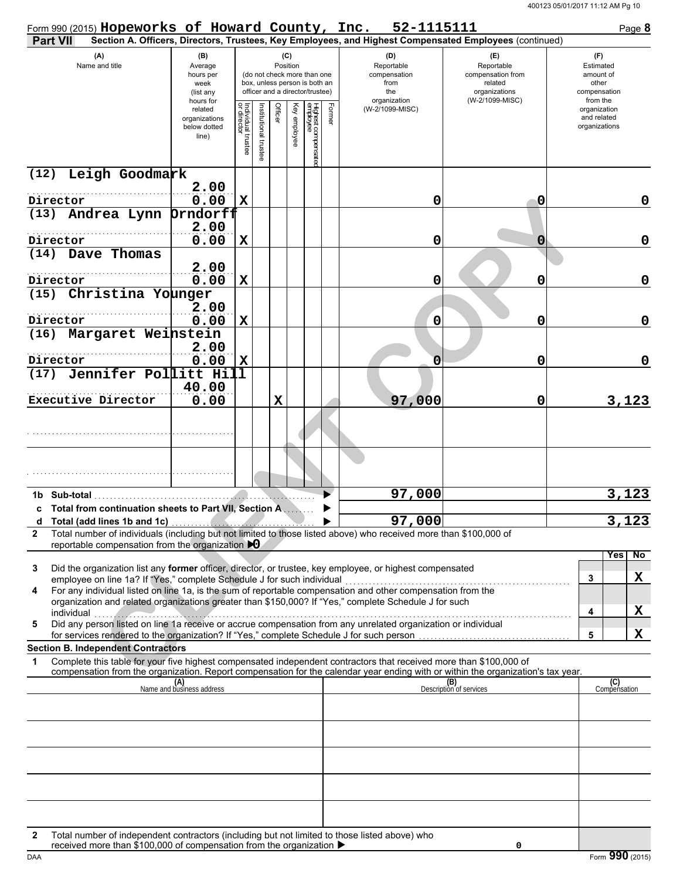|                    |                                                                                                                                                                                                                                      |                                                               |                                   |                      |         |                 |                                                                                                 |           | Form 990 (2015) Hopeworks of Howard County, Inc. 52-1115111                                                                                                                                                                                                                                                                      |                                                                                       | Page 8                                                             |
|--------------------|--------------------------------------------------------------------------------------------------------------------------------------------------------------------------------------------------------------------------------------|---------------------------------------------------------------|-----------------------------------|----------------------|---------|-----------------|-------------------------------------------------------------------------------------------------|-----------|----------------------------------------------------------------------------------------------------------------------------------------------------------------------------------------------------------------------------------------------------------------------------------------------------------------------------------|---------------------------------------------------------------------------------------|--------------------------------------------------------------------|
| <b>Part VII</b>    |                                                                                                                                                                                                                                      |                                                               |                                   |                      |         |                 |                                                                                                 |           | Section A. Officers, Directors, Trustees, Key Employees, and Highest Compensated Employees (continued)                                                                                                                                                                                                                           |                                                                                       |                                                                    |
|                    | (A)<br>Name and title                                                                                                                                                                                                                | (B)<br>Average<br>hours per<br>week<br>(list any<br>hours for |                                   |                      |         | (C)<br>Position | (do not check more than one<br>box, unless person is both an<br>officer and a director/trustee) |           | (D)<br>Reportable<br>compensation<br>from<br>the<br>organization                                                                                                                                                                                                                                                                 | (E)<br>Reportable<br>compensation from<br>related<br>organizations<br>(W-2/1099-MISC) | (F)<br>Estimated<br>amount of<br>other<br>compensation<br>from the |
|                    |                                                                                                                                                                                                                                      | related<br>organizations<br>below dotted<br>line)             | Individual trustee<br>or director | nstitutional trustee | Officer | employee        | Highest compensate<br>employee                                                                  | Form<br>෧ | (W-2/1099-MISC)                                                                                                                                                                                                                                                                                                                  |                                                                                       | organization<br>and related<br>organizations                       |
| (12)               | Leigh Goodmark                                                                                                                                                                                                                       |                                                               |                                   |                      |         |                 |                                                                                                 |           |                                                                                                                                                                                                                                                                                                                                  |                                                                                       |                                                                    |
| Director           | .                                                                                                                                                                                                                                    | 2.00<br>0.00                                                  | $\mathbf x$                       |                      |         |                 |                                                                                                 |           | 0                                                                                                                                                                                                                                                                                                                                | 0                                                                                     | 0                                                                  |
|                    | (13) Andrea Lynn                                                                                                                                                                                                                     | Orndorff                                                      |                                   |                      |         |                 |                                                                                                 |           |                                                                                                                                                                                                                                                                                                                                  |                                                                                       |                                                                    |
| Director           |                                                                                                                                                                                                                                      | 2.00                                                          |                                   |                      |         |                 |                                                                                                 |           | 0                                                                                                                                                                                                                                                                                                                                | 0                                                                                     | $\mathbf 0$                                                        |
| (14) Dave Thomas   |                                                                                                                                                                                                                                      | 0.00                                                          | $\mathbf X$                       |                      |         |                 |                                                                                                 |           |                                                                                                                                                                                                                                                                                                                                  |                                                                                       |                                                                    |
| Director           |                                                                                                                                                                                                                                      | 2.00<br>0.00                                                  | $\mathbf x$                       |                      |         |                 |                                                                                                 |           | 0                                                                                                                                                                                                                                                                                                                                | 0                                                                                     | $\mathbf 0$                                                        |
|                    | (15) Christina Younger                                                                                                                                                                                                               |                                                               |                                   |                      |         |                 |                                                                                                 |           |                                                                                                                                                                                                                                                                                                                                  |                                                                                       |                                                                    |
| Director           |                                                                                                                                                                                                                                      | 2.00<br>0.00                                                  | $\mathbf x$                       |                      |         |                 |                                                                                                 |           | 0                                                                                                                                                                                                                                                                                                                                | 0                                                                                     | $\mathbf 0$                                                        |
|                    | (16) Margaret Weinstein                                                                                                                                                                                                              | 2.00                                                          |                                   |                      |         |                 |                                                                                                 |           |                                                                                                                                                                                                                                                                                                                                  |                                                                                       |                                                                    |
| Director           |                                                                                                                                                                                                                                      | 0.00                                                          | $\mathbf x$                       |                      |         |                 |                                                                                                 |           | 0                                                                                                                                                                                                                                                                                                                                | 0                                                                                     | $\mathbf 0$                                                        |
| (17)               | Jennifer Pollitt Hill                                                                                                                                                                                                                | 40.00                                                         |                                   |                      |         |                 |                                                                                                 |           |                                                                                                                                                                                                                                                                                                                                  |                                                                                       |                                                                    |
| Executive Director |                                                                                                                                                                                                                                      | 0.00                                                          |                                   |                      | Χ       |                 |                                                                                                 |           | 97,000                                                                                                                                                                                                                                                                                                                           | 0                                                                                     | 3,123                                                              |
|                    |                                                                                                                                                                                                                                      |                                                               |                                   |                      |         |                 |                                                                                                 |           |                                                                                                                                                                                                                                                                                                                                  |                                                                                       |                                                                    |
|                    |                                                                                                                                                                                                                                      |                                                               |                                   |                      |         |                 |                                                                                                 |           |                                                                                                                                                                                                                                                                                                                                  |                                                                                       |                                                                    |
|                    | 1b Sub-total                                                                                                                                                                                                                         |                                                               |                                   |                      |         |                 |                                                                                                 |           | 97,000                                                                                                                                                                                                                                                                                                                           |                                                                                       | 3,123                                                              |
|                    | c Total from continuation sheets to Part VII, Section A.                                                                                                                                                                             |                                                               |                                   |                      |         |                 |                                                                                                 |           |                                                                                                                                                                                                                                                                                                                                  |                                                                                       |                                                                    |
|                    | d Total (add lines 1b and 1c)                                                                                                                                                                                                        |                                                               |                                   |                      |         |                 |                                                                                                 |           | 97,000                                                                                                                                                                                                                                                                                                                           |                                                                                       | 3,123                                                              |
| $\mathbf{2}$       | reportable compensation from the organization $\blacktriangleright$ 0                                                                                                                                                                |                                                               |                                   |                      |         |                 |                                                                                                 |           | Total number of individuals (including but not limited to those listed above) who received more than \$100,000 of                                                                                                                                                                                                                |                                                                                       |                                                                    |
| 3<br>4             | employee on line 1a? If "Yes," complete Schedule J for such individual                                                                                                                                                               |                                                               |                                   |                      |         |                 |                                                                                                 |           | Did the organization list any former officer, director, or trustee, key employee, or highest compensated<br>For any individual listed on line 1a, is the sum of reportable compensation and other compensation from the<br>organization and related organizations greater than \$150,000? If "Yes," complete Schedule J for such |                                                                                       | Yes<br>$\overline{N}$<br>x<br>3                                    |
| 5                  | individual <b>contract of the contract of the contract of the contract of the contract of the contract of the contract of the contract of the contract of the contract of the contract of the contract of the contract of the co</b> |                                                               |                                   |                      |         |                 |                                                                                                 |           | Did any person listed on line 1a receive or accrue compensation from any unrelated organization or individual                                                                                                                                                                                                                    |                                                                                       | 4<br>X                                                             |
|                    | <b>Section B. Independent Contractors</b>                                                                                                                                                                                            |                                                               |                                   |                      |         |                 |                                                                                                 |           | for services rendered to the organization? If "Yes," complete Schedule J for such person                                                                                                                                                                                                                                         |                                                                                       | X<br>5                                                             |
| 1                  |                                                                                                                                                                                                                                      |                                                               |                                   |                      |         |                 |                                                                                                 |           | Complete this table for your five highest compensated independent contractors that received more than \$100,000 of<br>compensation from the organization. Report compensation for the calendar year ending with or within the organization's tax year.                                                                           |                                                                                       |                                                                    |
|                    |                                                                                                                                                                                                                                      | (A)<br>Name and business address                              |                                   |                      |         |                 |                                                                                                 |           |                                                                                                                                                                                                                                                                                                                                  | (B)<br>Description of services                                                        | (C)<br>Compensation                                                |
|                    |                                                                                                                                                                                                                                      |                                                               |                                   |                      |         |                 |                                                                                                 |           |                                                                                                                                                                                                                                                                                                                                  |                                                                                       |                                                                    |
|                    |                                                                                                                                                                                                                                      |                                                               |                                   |                      |         |                 |                                                                                                 |           |                                                                                                                                                                                                                                                                                                                                  |                                                                                       |                                                                    |
|                    |                                                                                                                                                                                                                                      |                                                               |                                   |                      |         |                 |                                                                                                 |           |                                                                                                                                                                                                                                                                                                                                  |                                                                                       |                                                                    |
|                    |                                                                                                                                                                                                                                      |                                                               |                                   |                      |         |                 |                                                                                                 |           |                                                                                                                                                                                                                                                                                                                                  |                                                                                       |                                                                    |
|                    |                                                                                                                                                                                                                                      |                                                               |                                   |                      |         |                 |                                                                                                 |           |                                                                                                                                                                                                                                                                                                                                  |                                                                                       |                                                                    |
| 2                  | received more than \$100,000 of compensation from the organization ▶                                                                                                                                                                 |                                                               |                                   |                      |         |                 |                                                                                                 |           | Total number of independent contractors (including but not limited to those listed above) who                                                                                                                                                                                                                                    | 0                                                                                     |                                                                    |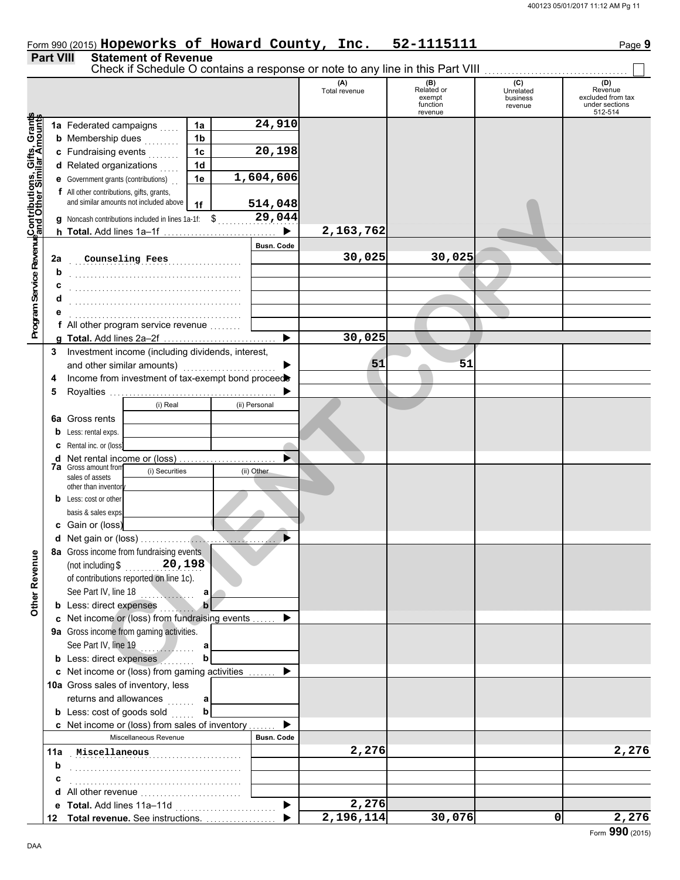#### Form 990 (2015) Hopeworks of Howard County, Inc. 52-1115111 Page 9 **Part VIII Statement of Revenue** Check if Schedule O contains a response or note to any line in this Part VIII. **(A) (B) (C) (D)** Total revenue **Related or Revenue**<br>
excluded from tax<br>
excluded from tax exempt business function under sections revenue 512-514 revenue **Contributions, Gifts, Grants and Other Similar Amounts** Grants **24,910 1a 1a** Federated campaigns ..... Gifts, Gra<br>illar Amou **1b b** Membership dues <sub>. . .</sub> . . . . . **20,198 1c c** Fundraising events **. . . . . . 1d d** Related organizations **.** . . . . Program Service RevenueContributions, **1,604,606 1e e** Government grants (contributions) . . **f** All other contributions, gifts, grants, and similar amounts not included above **Process with builded in this 1st (1946)**<br>
and the state of the state of the state of the state of the state of the state of the state of the state of the state of the state of the state of the state of the state of the s **514,048 1f** \$ . . . . . . . . . . . . . . . . . . . . . **29,044 g** Noncash contributions included in lines 1a-1f: **2,163,762**  $\blacktriangleright$ **h Total.** Add lines 1a–1f . . . . . . . . . . . . . . . . . . . . . . . . . . . . . **Program Service Revenue Busn. Code** . . . . . . . . . . . . . . . . . . . . . . . . . . . . . . . . . . . . . . . . . . . . **Counseling Fees 30,025 30,025 2a b** . . . . . . . . . . . . . . . . . . . . . . . . . . . . . . . . . . . . . . . . . . . . **c** . . . . . . . . . . . . . . . . . . . . . . . . . . . . . . . . . . . . . . . . . . . . **d** . . . . . . . . . . . . . . . . . . . . . . . . . . . . . . . . . . . . . . . . . . . . **e** . . . . . . . . . . . . . . . . . . . . . . . . . . . . . . . . . . . . . . . . . . . . **f** All other program service revenue . . . . . . . . **30,025 g Total.** Add lines 2a–2f . . . . . . . . . . . . . . . . . . . . . . . . . . . . . **3** Investment income (including dividends, interest, **51 51** and other similar amounts)  $\blacksquare$ **4** Income from investment of tax-exempt bond proceed **5** Royalties .. ▶ (i) Real (ii) Personal **6a** Gross rents **b** Less: rental exps. **c** Rental inc. or (loss) **d** Net rental income or (loss) . . . . . . . . . . . . . . . . . . . . . . . . . D **7a** Gross amount from (i) Securities (ii) Other sales of assets other than inventor **b** Less: cost or other basis & sales exps. **c** Gain or (loss) **d** Net gain or (loss) . . . . . . . . . . . . . . . . . . . . . . . . . . . . . . . . . . . **8a** Gross income from fundraising events **Other Revenue Other Revenue** (not including \$ . . . . . . . . . . . . . . . . . . . . **20,198** of contributions reported on line 1c). See Part IV, line 18 **a b b** Less: direct expenses . . . . . . . . **c** Net income or (loss) from fundraising events . . . . . .  $\blacktriangleright$ **9a** Gross income from gaming activities. See Part IV, line 19 . . . . . . . . . . . . . . **a b b** Less: direct expenses .........  $\blacktriangleright$ Net income or (loss) from gaming activities . . . . . . . **c** 10a Gross sales of inventory, less returns and allowances **a b b** Less:  $\cosh$  of goods  $\sinh$ ь Net income or (loss) from sales of inventory . . . . . . . **c** Miscellaneous Revenue **Busn. Code 11a** . . . . . . . . . . . . . . . . . . . . . . . . . . . . . . . . . . . . . . . . . . . . **Miscellaneous 2,276 2,276 b c** . . . . . . . . . . . . . . . . . . . . . . . . . . . . . . . . . . . . . . . . . . . . **d** All other revenue . . . . . . . . . . . . . . . . . . . . . . . . . .  $\blacktriangleright$ **2,276 e Total.** Add lines 11a–11d . . . . . . . . . . . . . . . . . . . . . . . . . . **2,196,114 30,076 0 2,276** ь **Total revenue.** See instructions. . . . . . . . . . . . . . . . . . . **12**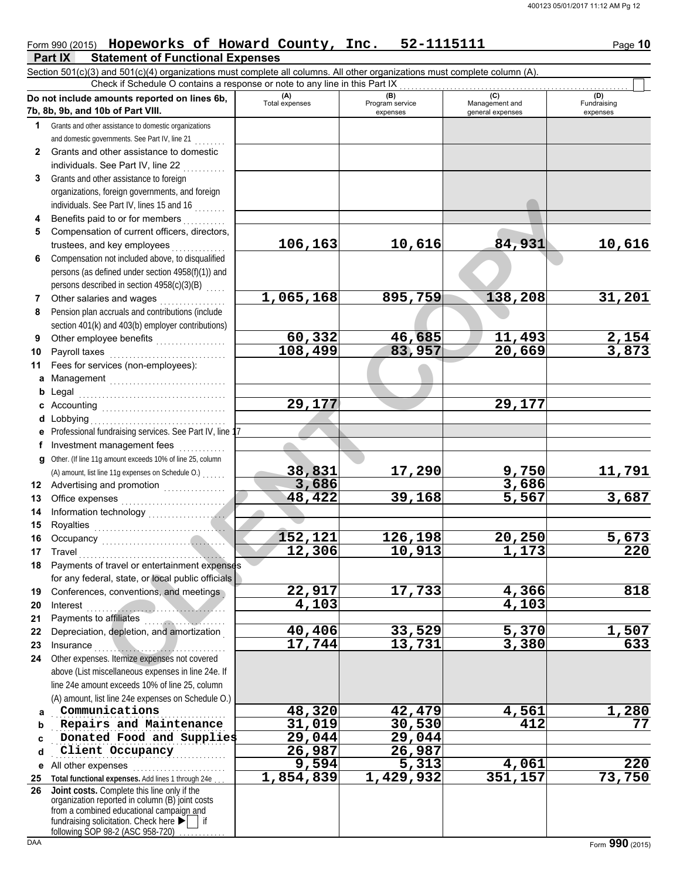#### **Part IX Statement of Functional Expenses** Form 990 (2015) Hopeworks of Howard County, Inc. 52-1115111 Page 10 Section 501(c)(3) and 501(c)(4) organizations must complete all columns. All other organizations must complete column (A). **Do not include amounts reported on lines 6b, 7b, 8b, 9b, and 10b of Part VIII. 1 2 3 4 5 6 7 8 9 10 11 a** Management . . . . . . . . . . . . . . . . . . . . . . . . . . . . . . **b** Legal **c** Accounting . . . . . . . . . . . . . . . . . . . . . . . . . . . . . . . . **d** Lobbying . . . . . . . . . . . . . . . . . . . . . . . . . . . . . . . . . . . **e f g** Other. (If line 11g amount exceeds 10% of line 25, column **12** Advertising and promotion **. . . . . . . . . . . .** . . **13 14 15 16 17 18 19 20 21 22 23 24 a b c d e** All other expenses . . . . . . . . . . . . . . . . . . . . . . . . **25 Total functional expenses.** Add lines 1 through 24e . . . **26** Grants and other assistance to domestic organizations and domestic governments. See Part IV, line 21 Grants and other assistance to domestic individuals. See Part IV, line 22 Grants and other assistance to foreign organizations, foreign governments, and foreign individuals. See Part IV, lines 15 and 16 Benefits paid to or for members . . . . . . . . . . Compensation of current officers, directors, trustees, and key employees . . . . . . . . Compensation not included above, to disqualified persons (as defined under section 4958(f)(1)) and persons described in section  $4958(c)(3)(B)$ Other salaries and wages .................. Pension plan accruals and contributions (include section 401(k) and 403(b) employer contributions) Other employee benefits . . . . . . . . . . . . . . . . . . Payroll taxes Fees for services (non-employees): Legal . . . . . . . . . . . . . . . . . . . . . . . . . . . . . . . . . . . . . . Professional fundraising services. See Part IV, line 1 Investment management fees ............. Office expenses . . . . . . . . . . . . . . . . . . . . . . . . . . . Information technology . . . . . . . . . . . . . . . . . . . . Royalties . . . . . . . . . . . . . . . . . . . . . . . . . . . . . . . . . . Occupancy . . . . . . . . . . . . . . . . . . . . . . . . . . . . . . . . Travel . . . . . . . . . . . . . . . . . . . . . . . . . . . . . . . . . . . . . . Payments of travel or entertainment expenses for any federal, state, or local public officials Conferences, conventions, and meetings . Interest . . . . . . . . . . . . . . . . . . . . . . . . . . . . . . . . . . . . Payments to affiliates . . . . . . . . . . . . . . . . . . . . . Depreciation, depletion, and amortization . Insurance . . . . . . . . . . . . . . . . . . . . . . . . . . . . . . . . . . Other expenses. Itemize expenses not covered above (List miscellaneous expenses in line 24e. If line 24e amount exceeds 10% of line 25, column (A) amount, list line 24e expenses on Schedule O.) fundraising solicitation. Check here  $\blacktriangleright$  | if organization reported in column (B) joint costs from a combined educational campaign and following SOP 98-2 (ASC 958-720) **(A)** (B) (B) (B) (C) (C) (A) (D)<br>Total expenses Program service Management and Fundrai expenses general expenses (D)<br>Fundraising expenses **Communications** 1, 280 48, 320 42, 479 4, 561 1, 280 . . . . . . . . . . . . . . . . . . . . . . . . . . . . . . . . . . . . . . . . . . . . . **Repairs and Maintenance 31,019 30,530 412 77 Donated Food and Supplies** 29,044 29,044 **Client Occupancy** 26,987 26,987 Check if Schedule O contains a response or note to any line in this Part IX **Joint costs.** Complete this line only if the (A) amount, list line 11g expenses on Schedule O.) . . . . . . **106,163 10,616 84,931 10,616 1,065,168 895,759 138,208 31,201 60,332 46,685 11,493 2,154 108,499 29,177 29,177 38,831 17,290 9,750 11,791 3,686 3,686 48,422 39,168 5,567 3,687 152,121 126,198 20,250 5,673 12,306 10,913 1,173 220 22,917 17,733 4,366 818 4,103 4,103 40,406 33,529 5,370 1,507 17,744 13,731 3,380 633 9,594 5,313 4,061 220 1,854,839 1,429,932 351,157 73,750 Example To the Control of Correct offices (section)**<br>
and to or former different content content content content of Correct offices (1990)<br>
the mixed and contributions in the column of the control of the control of the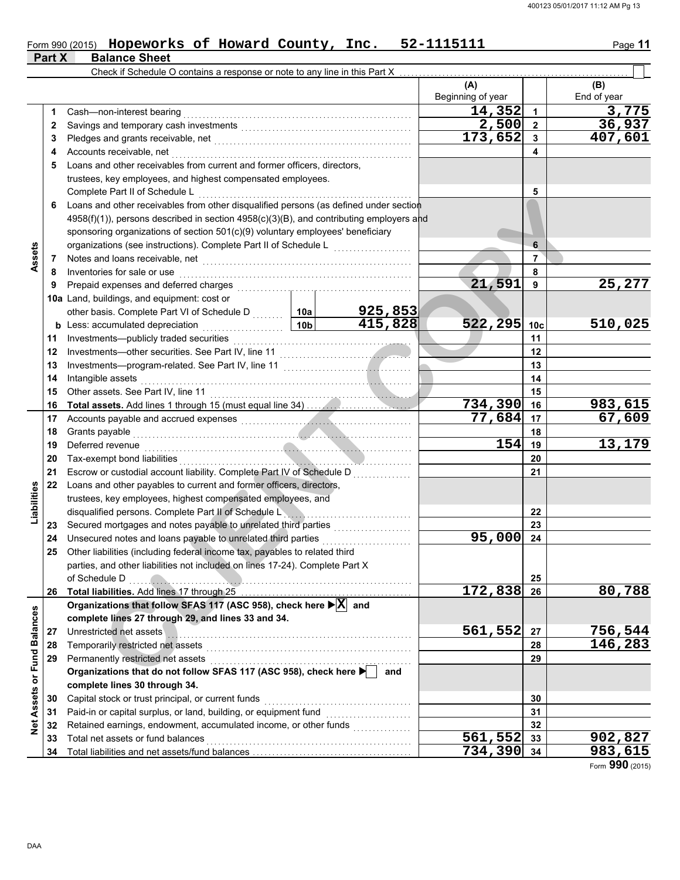|                             | Part X   | Form 990 (2015) Hopeworks of Howard County, Inc. 52-1115111<br><b>Balance Sheet</b>                                                                                                                                            |                 |                                     |                   |                 | Page 11     |
|-----------------------------|----------|--------------------------------------------------------------------------------------------------------------------------------------------------------------------------------------------------------------------------------|-----------------|-------------------------------------|-------------------|-----------------|-------------|
|                             |          | Check if Schedule O contains a response or note to any line in this Part X                                                                                                                                                     |                 |                                     |                   |                 |             |
|                             |          |                                                                                                                                                                                                                                |                 |                                     | (A)               |                 | (B)         |
|                             |          |                                                                                                                                                                                                                                |                 |                                     | Beginning of year |                 | End of year |
|                             | 1        | Cash-non-interest bearing                                                                                                                                                                                                      |                 |                                     | 14,352            | 1               | 3,775       |
|                             | 2        |                                                                                                                                                                                                                                |                 |                                     | 2,500             | $\mathbf{2}$    | 36,937      |
|                             | 3        |                                                                                                                                                                                                                                |                 |                                     | 173,652           | 3               | 407,601     |
|                             | 4        | Accounts receivable, net                                                                                                                                                                                                       |                 |                                     |                   | 4               |             |
|                             | 5        | Loans and other receivables from current and former officers, directors,                                                                                                                                                       |                 |                                     |                   |                 |             |
|                             |          | trustees, key employees, and highest compensated employees.                                                                                                                                                                    |                 |                                     |                   |                 |             |
|                             |          | Complete Part II of Schedule L                                                                                                                                                                                                 |                 |                                     |                   | 5               |             |
|                             | 6        | Loans and other receivables from other disqualified persons (as defined under section                                                                                                                                          |                 |                                     |                   |                 |             |
|                             |          | 4958(f)(1)), persons described in section 4958(c)(3)(B), and contributing employers and                                                                                                                                        |                 |                                     |                   |                 |             |
|                             |          | sponsoring organizations of section 501(c)(9) voluntary employees' beneficiary                                                                                                                                                 |                 |                                     |                   |                 |             |
| Assets                      |          | organizations (see instructions). Complete Part II of Schedule L                                                                                                                                                               |                 | and a straightful and a straightful |                   | 6               |             |
|                             | 7        |                                                                                                                                                                                                                                |                 |                                     |                   | $\overline{7}$  |             |
|                             | 8        | Inventories for sale or use                                                                                                                                                                                                    |                 |                                     |                   | 8               |             |
|                             | 9        | Prepaid expenses and deferred charges                                                                                                                                                                                          |                 |                                     | 21,591            | 9               | 25,277      |
|                             |          | 10a Land, buildings, and equipment: cost or                                                                                                                                                                                    |                 |                                     |                   |                 |             |
|                             |          |                                                                                                                                                                                                                                | 10 <sub>b</sub> | 925,853<br>415,828                  | 522,295           |                 | 510,025     |
|                             |          | <b>b</b> Less: accumulated depreciation<br>.                                                                                                                                                                                   |                 |                                     |                   | 10 <sub>c</sub> |             |
|                             | 11       | Investments-publicly traded securities<br>Investments-other securities. See Part IV, line 11                                                                                                                                   |                 |                                     |                   | 11<br>12        |             |
|                             | 12       |                                                                                                                                                                                                                                |                 |                                     |                   | 13              |             |
|                             | 13<br>14 | Intangible assets                                                                                                                                                                                                              |                 |                                     |                   | 14              |             |
|                             | 15       | Other assets. See Part IV, line 11                                                                                                                                                                                             |                 |                                     |                   | 15              |             |
|                             | 16       |                                                                                                                                                                                                                                |                 |                                     | 734,390           | 16              | 983,615     |
|                             | 17       | Accounts payable and accrued expenses [[11] Accounts may be a series and accrued expenses [11] Accounts may be a series with a series with the series with the series with the series with the series with the series with the |                 |                                     | 77,684            | 17              | 67,609      |
|                             | 18       | Grants payable                                                                                                                                                                                                                 |                 |                                     |                   | 18              |             |
|                             | 19       | Deferred revenue                                                                                                                                                                                                               |                 |                                     | 154               | 19              | 13,179      |
|                             | 20       | Tax-exempt bond liabilities                                                                                                                                                                                                    |                 |                                     |                   | 20              |             |
|                             | 21       | Escrow or custodial account liability. Complete Part IV of Schedule D                                                                                                                                                          |                 | .                                   |                   | 21              |             |
|                             | 22       | Loans and other payables to current and former officers, directors,                                                                                                                                                            |                 |                                     |                   |                 |             |
|                             |          | trustees, key employees, highest compensated employees, and                                                                                                                                                                    |                 |                                     |                   |                 |             |
| Liabilities                 |          | disqualified persons. Complete Part II of Schedule L                                                                                                                                                                           |                 |                                     |                   | 22              |             |
|                             | 23       | Secured mortgages and notes payable to unrelated third parties                                                                                                                                                                 |                 |                                     |                   | 23              |             |
|                             | 24       | Unsecured notes and loans payable to unrelated third parties                                                                                                                                                                   |                 |                                     | 95,000            | 24              |             |
|                             | 25       | Other liabilities (including federal income tax, payables to related third                                                                                                                                                     |                 |                                     |                   |                 |             |
|                             |          | parties, and other liabilities not included on lines 17-24). Complete Part X                                                                                                                                                   |                 |                                     |                   |                 |             |
|                             |          | of Schedule D<br>.                                                                                                                                                                                                             |                 |                                     |                   | 25              |             |
|                             | 26       |                                                                                                                                                                                                                                |                 |                                     | 172,838           | 26              | 80,788      |
|                             |          | Organizations that follow SFAS 117 (ASC 958), check here $\blacktriangleright$ $\mathbf{X}$ and                                                                                                                                |                 |                                     |                   |                 |             |
|                             |          | complete lines 27 through 29, and lines 33 and 34.                                                                                                                                                                             |                 |                                     |                   |                 |             |
|                             | 27       | Unrestricted net assets                                                                                                                                                                                                        |                 |                                     | 561,552           | 27              | 756,544     |
|                             | 28       | Temporarily restricted net assets                                                                                                                                                                                              |                 |                                     |                   | 28              | 146,283     |
|                             | 29       | Permanently restricted net assets                                                                                                                                                                                              |                 |                                     |                   | 29              |             |
|                             |          | Organizations that do not follow SFAS 117 (ASC 958), check here ▶   and                                                                                                                                                        |                 |                                     |                   |                 |             |
|                             |          | complete lines 30 through 34.                                                                                                                                                                                                  |                 |                                     |                   |                 |             |
|                             | 30       | Capital stock or trust principal, or current funds                                                                                                                                                                             |                 |                                     |                   | 30              |             |
| Net Assets or Fund Balances | 31       | Paid-in or capital surplus, or land, building, or equipment fund                                                                                                                                                               |                 |                                     |                   | 31              |             |
|                             | 32       | Retained earnings, endowment, accumulated income, or other funds                                                                                                                                                               |                 |                                     |                   | 32              |             |
|                             | 33       | Total net assets or fund balances                                                                                                                                                                                              |                 |                                     | 561,552           | 33              | 902,827     |
|                             | 34       |                                                                                                                                                                                                                                |                 |                                     | 734,390           | 34              | 983,615     |

Form **990** (2015)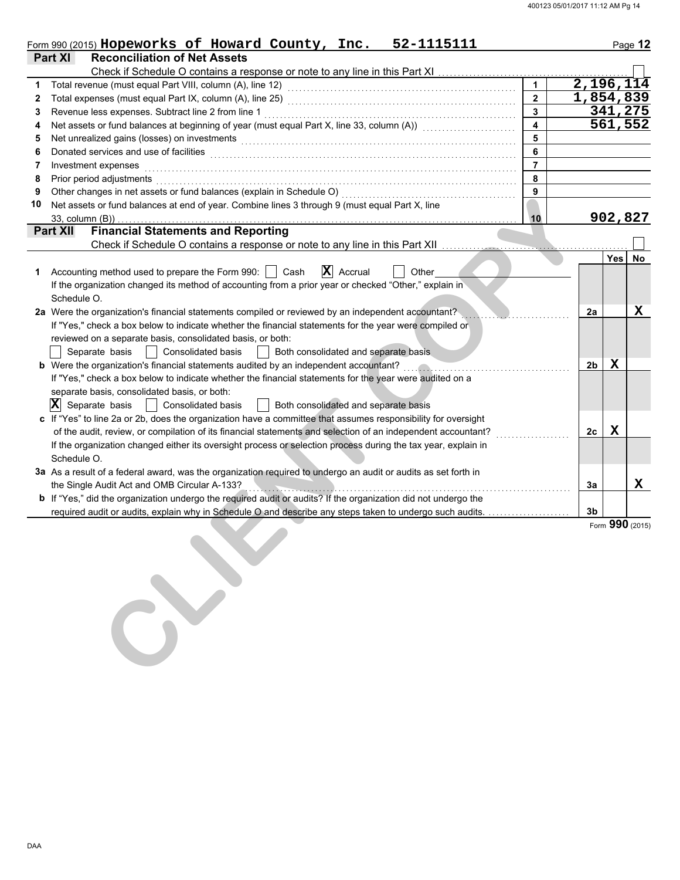|    | Form 990 (2015) Hopeworks of Howard County, Inc.<br>52-1115111                                                                                                             |                |                |             | Page 12         |
|----|----------------------------------------------------------------------------------------------------------------------------------------------------------------------------|----------------|----------------|-------------|-----------------|
|    | <b>Reconciliation of Net Assets</b><br>Part XI                                                                                                                             |                |                |             |                 |
|    | Check if Schedule O contains a response or note to any line in this Part XI                                                                                                |                |                |             |                 |
| 1  | Total revenue (must equal Part VIII, column (A), line 12)                                                                                                                  | $\mathbf{1}$   | 2,196,114      |             |                 |
| 2  | Total expenses (must equal Part IX, column (A), line 25)<br>and a complete the contract of the complete the complete the complete the complete the complete the complete t | $\overline{2}$ | 1,854,839      |             |                 |
| 3  | Revenue less expenses. Subtract line 2 from line 1                                                                                                                         | 3              |                |             | 341,275         |
| 4  | Net assets or fund balances at beginning of year (must equal Part X, line 33, column (A))                                                                                  | 4              |                |             | 561,552         |
| 5  | Net unrealized gains (losses) on investments                                                                                                                               | 5              |                |             |                 |
| 6  | Donated services and use of facilities                                                                                                                                     | 6              |                |             |                 |
| 7  | Investment expenses                                                                                                                                                        | $\overline{7}$ |                |             |                 |
| 8  | Prior period adjustments                                                                                                                                                   | 8              |                |             |                 |
| 9  | Other changes in net assets or fund balances (explain in Schedule O)                                                                                                       | 9              |                |             |                 |
| 10 | Net assets or fund balances at end of year. Combine lines 3 through 9 (must equal Part X, line                                                                             |                |                |             |                 |
|    | 33, column (B))<br><b>Financial Statements and Reporting</b><br><b>Part XII</b>                                                                                            | 10             |                |             | 902,827         |
|    | Check if Schedule O contains a response or note to any line in this Part XII                                                                                               |                |                |             |                 |
|    |                                                                                                                                                                            |                |                | <b>Yes</b>  | No              |
| 1  | Accounting method used to prepare the Form 990:<br>$ \mathbf{X} $ Accrual<br>Cash<br>Other                                                                                 |                |                |             |                 |
|    | If the organization changed its method of accounting from a prior year or checked "Other," explain in                                                                      |                |                |             |                 |
|    | Schedule O.                                                                                                                                                                |                |                |             |                 |
|    | 2a Were the organization's financial statements compiled or reviewed by an independent accountant?                                                                         |                | 2a             |             | $\mathbf X$     |
|    | If "Yes," check a box below to indicate whether the financial statements for the year were compiled or                                                                     |                |                |             |                 |
|    | reviewed on a separate basis, consolidated basis, or both:                                                                                                                 |                |                |             |                 |
|    | Separate basis<br>Consolidated basis<br>Both consolidated and separate basis                                                                                               |                |                |             |                 |
|    | b Were the organization's financial statements audited by an independent accountant?                                                                                       |                | 2 <sub>b</sub> | $\mathbf X$ |                 |
|    | If "Yes," check a box below to indicate whether the financial statements for the year were audited on a                                                                    |                |                |             |                 |
|    | separate basis, consolidated basis, or both:                                                                                                                               |                |                |             |                 |
|    | $ \mathbf{X} $ Separate basis<br>Both consolidated and separate basis<br>Consolidated basis                                                                                |                |                |             |                 |
|    | c If "Yes" to line 2a or 2b, does the organization have a committee that assumes responsibility for oversight                                                              |                |                |             |                 |
|    | of the audit, review, or compilation of its financial statements and selection of an independent accountant?                                                               |                | 2 <sub>c</sub> | $\mathbf X$ |                 |
|    | If the organization changed either its oversight process or selection process during the tax year, explain in                                                              |                |                |             |                 |
|    | Schedule O.                                                                                                                                                                |                |                |             |                 |
|    | 3a As a result of a federal award, was the organization required to undergo an audit or audits as set forth in                                                             |                |                |             |                 |
|    | the Single Audit Act and OMB Circular A-133?                                                                                                                               |                | За             |             | X               |
|    | b If "Yes," did the organization undergo the required audit or audits? If the organization did not undergo the                                                             |                |                |             |                 |
|    | required audit or audits, explain why in Schedule O and describe any steps taken to undergo such audits.                                                                   |                | 3b             |             |                 |
|    |                                                                                                                                                                            |                |                |             | Form 990 (2015) |
|    |                                                                                                                                                                            |                |                |             |                 |
|    |                                                                                                                                                                            |                |                |             |                 |
|    |                                                                                                                                                                            |                |                |             |                 |
|    |                                                                                                                                                                            |                |                |             |                 |
|    |                                                                                                                                                                            |                |                |             |                 |
|    |                                                                                                                                                                            |                |                |             |                 |
|    |                                                                                                                                                                            |                |                |             |                 |
|    |                                                                                                                                                                            |                |                |             |                 |
|    |                                                                                                                                                                            |                |                |             |                 |
|    |                                                                                                                                                                            |                |                |             |                 |
|    |                                                                                                                                                                            |                |                |             |                 |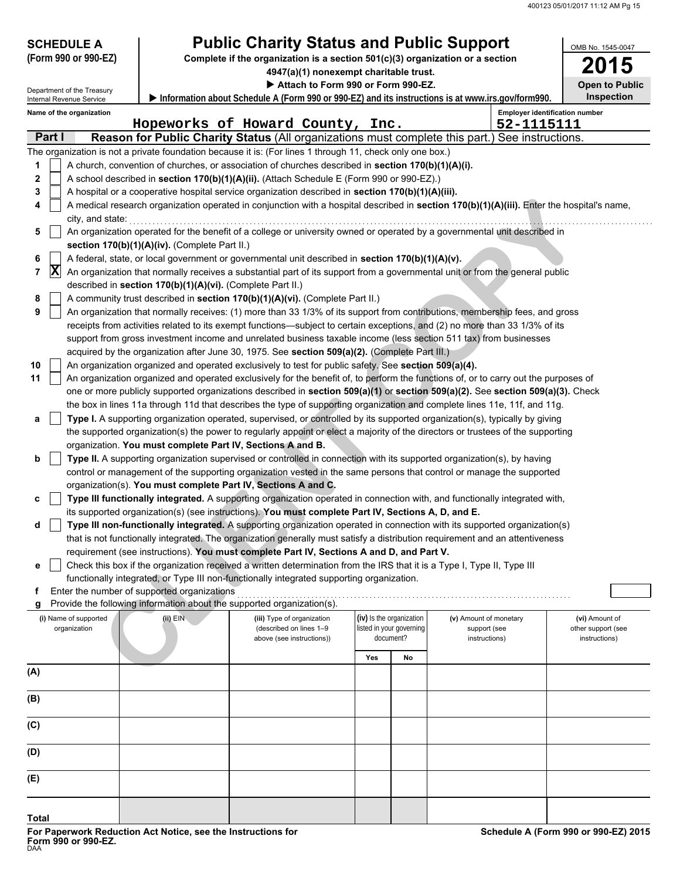| <b>SCHEDULE A</b>                                    |                                                                                                                           | <b>Public Charity Status and Public Support</b>                                                                         |                                                      |                                                                                                                                                                                                                                                                | OMB No. 1545-0047                          |  |  |  |  |  |  |
|------------------------------------------------------|---------------------------------------------------------------------------------------------------------------------------|-------------------------------------------------------------------------------------------------------------------------|------------------------------------------------------|----------------------------------------------------------------------------------------------------------------------------------------------------------------------------------------------------------------------------------------------------------------|--------------------------------------------|--|--|--|--|--|--|
| (Form 990 or 990-EZ)                                 |                                                                                                                           | Complete if the organization is a section 501(c)(3) organization or a section<br>2015                                   |                                                      |                                                                                                                                                                                                                                                                |                                            |  |  |  |  |  |  |
|                                                      |                                                                                                                           | 4947(a)(1) nonexempt charitable trust.                                                                                  |                                                      |                                                                                                                                                                                                                                                                |                                            |  |  |  |  |  |  |
| Department of the Treasury                           |                                                                                                                           | Attach to Form 990 or Form 990-EZ.                                                                                      |                                                      | Information about Schedule A (Form 990 or 990-EZ) and its instructions is at www.irs.gov/form990.                                                                                                                                                              | <b>Open to Public</b><br><b>Inspection</b> |  |  |  |  |  |  |
| Internal Revenue Service<br>Name of the organization |                                                                                                                           |                                                                                                                         |                                                      |                                                                                                                                                                                                                                                                | <b>Employer identification number</b>      |  |  |  |  |  |  |
|                                                      |                                                                                                                           | Hopeworks of Howard County, Inc.                                                                                        |                                                      | 52-1115111                                                                                                                                                                                                                                                     |                                            |  |  |  |  |  |  |
| Part I                                               |                                                                                                                           |                                                                                                                         |                                                      | Reason for Public Charity Status (All organizations must complete this part.) See instructions.                                                                                                                                                                |                                            |  |  |  |  |  |  |
|                                                      |                                                                                                                           | The organization is not a private foundation because it is: (For lines 1 through 11, check only one box.)               |                                                      |                                                                                                                                                                                                                                                                |                                            |  |  |  |  |  |  |
| 1                                                    |                                                                                                                           | A church, convention of churches, or association of churches described in section 170(b)(1)(A)(i).                      |                                                      |                                                                                                                                                                                                                                                                |                                            |  |  |  |  |  |  |
| 2                                                    |                                                                                                                           | A school described in section 170(b)(1)(A)(ii). (Attach Schedule E (Form 990 or 990-EZ).)                               |                                                      |                                                                                                                                                                                                                                                                |                                            |  |  |  |  |  |  |
| 3<br>4                                               |                                                                                                                           | A hospital or a cooperative hospital service organization described in section 170(b)(1)(A)(iii).                       |                                                      | A medical research organization operated in conjunction with a hospital described in section 170(b)(1)(A)(iii). Enter the hospital's name,                                                                                                                     |                                            |  |  |  |  |  |  |
| city, and state:                                     |                                                                                                                           |                                                                                                                         |                                                      |                                                                                                                                                                                                                                                                |                                            |  |  |  |  |  |  |
| 5                                                    | An organization operated for the benefit of a college or university owned or operated by a governmental unit described in |                                                                                                                         |                                                      |                                                                                                                                                                                                                                                                |                                            |  |  |  |  |  |  |
|                                                      | section 170(b)(1)(A)(iv). (Complete Part II.)                                                                             |                                                                                                                         |                                                      |                                                                                                                                                                                                                                                                |                                            |  |  |  |  |  |  |
| 6                                                    |                                                                                                                           | A federal, state, or local government or governmental unit described in section 170(b)(1)(A)(v).                        |                                                      |                                                                                                                                                                                                                                                                |                                            |  |  |  |  |  |  |
| $ \mathbf{X} $<br>7                                  |                                                                                                                           |                                                                                                                         |                                                      | An organization that normally receives a substantial part of its support from a governmental unit or from the general public                                                                                                                                   |                                            |  |  |  |  |  |  |
|                                                      | described in section 170(b)(1)(A)(vi). (Complete Part II.)                                                                |                                                                                                                         |                                                      |                                                                                                                                                                                                                                                                |                                            |  |  |  |  |  |  |
| 8<br>9                                               |                                                                                                                           | A community trust described in section 170(b)(1)(A)(vi). (Complete Part II.)                                            |                                                      |                                                                                                                                                                                                                                                                |                                            |  |  |  |  |  |  |
|                                                      |                                                                                                                           |                                                                                                                         |                                                      | An organization that normally receives: (1) more than 33 1/3% of its support from contributions, membership fees, and gross<br>receipts from activities related to its exempt functions—subject to certain exceptions, and (2) no more than 33 1/3% of its     |                                            |  |  |  |  |  |  |
|                                                      |                                                                                                                           |                                                                                                                         |                                                      | support from gross investment income and unrelated business taxable income (less section 511 tax) from businesses                                                                                                                                              |                                            |  |  |  |  |  |  |
|                                                      |                                                                                                                           | acquired by the organization after June 30, 1975. See section 509(a)(2). (Complete Part III.)                           |                                                      |                                                                                                                                                                                                                                                                |                                            |  |  |  |  |  |  |
| 10                                                   |                                                                                                                           | An organization organized and operated exclusively to test for public safety. See section 509(a)(4).                    |                                                      |                                                                                                                                                                                                                                                                |                                            |  |  |  |  |  |  |
| 11                                                   |                                                                                                                           |                                                                                                                         |                                                      | An organization organized and operated exclusively for the benefit of, to perform the functions of, or to carry out the purposes of                                                                                                                            |                                            |  |  |  |  |  |  |
|                                                      |                                                                                                                           |                                                                                                                         |                                                      | one or more publicly supported organizations described in section 509(a)(1) or section 509(a)(2). See section 509(a)(3). Check                                                                                                                                 |                                            |  |  |  |  |  |  |
|                                                      |                                                                                                                           |                                                                                                                         |                                                      | the box in lines 11a through 11d that describes the type of supporting organization and complete lines 11e, 11f, and 11g.                                                                                                                                      |                                            |  |  |  |  |  |  |
| a                                                    |                                                                                                                           |                                                                                                                         |                                                      | Type I. A supporting organization operated, supervised, or controlled by its supported organization(s), typically by giving<br>the supported organization(s) the power to regularly appoint or elect a majority of the directors or trustees of the supporting |                                            |  |  |  |  |  |  |
|                                                      | organization. You must complete Part IV, Sections A and B.                                                                |                                                                                                                         |                                                      |                                                                                                                                                                                                                                                                |                                            |  |  |  |  |  |  |
| b                                                    |                                                                                                                           |                                                                                                                         |                                                      | Type II. A supporting organization supervised or controlled in connection with its supported organization(s), by having                                                                                                                                        |                                            |  |  |  |  |  |  |
|                                                      |                                                                                                                           |                                                                                                                         |                                                      | control or management of the supporting organization vested in the same persons that control or manage the supported                                                                                                                                           |                                            |  |  |  |  |  |  |
|                                                      |                                                                                                                           | organization(s). You must complete Part IV, Sections A and C.                                                           |                                                      |                                                                                                                                                                                                                                                                |                                            |  |  |  |  |  |  |
| c                                                    |                                                                                                                           |                                                                                                                         |                                                      | Type III functionally integrated. A supporting organization operated in connection with, and functionally integrated with,                                                                                                                                     |                                            |  |  |  |  |  |  |
|                                                      |                                                                                                                           | its supported organization(s) (see instructions). You must complete Part IV, Sections A, D, and E.                      |                                                      |                                                                                                                                                                                                                                                                |                                            |  |  |  |  |  |  |
|                                                      |                                                                                                                           |                                                                                                                         |                                                      | Type III non-functionally integrated. A supporting organization operated in connection with its supported organization(s)                                                                                                                                      |                                            |  |  |  |  |  |  |
|                                                      |                                                                                                                           | requirement (see instructions). You must complete Part IV, Sections A and D, and Part V.                                |                                                      | that is not functionally integrated. The organization generally must satisfy a distribution requirement and an attentiveness                                                                                                                                   |                                            |  |  |  |  |  |  |
| е                                                    |                                                                                                                           | Check this box if the organization received a written determination from the IRS that it is a Type I, Type II, Type III |                                                      |                                                                                                                                                                                                                                                                |                                            |  |  |  |  |  |  |
|                                                      |                                                                                                                           | functionally integrated, or Type III non-functionally integrated supporting organization.                               |                                                      |                                                                                                                                                                                                                                                                |                                            |  |  |  |  |  |  |
| f                                                    | Enter the number of supported organizations                                                                               |                                                                                                                         |                                                      |                                                                                                                                                                                                                                                                |                                            |  |  |  |  |  |  |
| g                                                    |                                                                                                                           | Provide the following information about the supported organization(s).                                                  |                                                      |                                                                                                                                                                                                                                                                |                                            |  |  |  |  |  |  |
| (i) Name of supported<br>organization                | (ii) EIN                                                                                                                  | (iii) Type of organization<br>(described on lines 1-9                                                                   | (iv) Is the organization<br>listed in your governing | (v) Amount of monetary<br>support (see                                                                                                                                                                                                                         | (vi) Amount of<br>other support (see       |  |  |  |  |  |  |
|                                                      |                                                                                                                           | above (see instructions))                                                                                               | document?                                            | instructions)                                                                                                                                                                                                                                                  | instructions)                              |  |  |  |  |  |  |
|                                                      |                                                                                                                           |                                                                                                                         | Yes<br>No                                            |                                                                                                                                                                                                                                                                |                                            |  |  |  |  |  |  |
| (A)                                                  |                                                                                                                           |                                                                                                                         |                                                      |                                                                                                                                                                                                                                                                |                                            |  |  |  |  |  |  |
|                                                      |                                                                                                                           |                                                                                                                         |                                                      |                                                                                                                                                                                                                                                                |                                            |  |  |  |  |  |  |
| (B)                                                  |                                                                                                                           |                                                                                                                         |                                                      |                                                                                                                                                                                                                                                                |                                            |  |  |  |  |  |  |
|                                                      |                                                                                                                           |                                                                                                                         |                                                      |                                                                                                                                                                                                                                                                |                                            |  |  |  |  |  |  |
| (C)                                                  |                                                                                                                           |                                                                                                                         |                                                      |                                                                                                                                                                                                                                                                |                                            |  |  |  |  |  |  |
|                                                      |                                                                                                                           |                                                                                                                         |                                                      |                                                                                                                                                                                                                                                                |                                            |  |  |  |  |  |  |
| (D)                                                  |                                                                                                                           |                                                                                                                         |                                                      |                                                                                                                                                                                                                                                                |                                            |  |  |  |  |  |  |
| (E)                                                  |                                                                                                                           |                                                                                                                         |                                                      |                                                                                                                                                                                                                                                                |                                            |  |  |  |  |  |  |
|                                                      |                                                                                                                           |                                                                                                                         |                                                      |                                                                                                                                                                                                                                                                |                                            |  |  |  |  |  |  |
|                                                      |                                                                                                                           |                                                                                                                         |                                                      |                                                                                                                                                                                                                                                                |                                            |  |  |  |  |  |  |
| Total                                                |                                                                                                                           |                                                                                                                         |                                                      |                                                                                                                                                                                                                                                                | 0.00E7004                                  |  |  |  |  |  |  |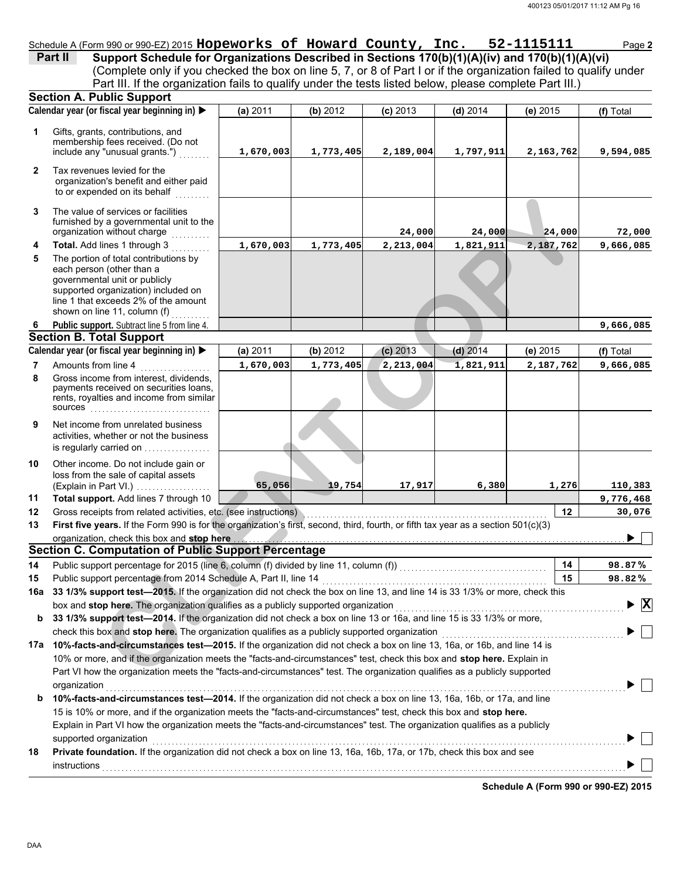|              | Schedule A (Form 990 or 990-EZ) 2015 Hopeworks of Howard County, Inc.                                                                                                                                                          |           |           |            |            | 52-1115111 | Page 2                                        |
|--------------|--------------------------------------------------------------------------------------------------------------------------------------------------------------------------------------------------------------------------------|-----------|-----------|------------|------------|------------|-----------------------------------------------|
|              | Support Schedule for Organizations Described in Sections 170(b)(1)(A)(iv) and 170(b)(1)(A)(vi)<br>Part II                                                                                                                      |           |           |            |            |            |                                               |
|              | (Complete only if you checked the box on line 5, 7, or 8 of Part I or if the organization failed to qualify under                                                                                                              |           |           |            |            |            |                                               |
|              | Part III. If the organization fails to qualify under the tests listed below, please complete Part III.)                                                                                                                        |           |           |            |            |            |                                               |
|              | <b>Section A. Public Support</b>                                                                                                                                                                                               |           |           |            |            |            |                                               |
|              | Calendar year (or fiscal year beginning in)                                                                                                                                                                                    | (a) 2011  | (b) 2012  | $(c)$ 2013 | $(d)$ 2014 | (e) 2015   | (f) Total                                     |
|              |                                                                                                                                                                                                                                |           |           |            |            |            |                                               |
| 1            | Gifts, grants, contributions, and<br>membership fees received. (Do not                                                                                                                                                         |           |           |            |            |            |                                               |
|              | include any "unusual grants.")                                                                                                                                                                                                 | 1,670,003 | 1,773,405 | 2,189,004  | 1,797,911  | 2,163,762  | 9,594,085                                     |
|              |                                                                                                                                                                                                                                |           |           |            |            |            |                                               |
| $\mathbf{2}$ | Tax revenues levied for the<br>organization's benefit and either paid                                                                                                                                                          |           |           |            |            |            |                                               |
|              | to or expended on its behalf                                                                                                                                                                                                   |           |           |            |            |            |                                               |
|              |                                                                                                                                                                                                                                |           |           |            |            |            |                                               |
| 3            | The value of services or facilities<br>furnished by a governmental unit to the                                                                                                                                                 |           |           |            |            |            |                                               |
|              | organization without charge                                                                                                                                                                                                    |           |           | 24,000     | 24,000     | 24,000     | 72,000                                        |
| 4            | Total. Add lines 1 through 3                                                                                                                                                                                                   | 1,670,003 | 1,773,405 | 2,213,004  | 1,821,911  | 2,187,762  | 9,666,085                                     |
| 5            | The portion of total contributions by                                                                                                                                                                                          |           |           |            |            |            |                                               |
|              | each person (other than a                                                                                                                                                                                                      |           |           |            |            |            |                                               |
|              | governmental unit or publicly                                                                                                                                                                                                  |           |           |            |            |            |                                               |
|              | supported organization) included on<br>line 1 that exceeds 2% of the amount                                                                                                                                                    |           |           |            |            |            |                                               |
|              | shown on line 11, column (f)                                                                                                                                                                                                   |           |           |            |            |            |                                               |
| 6            | Public support. Subtract line 5 from line 4.                                                                                                                                                                                   |           |           |            |            |            | 9,666,085                                     |
|              | <b>Section B. Total Support</b>                                                                                                                                                                                                |           |           |            |            |            |                                               |
|              | Calendar year (or fiscal year beginning in)                                                                                                                                                                                    | (a) 2011  | (b) 2012  | $(c)$ 2013 | $(d)$ 2014 | (e) 2015   | (f) Total                                     |
| 7            | Amounts from line 4                                                                                                                                                                                                            | 1,670,003 | 1,773,405 | 2,213,004  | 1,821,911  | 2,187,762  | 9,666,085                                     |
| 8            | Gross income from interest, dividends,                                                                                                                                                                                         |           |           |            |            |            |                                               |
|              | payments received on securities loans,                                                                                                                                                                                         |           |           |            |            |            |                                               |
|              | rents, royalties and income from similar<br><b>SOUICES</b>                                                                                                                                                                     |           |           |            |            |            |                                               |
|              |                                                                                                                                                                                                                                |           |           |            |            |            |                                               |
| 9            | Net income from unrelated business<br>activities, whether or not the business                                                                                                                                                  |           |           |            |            |            |                                               |
|              | is regularly carried on                                                                                                                                                                                                        |           |           |            |            |            |                                               |
|              |                                                                                                                                                                                                                                |           |           |            |            |            |                                               |
| 10           | Other income. Do not include gain or<br>loss from the sale of capital assets                                                                                                                                                   |           |           |            |            |            |                                               |
|              | (Explain in Part VI.)                                                                                                                                                                                                          | 65,056    | 19,754    | 17,917     | 6,380      | 1,276      | 110,383                                       |
| 11           | Total support. Add lines 7 through 10                                                                                                                                                                                          |           |           |            |            |            | 9,776,468                                     |
| 12           | Gross receipts from related activities, etc. (see instructions)                                                                                                                                                                |           |           |            |            | 12         | 30,076                                        |
| 13           | First five years. If the Form 990 is for the organization's first, second, third, fourth, or fifth tax year as a section 501(c)(3)                                                                                             |           |           |            |            |            |                                               |
|              | organization, check this box and stop here entitled and stop and stop here are all the state of the state of the state of the state of the state of the state of the state of the state of the state of the state of the state |           |           |            |            |            |                                               |
|              | <b>Section C. Computation of Public Support Percentage</b>                                                                                                                                                                     |           |           |            |            |            |                                               |
| 14           | Public support percentage for 2015 (line 6, column (f) divided by line 11, column (f)) [[[[[[[[[[[[[[[[[[[[[[                                                                                                                  |           |           |            |            | 14         | 98.87%                                        |
| 15           | Public support percentage from 2014 Schedule A, Part II, line 14                                                                                                                                                               |           |           |            |            | 15         | 98.82%                                        |
| 16a          | 33 1/3% support test-2015. If the organization did not check the box on line 13, and line 14 is 33 1/3% or more, check this                                                                                                    |           |           |            |            |            |                                               |
|              | box and stop here. The organization qualifies as a publicly supported organization                                                                                                                                             |           |           |            |            |            | $\blacktriangleright$ $\overline{\mathbf{X}}$ |
| b            | 33 1/3% support test-2014. If the organization did not check a box on line 13 or 16a, and line 15 is 33 1/3% or more,                                                                                                          |           |           |            |            |            |                                               |
|              | check this box and stop here. The organization qualifies as a publicly supported organization                                                                                                                                  |           |           |            |            |            |                                               |
|              | 17a 10%-facts-and-circumstances test-2015. If the organization did not check a box on line 13, 16a, or 16b, and line 14 is                                                                                                     |           |           |            |            |            |                                               |
|              | 10% or more, and if the organization meets the "facts-and-circumstances" test, check this box and stop here. Explain in                                                                                                        |           |           |            |            |            |                                               |
|              | Part VI how the organization meets the "facts-and-circumstances" test. The organization qualifies as a publicly supported                                                                                                      |           |           |            |            |            |                                               |
|              | organization                                                                                                                                                                                                                   |           |           |            |            |            |                                               |
| b            | 10%-facts-and-circumstances test-2014. If the organization did not check a box on line 13, 16a, 16b, or 17a, and line                                                                                                          |           |           |            |            |            |                                               |
|              | 15 is 10% or more, and if the organization meets the "facts-and-circumstances" test, check this box and stop here.                                                                                                             |           |           |            |            |            |                                               |
|              | Explain in Part VI how the organization meets the "facts-and-circumstances" test. The organization qualifies as a publicly                                                                                                     |           |           |            |            |            |                                               |
|              | supported organization                                                                                                                                                                                                         |           |           |            |            |            |                                               |
| 18           | Private foundation. If the organization did not check a box on line 13, 16a, 16b, 17a, or 17b, check this box and see                                                                                                          |           |           |            |            |            |                                               |
|              | instructions                                                                                                                                                                                                                   |           |           |            |            |            |                                               |
|              |                                                                                                                                                                                                                                |           |           |            |            |            |                                               |

**Schedule A (Form 990 or 990-EZ) 2015**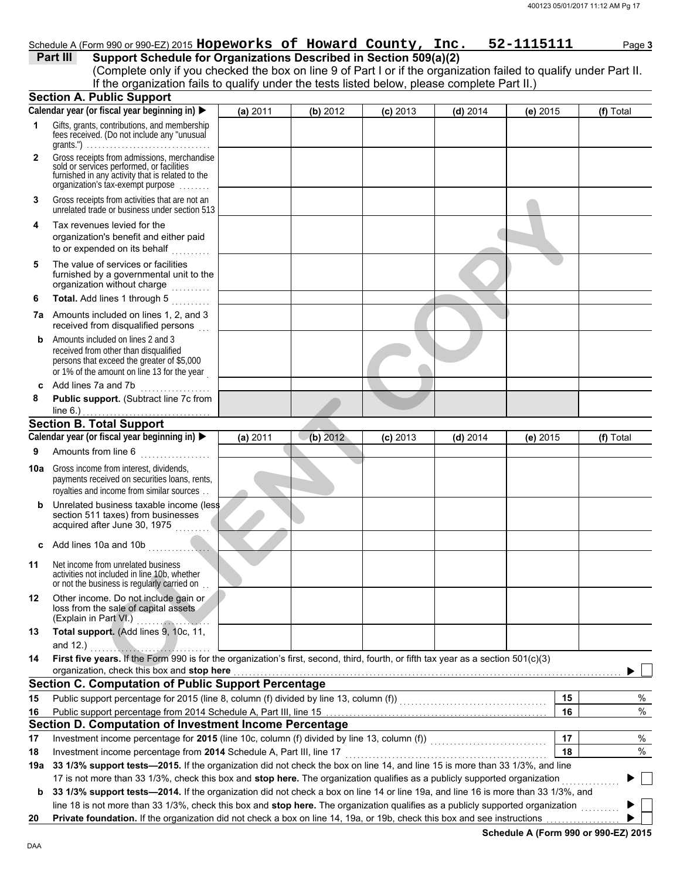|              | Schedule A (Form 990 or 990-EZ) 2015 Hopeworks of Howard County, Inc.                                                                                                             |          |          |            |            | 52-1115111 | Page 3    |
|--------------|-----------------------------------------------------------------------------------------------------------------------------------------------------------------------------------|----------|----------|------------|------------|------------|-----------|
|              | Support Schedule for Organizations Described in Section 509(a)(2)<br>Part III                                                                                                     |          |          |            |            |            |           |
|              | (Complete only if you checked the box on line 9 of Part I or if the organization failed to qualify under Part II.                                                                 |          |          |            |            |            |           |
|              | If the organization fails to qualify under the tests listed below, please complete Part II.)                                                                                      |          |          |            |            |            |           |
|              | <b>Section A. Public Support</b>                                                                                                                                                  |          |          |            |            |            |           |
|              | Calendar year (or fiscal year beginning in)                                                                                                                                       | (a) 2011 | (b) 2012 | $(c)$ 2013 | $(d)$ 2014 | (e) 2015   | (f) Total |
| 1            | Gifts, grants, contributions, and membership<br>fees received. (Do not include any "unusual                                                                                       |          |          |            |            |            |           |
| $\mathbf{2}$ | Gross receipts from admissions, merchandise<br>sold or services performed, or facilities<br>furnished in any activity that is related to the<br>organization's tax-exempt purpose |          |          |            |            |            |           |
| 3            | Gross receipts from activities that are not an<br>unrelated trade or business under section 513                                                                                   |          |          |            |            |            |           |
| 4            | Tax revenues levied for the<br>organization's benefit and either paid<br>to or expended on its behalf                                                                             |          |          |            |            |            |           |
| 5            | The value of services or facilities<br>furnished by a governmental unit to the<br>organization without charge                                                                     |          |          |            |            |            |           |
| 6            | Total. Add lines 1 through 5                                                                                                                                                      |          |          |            |            |            |           |
|              | <b>7a</b> Amounts included on lines 1, 2, and 3<br>received from disqualified persons                                                                                             |          |          |            |            |            |           |
| b            | Amounts included on lines 2 and 3<br>received from other than disqualified<br>persons that exceed the greater of \$5,000<br>or 1% of the amount on line 13 for the year           |          |          |            |            |            |           |
| c            | Add lines 7a and 7b                                                                                                                                                               |          |          |            |            |            |           |
| 8            | Public support. (Subtract line 7c from<br>line $6.$ )                                                                                                                             |          |          |            |            |            |           |
|              | <b>Section B. Total Support</b>                                                                                                                                                   |          |          |            |            |            |           |
|              | Calendar year (or fiscal year beginning in)                                                                                                                                       | (a) 2011 | (b) 2012 | $(c)$ 2013 | $(d)$ 2014 | (e) 2015   | (f) Total |
| 9            | Amounts from line 6                                                                                                                                                               |          |          |            |            |            |           |
| 10a          | Gross income from interest, dividends,<br>payments received on securities loans, rents,<br>royalties and income from similar sources                                              |          |          |            |            |            |           |
| b            | Unrelated business taxable income (less<br>section 511 taxes) from businesses<br>acquired after June 30, 1975<br>.                                                                |          |          |            |            |            |           |
| c            | Add lines 10a and 10b                                                                                                                                                             |          |          |            |            |            |           |
| 11           | Net income from unrelated business<br>activities not included in line 10b, whether<br>or not the business is regularly carried on                                                 |          |          |            |            |            |           |
| 12           | Other income. Do not include gain or<br>loss from the sale of capital assets<br>(Explain in Part VI)                                                                              |          |          |            |            |            |           |
| 13           | Total support. (Add lines 9, 10c, 11,<br>and 12.)                                                                                                                                 |          |          |            |            |            |           |
| 14           | First five years. If the Form 990 is for the organization's first, second, third, fourth, or fifth tax year as a section 501(c)(3)<br>organization, check this box and stop here  |          |          |            |            |            |           |
|              | <b>Section C. Computation of Public Support Percentage</b>                                                                                                                        |          |          |            |            |            |           |
| 15           |                                                                                                                                                                                   |          |          |            |            | 15         | %         |
| 16           |                                                                                                                                                                                   |          |          |            |            | 16         | $\%$      |
|              | Section D. Computation of Investment Income Percentage                                                                                                                            |          |          |            |            |            |           |
| 17           |                                                                                                                                                                                   |          |          |            |            | 17         | $\%$      |
| 18           | Investment income percentage from 2014 Schedule A, Part III, line 17                                                                                                              |          |          |            |            | 18         | $\%$      |
| 19а          | 33 1/3% support tests-2015. If the organization did not check the box on line 14, and line 15 is more than 33 1/3%, and line                                                      |          |          |            |            |            |           |
|              | 17 is not more than 33 1/3%, check this box and stop here. The organization qualifies as a publicly supported organization                                                        |          |          |            |            |            |           |
| b            | 33 1/3% support tests-2014. If the organization did not check a box on line 14 or line 19a, and line 16 is more than 33 1/3%, and                                                 |          |          |            |            |            |           |
|              | line 18 is not more than 33 1/3%, check this box and stop here. The organization qualifies as a publicly supported organization                                                   |          |          |            |            |            |           |
| 20           | Private foundation. If the organization did not check a box on line 14, 19a, or 19b, check this box and see instructions                                                          |          |          |            |            |            |           |

**Schedule A (Form 990 or 990-EZ) 2015**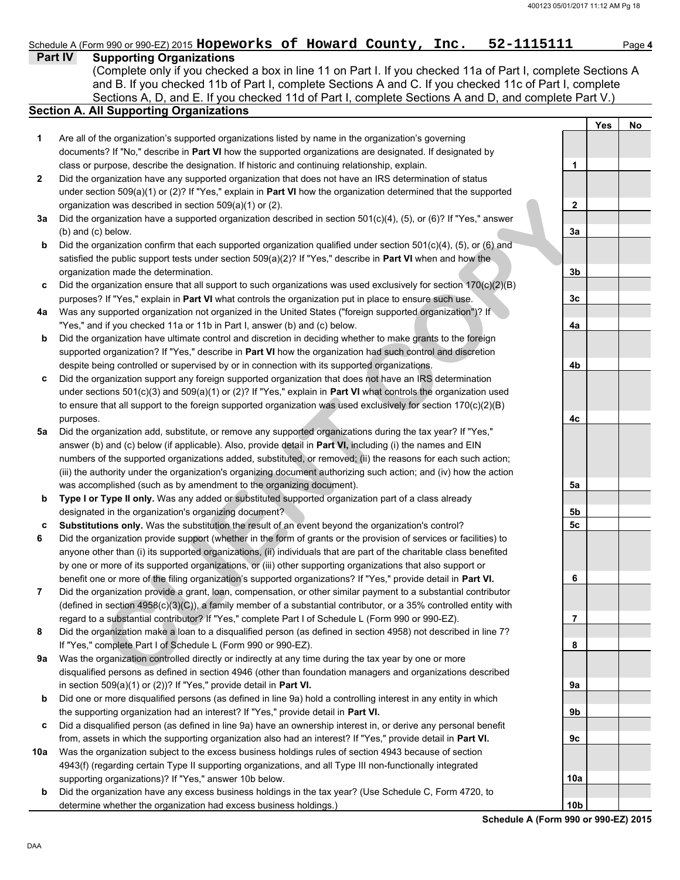### Schedule A (Form 990 or 990-EZ) 2015 **Hopeworks of Howard County, Inc.** 52-1115111 Page 4

**Part IV Supporting Organizations** Sections A, D, and E. If you checked 11d of Part I, complete Sections A and D, and complete Part V.) (Complete only if you checked a box in line 11 on Part I. If you checked 11a of Part I, complete Sections A and B. If you checked 11b of Part I, complete Sections A and C. If you checked 11c of Part I, complete

#### **Section A. All Supporting Organizations**

- Are all of the organization's supported organizations listed by name in the organization's governing documents? If "No," describe in **Part VI** how the supported organizations are designated. If designated by class or purpose, describe the designation. If historic and continuing relationship, explain. **1**
- Did the organization have any supported organization that does not have an IRS determination of status under section 509(a)(1) or (2)? If "Yes," explain in **Part VI** how the organization determined that the supported organization was described in section 509(a)(1) or (2). **2**
- **3a** Did the organization have a supported organization described in section 501(c)(4), (5), or (6)? If "Yes," answer (b) and (c) below.
- **b** Did the organization confirm that each supported organization qualified under section 501(c)(4), (5), or (6) and satisfied the public support tests under section 509(a)(2)? If "Yes," describe in **Part VI** when and how the organization made the determination.
- **c** Did the organization ensure that all support to such organizations was used exclusively for section 170(c)(2)(B) purposes? If "Yes," explain in **Part VI** what controls the organization put in place to ensure such use.
- **4a** Was any supported organization not organized in the United States ("foreign supported organization")? If "Yes," and if you checked 11a or 11b in Part I, answer (b) and (c) below.
- **b** Did the organization have ultimate control and discretion in deciding whether to make grants to the foreign supported organization? If "Yes," describe in **Part VI** how the organization had such control and discretion despite being controlled or supervised by or in connection with its supported organizations.
- **c** Did the organization support any foreign supported organization that does not have an IRS determination under sections 501(c)(3) and 509(a)(1) or (2)? If "Yes," explain in **Part VI** what controls the organization used to ensure that all support to the foreign supported organization was used exclusively for section 170(c)(2)(B) purposes.
- **5a** Did the organization add, substitute, or remove any supported organizations during the tax year? If "Yes," answer (b) and (c) below (if applicable). Also, provide detail in **Part VI,** including (i) the names and EIN numbers of the supported organizations added, substituted, or removed; (ii) the reasons for each such action; (iii) the authority under the organization's organizing document authorizing such action; and (iv) how the action was accomplished (such as by amendment to the organizing document). on was described in section for proportional particular control and the matter of the matter of the control and the computer of the control of the control of the control of the control of the control of the control of the
- **b Type I or Type II only.** Was any added or substituted supported organization part of a class already designated in the organization's organizing document?
- **c Substitutions only.** Was the substitution the result of an event beyond the organization's control?
- **6** Did the organization provide support (whether in the form of grants or the provision of services or facilities) to anyone other than (i) its supported organizations, (ii) individuals that are part of the charitable class benefited by one or more of its supported organizations, or (iii) other supporting organizations that also support or benefit one or more of the filing organization's supported organizations? If "Yes," provide detail in **Part VI.**
- **7** Did the organization provide a grant, loan, compensation, or other similar payment to a substantial contributor (defined in section 4958(c)(3)(C)), a family member of a substantial contributor, or a 35% controlled entity with regard to a substantial contributor? If "Yes," complete Part I of Schedule L (Form 990 or 990-EZ).
- **8** Did the organization make a loan to a disqualified person (as defined in section 4958) not described in line 7? If "Yes," complete Part I of Schedule L (Form 990 or 990-EZ).
- **9a** Was the organization controlled directly or indirectly at any time during the tax year by one or more disqualified persons as defined in section 4946 (other than foundation managers and organizations described in section 509(a)(1) or (2))? If "Yes," provide detail in **Part VI.**
- **b** Did one or more disqualified persons (as defined in line 9a) hold a controlling interest in any entity in which the supporting organization had an interest? If "Yes," provide detail in **Part VI.**
- **c** Did a disqualified person (as defined in line 9a) have an ownership interest in, or derive any personal benefit from, assets in which the supporting organization also had an interest? If "Yes," provide detail in **Part VI.**
- **10a** Was the organization subject to the excess business holdings rules of section 4943 because of section 4943(f) (regarding certain Type II supporting organizations, and all Type III non-functionally integrated supporting organizations)? If "Yes," answer 10b below.
- **b** Did the organization have any excess business holdings in the tax year? (Use Schedule C, Form 4720, to determine whether the organization had excess business holdings.)

**Yes No 1 2 3a 3b 3c 4a 4b 4c 5a 5b 5c 6 7 8 9a 9b 9c 10a 10b**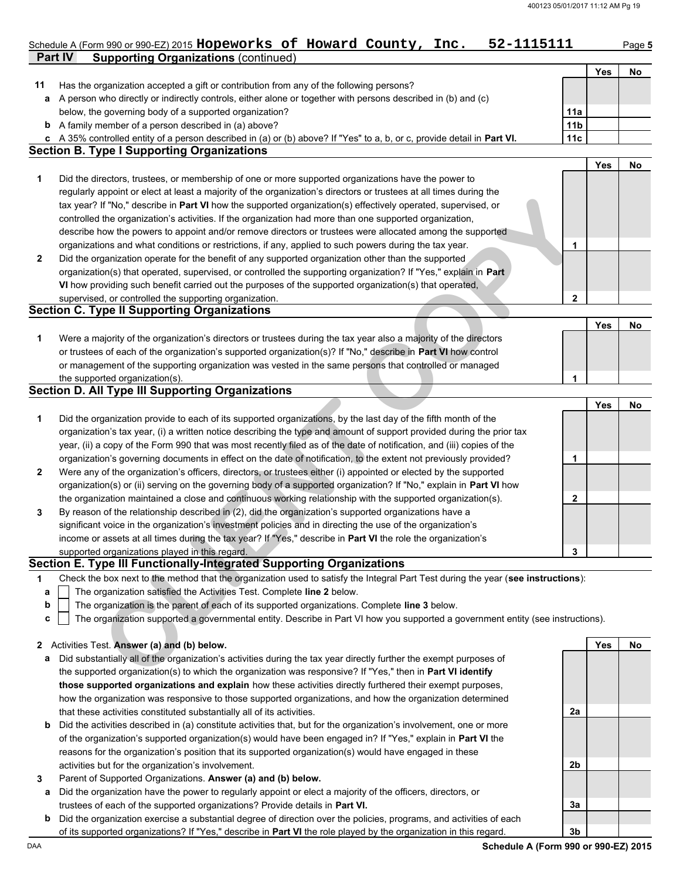| Part IV<br>Yes<br>No<br>11<br>Has the organization accepted a gift or contribution from any of the following persons?<br>A person who directly or indirectly controls, either alone or together with persons described in (b) and (c)<br>а<br>below, the governing body of a supported organization?<br>11a<br>11 <sub>b</sub><br><b>b</b> A family member of a person described in (a) above?<br>11c<br>c A 35% controlled entity of a person described in (a) or (b) above? If "Yes" to a, b, or c, provide detail in Part VI.<br><b>Section B. Type I Supporting Organizations</b><br>Yes<br>No<br>1<br>Did the directors, trustees, or membership of one or more supported organizations have the power to<br>regularly appoint or elect at least a majority of the organization's directors or trustees at all times during the<br>tax year? If "No," describe in Part VI how the supported organization(s) effectively operated, supervised, or<br>controlled the organization's activities. If the organization had more than one supported organization,<br>describe how the powers to appoint and/or remove directors or trustees were allocated among the supported<br>organizations and what conditions or restrictions, if any, applied to such powers during the tax year.<br>1<br>$\mathbf{2}$<br>Did the organization operate for the benefit of any supported organization other than the supported<br>organization(s) that operated, supervised, or controlled the supporting organization? If "Yes," explain in Part<br>VI how providing such benefit carried out the purposes of the supported organization(s) that operated,<br>$\mathbf{2}$<br>supervised, or controlled the supporting organization.<br><b>Section C. Type II Supporting Organizations</b><br>Yes<br>No<br>1<br>Were a majority of the organization's directors or trustees during the tax year also a majority of the directors<br>or trustees of each of the organization's supported organization(s)? If "No," describe in Part VI how control<br>or management of the supporting organization was vested in the same persons that controlled or managed<br>the supported organization(s).<br>1<br><b>Section D. All Type III Supporting Organizations</b><br>Yes<br>No<br>Did the organization provide to each of its supported organizations, by the last day of the fifth month of the<br>1<br>organization's tax year, (i) a written notice describing the type and amount of support provided during the prior tax<br>year, (ii) a copy of the Form 990 that was most recently filed as of the date of notification, and (iii) copies of the<br>organization's governing documents in effect on the date of notification, to the extent not previously provided?<br>1<br>Were any of the organization's officers, directors, or trustees either (i) appointed or elected by the supported<br>$\mathbf{2}$<br>organization(s) or (ii) serving on the governing body of a supported organization? If "No," explain in Part VI how<br>the organization maintained a close and continuous working relationship with the supported organization(s).<br>2<br>By reason of the relationship described in (2), did the organization's supported organizations have a<br>3<br>significant voice in the organization's investment policies and in directing the use of the organization's<br>income or assets at all times during the tax year? If "Yes," describe in Part VI the role the organization's<br>3<br>supported organizations played in this regard.<br>Section E. Type III Functionally-Integrated Supporting Organizations<br>Check the box next to the method that the organization used to satisfy the Integral Part Test during the year (see instructions):<br>1<br>The organization satisfied the Activities Test. Complete line 2 below.<br>a<br>b<br>The organization is the parent of each of its supported organizations. Complete line 3 below.<br>The organization supported a governmental entity. Describe in Part VI how you supported a government entity (see instructions).<br>c<br>Activities Test. Answer (a) and (b) below.<br>Yes<br>No<br>2<br>Did substantially all of the organization's activities during the tax year directly further the exempt purposes of<br>а<br>the supported organization(s) to which the organization was responsive? If "Yes," then in Part VI identify<br>those supported organizations and explain how these activities directly furthered their exempt purposes,<br>how the organization was responsive to those supported organizations, and how the organization determined<br>that these activities constituted substantially all of its activities.<br>2a<br>Did the activities described in (a) constitute activities that, but for the organization's involvement, one or more<br>b<br>of the organization's supported organization(s) would have been engaged in? If "Yes," explain in Part VI the<br>reasons for the organization's position that its supported organization(s) would have engaged in these<br>activities but for the organization's involvement.<br>2b<br>Parent of Supported Organizations. Answer (a) and (b) below.<br>3<br>Did the organization have the power to regularly appoint or elect a majority of the officers, directors, or<br>а<br>trustees of each of the supported organizations? Provide details in Part VI.<br>За<br>b<br>Did the organization exercise a substantial degree of direction over the policies, programs, and activities of each<br>3b<br>of its supported organizations? If "Yes," describe in Part VI the role played by the organization in this regard. | 52-1115111<br>Schedule A (Form 990 or 990-EZ) 2015 Hopeworks of Howard County, Inc. |  | Page 5 |
|-------------------------------------------------------------------------------------------------------------------------------------------------------------------------------------------------------------------------------------------------------------------------------------------------------------------------------------------------------------------------------------------------------------------------------------------------------------------------------------------------------------------------------------------------------------------------------------------------------------------------------------------------------------------------------------------------------------------------------------------------------------------------------------------------------------------------------------------------------------------------------------------------------------------------------------------------------------------------------------------------------------------------------------------------------------------------------------------------------------------------------------------------------------------------------------------------------------------------------------------------------------------------------------------------------------------------------------------------------------------------------------------------------------------------------------------------------------------------------------------------------------------------------------------------------------------------------------------------------------------------------------------------------------------------------------------------------------------------------------------------------------------------------------------------------------------------------------------------------------------------------------------------------------------------------------------------------------------------------------------------------------------------------------------------------------------------------------------------------------------------------------------------------------------------------------------------------------------------------------------------------------------------------------------------------------------------------------------------------------------------------------------------------------------------------------------------------------------------------------------------------------------------------------------------------------------------------------------------------------------------------------------------------------------------------------------------------------------------------------------------------------------------------------------------------------------------------------------------------------------------------------------------------------------------------------------------------------------------------------------------------------------------------------------------------------------------------------------------------------------------------------------------------------------------------------------------------------------------------------------------------------------------------------------------------------------------------------------------------------------------------------------------------------------------------------------------------------------------------------------------------------------------------------------------------------------------------------------------------------------------------------------------------------------------------------------------------------------------------------------------------------------------------------------------------------------------------------------------------------------------------------------------------------------------------------------------------------------------------------------------------------------------------------------------------------------------------------------------------------------------------------------------------------------------------------------------------------------------------------------------------------------------------------------------------------------------------------------------------------------------------------------------------------------------------------------------------------------------------------------------------------------------------------------------------------------------------------------------------------------------------------------------------------------------------------------------------------------------------------------------------------------------------------------------------------------------------------------------------------------------------------------------------------------------------------------------------------------------------------------------------------------------------------------------------------------------------------------------------------------------------------------------------------------------------------------------------------------------------------------------------------------------------------------------------------------------------------------------------------------------------------------------------------------------------------------------------------------------------------------------------------------------------------------------------------------------------------------------------------------------------------------------------------------------------|-------------------------------------------------------------------------------------|--|--------|
|                                                                                                                                                                                                                                                                                                                                                                                                                                                                                                                                                                                                                                                                                                                                                                                                                                                                                                                                                                                                                                                                                                                                                                                                                                                                                                                                                                                                                                                                                                                                                                                                                                                                                                                                                                                                                                                                                                                                                                                                                                                                                                                                                                                                                                                                                                                                                                                                                                                                                                                                                                                                                                                                                                                                                                                                                                                                                                                                                                                                                                                                                                                                                                                                                                                                                                                                                                                                                                                                                                                                                                                                                                                                                                                                                                                                                                                                                                                                                                                                                                                                                                                                                                                                                                                                                                                                                                                                                                                                                                                                                                                                                                                                                                                                                                                                                                                                                                                                                                                                                                                                                                                                                                                                                                                                                                                                                                                                                                                                                                                                                                                                                                                                               | <b>Supporting Organizations (continued)</b>                                         |  |        |
|                                                                                                                                                                                                                                                                                                                                                                                                                                                                                                                                                                                                                                                                                                                                                                                                                                                                                                                                                                                                                                                                                                                                                                                                                                                                                                                                                                                                                                                                                                                                                                                                                                                                                                                                                                                                                                                                                                                                                                                                                                                                                                                                                                                                                                                                                                                                                                                                                                                                                                                                                                                                                                                                                                                                                                                                                                                                                                                                                                                                                                                                                                                                                                                                                                                                                                                                                                                                                                                                                                                                                                                                                                                                                                                                                                                                                                                                                                                                                                                                                                                                                                                                                                                                                                                                                                                                                                                                                                                                                                                                                                                                                                                                                                                                                                                                                                                                                                                                                                                                                                                                                                                                                                                                                                                                                                                                                                                                                                                                                                                                                                                                                                                                               |                                                                                     |  |        |
|                                                                                                                                                                                                                                                                                                                                                                                                                                                                                                                                                                                                                                                                                                                                                                                                                                                                                                                                                                                                                                                                                                                                                                                                                                                                                                                                                                                                                                                                                                                                                                                                                                                                                                                                                                                                                                                                                                                                                                                                                                                                                                                                                                                                                                                                                                                                                                                                                                                                                                                                                                                                                                                                                                                                                                                                                                                                                                                                                                                                                                                                                                                                                                                                                                                                                                                                                                                                                                                                                                                                                                                                                                                                                                                                                                                                                                                                                                                                                                                                                                                                                                                                                                                                                                                                                                                                                                                                                                                                                                                                                                                                                                                                                                                                                                                                                                                                                                                                                                                                                                                                                                                                                                                                                                                                                                                                                                                                                                                                                                                                                                                                                                                                               |                                                                                     |  |        |
|                                                                                                                                                                                                                                                                                                                                                                                                                                                                                                                                                                                                                                                                                                                                                                                                                                                                                                                                                                                                                                                                                                                                                                                                                                                                                                                                                                                                                                                                                                                                                                                                                                                                                                                                                                                                                                                                                                                                                                                                                                                                                                                                                                                                                                                                                                                                                                                                                                                                                                                                                                                                                                                                                                                                                                                                                                                                                                                                                                                                                                                                                                                                                                                                                                                                                                                                                                                                                                                                                                                                                                                                                                                                                                                                                                                                                                                                                                                                                                                                                                                                                                                                                                                                                                                                                                                                                                                                                                                                                                                                                                                                                                                                                                                                                                                                                                                                                                                                                                                                                                                                                                                                                                                                                                                                                                                                                                                                                                                                                                                                                                                                                                                                               |                                                                                     |  |        |
|                                                                                                                                                                                                                                                                                                                                                                                                                                                                                                                                                                                                                                                                                                                                                                                                                                                                                                                                                                                                                                                                                                                                                                                                                                                                                                                                                                                                                                                                                                                                                                                                                                                                                                                                                                                                                                                                                                                                                                                                                                                                                                                                                                                                                                                                                                                                                                                                                                                                                                                                                                                                                                                                                                                                                                                                                                                                                                                                                                                                                                                                                                                                                                                                                                                                                                                                                                                                                                                                                                                                                                                                                                                                                                                                                                                                                                                                                                                                                                                                                                                                                                                                                                                                                                                                                                                                                                                                                                                                                                                                                                                                                                                                                                                                                                                                                                                                                                                                                                                                                                                                                                                                                                                                                                                                                                                                                                                                                                                                                                                                                                                                                                                                               |                                                                                     |  |        |
|                                                                                                                                                                                                                                                                                                                                                                                                                                                                                                                                                                                                                                                                                                                                                                                                                                                                                                                                                                                                                                                                                                                                                                                                                                                                                                                                                                                                                                                                                                                                                                                                                                                                                                                                                                                                                                                                                                                                                                                                                                                                                                                                                                                                                                                                                                                                                                                                                                                                                                                                                                                                                                                                                                                                                                                                                                                                                                                                                                                                                                                                                                                                                                                                                                                                                                                                                                                                                                                                                                                                                                                                                                                                                                                                                                                                                                                                                                                                                                                                                                                                                                                                                                                                                                                                                                                                                                                                                                                                                                                                                                                                                                                                                                                                                                                                                                                                                                                                                                                                                                                                                                                                                                                                                                                                                                                                                                                                                                                                                                                                                                                                                                                                               |                                                                                     |  |        |
|                                                                                                                                                                                                                                                                                                                                                                                                                                                                                                                                                                                                                                                                                                                                                                                                                                                                                                                                                                                                                                                                                                                                                                                                                                                                                                                                                                                                                                                                                                                                                                                                                                                                                                                                                                                                                                                                                                                                                                                                                                                                                                                                                                                                                                                                                                                                                                                                                                                                                                                                                                                                                                                                                                                                                                                                                                                                                                                                                                                                                                                                                                                                                                                                                                                                                                                                                                                                                                                                                                                                                                                                                                                                                                                                                                                                                                                                                                                                                                                                                                                                                                                                                                                                                                                                                                                                                                                                                                                                                                                                                                                                                                                                                                                                                                                                                                                                                                                                                                                                                                                                                                                                                                                                                                                                                                                                                                                                                                                                                                                                                                                                                                                                               |                                                                                     |  |        |
|                                                                                                                                                                                                                                                                                                                                                                                                                                                                                                                                                                                                                                                                                                                                                                                                                                                                                                                                                                                                                                                                                                                                                                                                                                                                                                                                                                                                                                                                                                                                                                                                                                                                                                                                                                                                                                                                                                                                                                                                                                                                                                                                                                                                                                                                                                                                                                                                                                                                                                                                                                                                                                                                                                                                                                                                                                                                                                                                                                                                                                                                                                                                                                                                                                                                                                                                                                                                                                                                                                                                                                                                                                                                                                                                                                                                                                                                                                                                                                                                                                                                                                                                                                                                                                                                                                                                                                                                                                                                                                                                                                                                                                                                                                                                                                                                                                                                                                                                                                                                                                                                                                                                                                                                                                                                                                                                                                                                                                                                                                                                                                                                                                                                               |                                                                                     |  |        |
|                                                                                                                                                                                                                                                                                                                                                                                                                                                                                                                                                                                                                                                                                                                                                                                                                                                                                                                                                                                                                                                                                                                                                                                                                                                                                                                                                                                                                                                                                                                                                                                                                                                                                                                                                                                                                                                                                                                                                                                                                                                                                                                                                                                                                                                                                                                                                                                                                                                                                                                                                                                                                                                                                                                                                                                                                                                                                                                                                                                                                                                                                                                                                                                                                                                                                                                                                                                                                                                                                                                                                                                                                                                                                                                                                                                                                                                                                                                                                                                                                                                                                                                                                                                                                                                                                                                                                                                                                                                                                                                                                                                                                                                                                                                                                                                                                                                                                                                                                                                                                                                                                                                                                                                                                                                                                                                                                                                                                                                                                                                                                                                                                                                                               |                                                                                     |  |        |
|                                                                                                                                                                                                                                                                                                                                                                                                                                                                                                                                                                                                                                                                                                                                                                                                                                                                                                                                                                                                                                                                                                                                                                                                                                                                                                                                                                                                                                                                                                                                                                                                                                                                                                                                                                                                                                                                                                                                                                                                                                                                                                                                                                                                                                                                                                                                                                                                                                                                                                                                                                                                                                                                                                                                                                                                                                                                                                                                                                                                                                                                                                                                                                                                                                                                                                                                                                                                                                                                                                                                                                                                                                                                                                                                                                                                                                                                                                                                                                                                                                                                                                                                                                                                                                                                                                                                                                                                                                                                                                                                                                                                                                                                                                                                                                                                                                                                                                                                                                                                                                                                                                                                                                                                                                                                                                                                                                                                                                                                                                                                                                                                                                                                               |                                                                                     |  |        |
|                                                                                                                                                                                                                                                                                                                                                                                                                                                                                                                                                                                                                                                                                                                                                                                                                                                                                                                                                                                                                                                                                                                                                                                                                                                                                                                                                                                                                                                                                                                                                                                                                                                                                                                                                                                                                                                                                                                                                                                                                                                                                                                                                                                                                                                                                                                                                                                                                                                                                                                                                                                                                                                                                                                                                                                                                                                                                                                                                                                                                                                                                                                                                                                                                                                                                                                                                                                                                                                                                                                                                                                                                                                                                                                                                                                                                                                                                                                                                                                                                                                                                                                                                                                                                                                                                                                                                                                                                                                                                                                                                                                                                                                                                                                                                                                                                                                                                                                                                                                                                                                                                                                                                                                                                                                                                                                                                                                                                                                                                                                                                                                                                                                                               |                                                                                     |  |        |
|                                                                                                                                                                                                                                                                                                                                                                                                                                                                                                                                                                                                                                                                                                                                                                                                                                                                                                                                                                                                                                                                                                                                                                                                                                                                                                                                                                                                                                                                                                                                                                                                                                                                                                                                                                                                                                                                                                                                                                                                                                                                                                                                                                                                                                                                                                                                                                                                                                                                                                                                                                                                                                                                                                                                                                                                                                                                                                                                                                                                                                                                                                                                                                                                                                                                                                                                                                                                                                                                                                                                                                                                                                                                                                                                                                                                                                                                                                                                                                                                                                                                                                                                                                                                                                                                                                                                                                                                                                                                                                                                                                                                                                                                                                                                                                                                                                                                                                                                                                                                                                                                                                                                                                                                                                                                                                                                                                                                                                                                                                                                                                                                                                                                               |                                                                                     |  |        |
|                                                                                                                                                                                                                                                                                                                                                                                                                                                                                                                                                                                                                                                                                                                                                                                                                                                                                                                                                                                                                                                                                                                                                                                                                                                                                                                                                                                                                                                                                                                                                                                                                                                                                                                                                                                                                                                                                                                                                                                                                                                                                                                                                                                                                                                                                                                                                                                                                                                                                                                                                                                                                                                                                                                                                                                                                                                                                                                                                                                                                                                                                                                                                                                                                                                                                                                                                                                                                                                                                                                                                                                                                                                                                                                                                                                                                                                                                                                                                                                                                                                                                                                                                                                                                                                                                                                                                                                                                                                                                                                                                                                                                                                                                                                                                                                                                                                                                                                                                                                                                                                                                                                                                                                                                                                                                                                                                                                                                                                                                                                                                                                                                                                                               |                                                                                     |  |        |
|                                                                                                                                                                                                                                                                                                                                                                                                                                                                                                                                                                                                                                                                                                                                                                                                                                                                                                                                                                                                                                                                                                                                                                                                                                                                                                                                                                                                                                                                                                                                                                                                                                                                                                                                                                                                                                                                                                                                                                                                                                                                                                                                                                                                                                                                                                                                                                                                                                                                                                                                                                                                                                                                                                                                                                                                                                                                                                                                                                                                                                                                                                                                                                                                                                                                                                                                                                                                                                                                                                                                                                                                                                                                                                                                                                                                                                                                                                                                                                                                                                                                                                                                                                                                                                                                                                                                                                                                                                                                                                                                                                                                                                                                                                                                                                                                                                                                                                                                                                                                                                                                                                                                                                                                                                                                                                                                                                                                                                                                                                                                                                                                                                                                               |                                                                                     |  |        |
|                                                                                                                                                                                                                                                                                                                                                                                                                                                                                                                                                                                                                                                                                                                                                                                                                                                                                                                                                                                                                                                                                                                                                                                                                                                                                                                                                                                                                                                                                                                                                                                                                                                                                                                                                                                                                                                                                                                                                                                                                                                                                                                                                                                                                                                                                                                                                                                                                                                                                                                                                                                                                                                                                                                                                                                                                                                                                                                                                                                                                                                                                                                                                                                                                                                                                                                                                                                                                                                                                                                                                                                                                                                                                                                                                                                                                                                                                                                                                                                                                                                                                                                                                                                                                                                                                                                                                                                                                                                                                                                                                                                                                                                                                                                                                                                                                                                                                                                                                                                                                                                                                                                                                                                                                                                                                                                                                                                                                                                                                                                                                                                                                                                                               |                                                                                     |  |        |
|                                                                                                                                                                                                                                                                                                                                                                                                                                                                                                                                                                                                                                                                                                                                                                                                                                                                                                                                                                                                                                                                                                                                                                                                                                                                                                                                                                                                                                                                                                                                                                                                                                                                                                                                                                                                                                                                                                                                                                                                                                                                                                                                                                                                                                                                                                                                                                                                                                                                                                                                                                                                                                                                                                                                                                                                                                                                                                                                                                                                                                                                                                                                                                                                                                                                                                                                                                                                                                                                                                                                                                                                                                                                                                                                                                                                                                                                                                                                                                                                                                                                                                                                                                                                                                                                                                                                                                                                                                                                                                                                                                                                                                                                                                                                                                                                                                                                                                                                                                                                                                                                                                                                                                                                                                                                                                                                                                                                                                                                                                                                                                                                                                                                               |                                                                                     |  |        |
|                                                                                                                                                                                                                                                                                                                                                                                                                                                                                                                                                                                                                                                                                                                                                                                                                                                                                                                                                                                                                                                                                                                                                                                                                                                                                                                                                                                                                                                                                                                                                                                                                                                                                                                                                                                                                                                                                                                                                                                                                                                                                                                                                                                                                                                                                                                                                                                                                                                                                                                                                                                                                                                                                                                                                                                                                                                                                                                                                                                                                                                                                                                                                                                                                                                                                                                                                                                                                                                                                                                                                                                                                                                                                                                                                                                                                                                                                                                                                                                                                                                                                                                                                                                                                                                                                                                                                                                                                                                                                                                                                                                                                                                                                                                                                                                                                                                                                                                                                                                                                                                                                                                                                                                                                                                                                                                                                                                                                                                                                                                                                                                                                                                                               |                                                                                     |  |        |
|                                                                                                                                                                                                                                                                                                                                                                                                                                                                                                                                                                                                                                                                                                                                                                                                                                                                                                                                                                                                                                                                                                                                                                                                                                                                                                                                                                                                                                                                                                                                                                                                                                                                                                                                                                                                                                                                                                                                                                                                                                                                                                                                                                                                                                                                                                                                                                                                                                                                                                                                                                                                                                                                                                                                                                                                                                                                                                                                                                                                                                                                                                                                                                                                                                                                                                                                                                                                                                                                                                                                                                                                                                                                                                                                                                                                                                                                                                                                                                                                                                                                                                                                                                                                                                                                                                                                                                                                                                                                                                                                                                                                                                                                                                                                                                                                                                                                                                                                                                                                                                                                                                                                                                                                                                                                                                                                                                                                                                                                                                                                                                                                                                                                               |                                                                                     |  |        |
|                                                                                                                                                                                                                                                                                                                                                                                                                                                                                                                                                                                                                                                                                                                                                                                                                                                                                                                                                                                                                                                                                                                                                                                                                                                                                                                                                                                                                                                                                                                                                                                                                                                                                                                                                                                                                                                                                                                                                                                                                                                                                                                                                                                                                                                                                                                                                                                                                                                                                                                                                                                                                                                                                                                                                                                                                                                                                                                                                                                                                                                                                                                                                                                                                                                                                                                                                                                                                                                                                                                                                                                                                                                                                                                                                                                                                                                                                                                                                                                                                                                                                                                                                                                                                                                                                                                                                                                                                                                                                                                                                                                                                                                                                                                                                                                                                                                                                                                                                                                                                                                                                                                                                                                                                                                                                                                                                                                                                                                                                                                                                                                                                                                                               |                                                                                     |  |        |
|                                                                                                                                                                                                                                                                                                                                                                                                                                                                                                                                                                                                                                                                                                                                                                                                                                                                                                                                                                                                                                                                                                                                                                                                                                                                                                                                                                                                                                                                                                                                                                                                                                                                                                                                                                                                                                                                                                                                                                                                                                                                                                                                                                                                                                                                                                                                                                                                                                                                                                                                                                                                                                                                                                                                                                                                                                                                                                                                                                                                                                                                                                                                                                                                                                                                                                                                                                                                                                                                                                                                                                                                                                                                                                                                                                                                                                                                                                                                                                                                                                                                                                                                                                                                                                                                                                                                                                                                                                                                                                                                                                                                                                                                                                                                                                                                                                                                                                                                                                                                                                                                                                                                                                                                                                                                                                                                                                                                                                                                                                                                                                                                                                                                               |                                                                                     |  |        |
|                                                                                                                                                                                                                                                                                                                                                                                                                                                                                                                                                                                                                                                                                                                                                                                                                                                                                                                                                                                                                                                                                                                                                                                                                                                                                                                                                                                                                                                                                                                                                                                                                                                                                                                                                                                                                                                                                                                                                                                                                                                                                                                                                                                                                                                                                                                                                                                                                                                                                                                                                                                                                                                                                                                                                                                                                                                                                                                                                                                                                                                                                                                                                                                                                                                                                                                                                                                                                                                                                                                                                                                                                                                                                                                                                                                                                                                                                                                                                                                                                                                                                                                                                                                                                                                                                                                                                                                                                                                                                                                                                                                                                                                                                                                                                                                                                                                                                                                                                                                                                                                                                                                                                                                                                                                                                                                                                                                                                                                                                                                                                                                                                                                                               |                                                                                     |  |        |
|                                                                                                                                                                                                                                                                                                                                                                                                                                                                                                                                                                                                                                                                                                                                                                                                                                                                                                                                                                                                                                                                                                                                                                                                                                                                                                                                                                                                                                                                                                                                                                                                                                                                                                                                                                                                                                                                                                                                                                                                                                                                                                                                                                                                                                                                                                                                                                                                                                                                                                                                                                                                                                                                                                                                                                                                                                                                                                                                                                                                                                                                                                                                                                                                                                                                                                                                                                                                                                                                                                                                                                                                                                                                                                                                                                                                                                                                                                                                                                                                                                                                                                                                                                                                                                                                                                                                                                                                                                                                                                                                                                                                                                                                                                                                                                                                                                                                                                                                                                                                                                                                                                                                                                                                                                                                                                                                                                                                                                                                                                                                                                                                                                                                               |                                                                                     |  |        |
|                                                                                                                                                                                                                                                                                                                                                                                                                                                                                                                                                                                                                                                                                                                                                                                                                                                                                                                                                                                                                                                                                                                                                                                                                                                                                                                                                                                                                                                                                                                                                                                                                                                                                                                                                                                                                                                                                                                                                                                                                                                                                                                                                                                                                                                                                                                                                                                                                                                                                                                                                                                                                                                                                                                                                                                                                                                                                                                                                                                                                                                                                                                                                                                                                                                                                                                                                                                                                                                                                                                                                                                                                                                                                                                                                                                                                                                                                                                                                                                                                                                                                                                                                                                                                                                                                                                                                                                                                                                                                                                                                                                                                                                                                                                                                                                                                                                                                                                                                                                                                                                                                                                                                                                                                                                                                                                                                                                                                                                                                                                                                                                                                                                                               |                                                                                     |  |        |
|                                                                                                                                                                                                                                                                                                                                                                                                                                                                                                                                                                                                                                                                                                                                                                                                                                                                                                                                                                                                                                                                                                                                                                                                                                                                                                                                                                                                                                                                                                                                                                                                                                                                                                                                                                                                                                                                                                                                                                                                                                                                                                                                                                                                                                                                                                                                                                                                                                                                                                                                                                                                                                                                                                                                                                                                                                                                                                                                                                                                                                                                                                                                                                                                                                                                                                                                                                                                                                                                                                                                                                                                                                                                                                                                                                                                                                                                                                                                                                                                                                                                                                                                                                                                                                                                                                                                                                                                                                                                                                                                                                                                                                                                                                                                                                                                                                                                                                                                                                                                                                                                                                                                                                                                                                                                                                                                                                                                                                                                                                                                                                                                                                                                               |                                                                                     |  |        |
|                                                                                                                                                                                                                                                                                                                                                                                                                                                                                                                                                                                                                                                                                                                                                                                                                                                                                                                                                                                                                                                                                                                                                                                                                                                                                                                                                                                                                                                                                                                                                                                                                                                                                                                                                                                                                                                                                                                                                                                                                                                                                                                                                                                                                                                                                                                                                                                                                                                                                                                                                                                                                                                                                                                                                                                                                                                                                                                                                                                                                                                                                                                                                                                                                                                                                                                                                                                                                                                                                                                                                                                                                                                                                                                                                                                                                                                                                                                                                                                                                                                                                                                                                                                                                                                                                                                                                                                                                                                                                                                                                                                                                                                                                                                                                                                                                                                                                                                                                                                                                                                                                                                                                                                                                                                                                                                                                                                                                                                                                                                                                                                                                                                                               |                                                                                     |  |        |
|                                                                                                                                                                                                                                                                                                                                                                                                                                                                                                                                                                                                                                                                                                                                                                                                                                                                                                                                                                                                                                                                                                                                                                                                                                                                                                                                                                                                                                                                                                                                                                                                                                                                                                                                                                                                                                                                                                                                                                                                                                                                                                                                                                                                                                                                                                                                                                                                                                                                                                                                                                                                                                                                                                                                                                                                                                                                                                                                                                                                                                                                                                                                                                                                                                                                                                                                                                                                                                                                                                                                                                                                                                                                                                                                                                                                                                                                                                                                                                                                                                                                                                                                                                                                                                                                                                                                                                                                                                                                                                                                                                                                                                                                                                                                                                                                                                                                                                                                                                                                                                                                                                                                                                                                                                                                                                                                                                                                                                                                                                                                                                                                                                                                               |                                                                                     |  |        |
|                                                                                                                                                                                                                                                                                                                                                                                                                                                                                                                                                                                                                                                                                                                                                                                                                                                                                                                                                                                                                                                                                                                                                                                                                                                                                                                                                                                                                                                                                                                                                                                                                                                                                                                                                                                                                                                                                                                                                                                                                                                                                                                                                                                                                                                                                                                                                                                                                                                                                                                                                                                                                                                                                                                                                                                                                                                                                                                                                                                                                                                                                                                                                                                                                                                                                                                                                                                                                                                                                                                                                                                                                                                                                                                                                                                                                                                                                                                                                                                                                                                                                                                                                                                                                                                                                                                                                                                                                                                                                                                                                                                                                                                                                                                                                                                                                                                                                                                                                                                                                                                                                                                                                                                                                                                                                                                                                                                                                                                                                                                                                                                                                                                                               |                                                                                     |  |        |
|                                                                                                                                                                                                                                                                                                                                                                                                                                                                                                                                                                                                                                                                                                                                                                                                                                                                                                                                                                                                                                                                                                                                                                                                                                                                                                                                                                                                                                                                                                                                                                                                                                                                                                                                                                                                                                                                                                                                                                                                                                                                                                                                                                                                                                                                                                                                                                                                                                                                                                                                                                                                                                                                                                                                                                                                                                                                                                                                                                                                                                                                                                                                                                                                                                                                                                                                                                                                                                                                                                                                                                                                                                                                                                                                                                                                                                                                                                                                                                                                                                                                                                                                                                                                                                                                                                                                                                                                                                                                                                                                                                                                                                                                                                                                                                                                                                                                                                                                                                                                                                                                                                                                                                                                                                                                                                                                                                                                                                                                                                                                                                                                                                                                               |                                                                                     |  |        |
|                                                                                                                                                                                                                                                                                                                                                                                                                                                                                                                                                                                                                                                                                                                                                                                                                                                                                                                                                                                                                                                                                                                                                                                                                                                                                                                                                                                                                                                                                                                                                                                                                                                                                                                                                                                                                                                                                                                                                                                                                                                                                                                                                                                                                                                                                                                                                                                                                                                                                                                                                                                                                                                                                                                                                                                                                                                                                                                                                                                                                                                                                                                                                                                                                                                                                                                                                                                                                                                                                                                                                                                                                                                                                                                                                                                                                                                                                                                                                                                                                                                                                                                                                                                                                                                                                                                                                                                                                                                                                                                                                                                                                                                                                                                                                                                                                                                                                                                                                                                                                                                                                                                                                                                                                                                                                                                                                                                                                                                                                                                                                                                                                                                                               |                                                                                     |  |        |
|                                                                                                                                                                                                                                                                                                                                                                                                                                                                                                                                                                                                                                                                                                                                                                                                                                                                                                                                                                                                                                                                                                                                                                                                                                                                                                                                                                                                                                                                                                                                                                                                                                                                                                                                                                                                                                                                                                                                                                                                                                                                                                                                                                                                                                                                                                                                                                                                                                                                                                                                                                                                                                                                                                                                                                                                                                                                                                                                                                                                                                                                                                                                                                                                                                                                                                                                                                                                                                                                                                                                                                                                                                                                                                                                                                                                                                                                                                                                                                                                                                                                                                                                                                                                                                                                                                                                                                                                                                                                                                                                                                                                                                                                                                                                                                                                                                                                                                                                                                                                                                                                                                                                                                                                                                                                                                                                                                                                                                                                                                                                                                                                                                                                               |                                                                                     |  |        |
|                                                                                                                                                                                                                                                                                                                                                                                                                                                                                                                                                                                                                                                                                                                                                                                                                                                                                                                                                                                                                                                                                                                                                                                                                                                                                                                                                                                                                                                                                                                                                                                                                                                                                                                                                                                                                                                                                                                                                                                                                                                                                                                                                                                                                                                                                                                                                                                                                                                                                                                                                                                                                                                                                                                                                                                                                                                                                                                                                                                                                                                                                                                                                                                                                                                                                                                                                                                                                                                                                                                                                                                                                                                                                                                                                                                                                                                                                                                                                                                                                                                                                                                                                                                                                                                                                                                                                                                                                                                                                                                                                                                                                                                                                                                                                                                                                                                                                                                                                                                                                                                                                                                                                                                                                                                                                                                                                                                                                                                                                                                                                                                                                                                                               |                                                                                     |  |        |
|                                                                                                                                                                                                                                                                                                                                                                                                                                                                                                                                                                                                                                                                                                                                                                                                                                                                                                                                                                                                                                                                                                                                                                                                                                                                                                                                                                                                                                                                                                                                                                                                                                                                                                                                                                                                                                                                                                                                                                                                                                                                                                                                                                                                                                                                                                                                                                                                                                                                                                                                                                                                                                                                                                                                                                                                                                                                                                                                                                                                                                                                                                                                                                                                                                                                                                                                                                                                                                                                                                                                                                                                                                                                                                                                                                                                                                                                                                                                                                                                                                                                                                                                                                                                                                                                                                                                                                                                                                                                                                                                                                                                                                                                                                                                                                                                                                                                                                                                                                                                                                                                                                                                                                                                                                                                                                                                                                                                                                                                                                                                                                                                                                                                               |                                                                                     |  |        |
|                                                                                                                                                                                                                                                                                                                                                                                                                                                                                                                                                                                                                                                                                                                                                                                                                                                                                                                                                                                                                                                                                                                                                                                                                                                                                                                                                                                                                                                                                                                                                                                                                                                                                                                                                                                                                                                                                                                                                                                                                                                                                                                                                                                                                                                                                                                                                                                                                                                                                                                                                                                                                                                                                                                                                                                                                                                                                                                                                                                                                                                                                                                                                                                                                                                                                                                                                                                                                                                                                                                                                                                                                                                                                                                                                                                                                                                                                                                                                                                                                                                                                                                                                                                                                                                                                                                                                                                                                                                                                                                                                                                                                                                                                                                                                                                                                                                                                                                                                                                                                                                                                                                                                                                                                                                                                                                                                                                                                                                                                                                                                                                                                                                                               |                                                                                     |  |        |
|                                                                                                                                                                                                                                                                                                                                                                                                                                                                                                                                                                                                                                                                                                                                                                                                                                                                                                                                                                                                                                                                                                                                                                                                                                                                                                                                                                                                                                                                                                                                                                                                                                                                                                                                                                                                                                                                                                                                                                                                                                                                                                                                                                                                                                                                                                                                                                                                                                                                                                                                                                                                                                                                                                                                                                                                                                                                                                                                                                                                                                                                                                                                                                                                                                                                                                                                                                                                                                                                                                                                                                                                                                                                                                                                                                                                                                                                                                                                                                                                                                                                                                                                                                                                                                                                                                                                                                                                                                                                                                                                                                                                                                                                                                                                                                                                                                                                                                                                                                                                                                                                                                                                                                                                                                                                                                                                                                                                                                                                                                                                                                                                                                                                               |                                                                                     |  |        |
|                                                                                                                                                                                                                                                                                                                                                                                                                                                                                                                                                                                                                                                                                                                                                                                                                                                                                                                                                                                                                                                                                                                                                                                                                                                                                                                                                                                                                                                                                                                                                                                                                                                                                                                                                                                                                                                                                                                                                                                                                                                                                                                                                                                                                                                                                                                                                                                                                                                                                                                                                                                                                                                                                                                                                                                                                                                                                                                                                                                                                                                                                                                                                                                                                                                                                                                                                                                                                                                                                                                                                                                                                                                                                                                                                                                                                                                                                                                                                                                                                                                                                                                                                                                                                                                                                                                                                                                                                                                                                                                                                                                                                                                                                                                                                                                                                                                                                                                                                                                                                                                                                                                                                                                                                                                                                                                                                                                                                                                                                                                                                                                                                                                                               |                                                                                     |  |        |
|                                                                                                                                                                                                                                                                                                                                                                                                                                                                                                                                                                                                                                                                                                                                                                                                                                                                                                                                                                                                                                                                                                                                                                                                                                                                                                                                                                                                                                                                                                                                                                                                                                                                                                                                                                                                                                                                                                                                                                                                                                                                                                                                                                                                                                                                                                                                                                                                                                                                                                                                                                                                                                                                                                                                                                                                                                                                                                                                                                                                                                                                                                                                                                                                                                                                                                                                                                                                                                                                                                                                                                                                                                                                                                                                                                                                                                                                                                                                                                                                                                                                                                                                                                                                                                                                                                                                                                                                                                                                                                                                                                                                                                                                                                                                                                                                                                                                                                                                                                                                                                                                                                                                                                                                                                                                                                                                                                                                                                                                                                                                                                                                                                                                               |                                                                                     |  |        |
|                                                                                                                                                                                                                                                                                                                                                                                                                                                                                                                                                                                                                                                                                                                                                                                                                                                                                                                                                                                                                                                                                                                                                                                                                                                                                                                                                                                                                                                                                                                                                                                                                                                                                                                                                                                                                                                                                                                                                                                                                                                                                                                                                                                                                                                                                                                                                                                                                                                                                                                                                                                                                                                                                                                                                                                                                                                                                                                                                                                                                                                                                                                                                                                                                                                                                                                                                                                                                                                                                                                                                                                                                                                                                                                                                                                                                                                                                                                                                                                                                                                                                                                                                                                                                                                                                                                                                                                                                                                                                                                                                                                                                                                                                                                                                                                                                                                                                                                                                                                                                                                                                                                                                                                                                                                                                                                                                                                                                                                                                                                                                                                                                                                                               |                                                                                     |  |        |
|                                                                                                                                                                                                                                                                                                                                                                                                                                                                                                                                                                                                                                                                                                                                                                                                                                                                                                                                                                                                                                                                                                                                                                                                                                                                                                                                                                                                                                                                                                                                                                                                                                                                                                                                                                                                                                                                                                                                                                                                                                                                                                                                                                                                                                                                                                                                                                                                                                                                                                                                                                                                                                                                                                                                                                                                                                                                                                                                                                                                                                                                                                                                                                                                                                                                                                                                                                                                                                                                                                                                                                                                                                                                                                                                                                                                                                                                                                                                                                                                                                                                                                                                                                                                                                                                                                                                                                                                                                                                                                                                                                                                                                                                                                                                                                                                                                                                                                                                                                                                                                                                                                                                                                                                                                                                                                                                                                                                                                                                                                                                                                                                                                                                               |                                                                                     |  |        |
|                                                                                                                                                                                                                                                                                                                                                                                                                                                                                                                                                                                                                                                                                                                                                                                                                                                                                                                                                                                                                                                                                                                                                                                                                                                                                                                                                                                                                                                                                                                                                                                                                                                                                                                                                                                                                                                                                                                                                                                                                                                                                                                                                                                                                                                                                                                                                                                                                                                                                                                                                                                                                                                                                                                                                                                                                                                                                                                                                                                                                                                                                                                                                                                                                                                                                                                                                                                                                                                                                                                                                                                                                                                                                                                                                                                                                                                                                                                                                                                                                                                                                                                                                                                                                                                                                                                                                                                                                                                                                                                                                                                                                                                                                                                                                                                                                                                                                                                                                                                                                                                                                                                                                                                                                                                                                                                                                                                                                                                                                                                                                                                                                                                                               |                                                                                     |  |        |
|                                                                                                                                                                                                                                                                                                                                                                                                                                                                                                                                                                                                                                                                                                                                                                                                                                                                                                                                                                                                                                                                                                                                                                                                                                                                                                                                                                                                                                                                                                                                                                                                                                                                                                                                                                                                                                                                                                                                                                                                                                                                                                                                                                                                                                                                                                                                                                                                                                                                                                                                                                                                                                                                                                                                                                                                                                                                                                                                                                                                                                                                                                                                                                                                                                                                                                                                                                                                                                                                                                                                                                                                                                                                                                                                                                                                                                                                                                                                                                                                                                                                                                                                                                                                                                                                                                                                                                                                                                                                                                                                                                                                                                                                                                                                                                                                                                                                                                                                                                                                                                                                                                                                                                                                                                                                                                                                                                                                                                                                                                                                                                                                                                                                               |                                                                                     |  |        |
|                                                                                                                                                                                                                                                                                                                                                                                                                                                                                                                                                                                                                                                                                                                                                                                                                                                                                                                                                                                                                                                                                                                                                                                                                                                                                                                                                                                                                                                                                                                                                                                                                                                                                                                                                                                                                                                                                                                                                                                                                                                                                                                                                                                                                                                                                                                                                                                                                                                                                                                                                                                                                                                                                                                                                                                                                                                                                                                                                                                                                                                                                                                                                                                                                                                                                                                                                                                                                                                                                                                                                                                                                                                                                                                                                                                                                                                                                                                                                                                                                                                                                                                                                                                                                                                                                                                                                                                                                                                                                                                                                                                                                                                                                                                                                                                                                                                                                                                                                                                                                                                                                                                                                                                                                                                                                                                                                                                                                                                                                                                                                                                                                                                                               |                                                                                     |  |        |
|                                                                                                                                                                                                                                                                                                                                                                                                                                                                                                                                                                                                                                                                                                                                                                                                                                                                                                                                                                                                                                                                                                                                                                                                                                                                                                                                                                                                                                                                                                                                                                                                                                                                                                                                                                                                                                                                                                                                                                                                                                                                                                                                                                                                                                                                                                                                                                                                                                                                                                                                                                                                                                                                                                                                                                                                                                                                                                                                                                                                                                                                                                                                                                                                                                                                                                                                                                                                                                                                                                                                                                                                                                                                                                                                                                                                                                                                                                                                                                                                                                                                                                                                                                                                                                                                                                                                                                                                                                                                                                                                                                                                                                                                                                                                                                                                                                                                                                                                                                                                                                                                                                                                                                                                                                                                                                                                                                                                                                                                                                                                                                                                                                                                               |                                                                                     |  |        |
|                                                                                                                                                                                                                                                                                                                                                                                                                                                                                                                                                                                                                                                                                                                                                                                                                                                                                                                                                                                                                                                                                                                                                                                                                                                                                                                                                                                                                                                                                                                                                                                                                                                                                                                                                                                                                                                                                                                                                                                                                                                                                                                                                                                                                                                                                                                                                                                                                                                                                                                                                                                                                                                                                                                                                                                                                                                                                                                                                                                                                                                                                                                                                                                                                                                                                                                                                                                                                                                                                                                                                                                                                                                                                                                                                                                                                                                                                                                                                                                                                                                                                                                                                                                                                                                                                                                                                                                                                                                                                                                                                                                                                                                                                                                                                                                                                                                                                                                                                                                                                                                                                                                                                                                                                                                                                                                                                                                                                                                                                                                                                                                                                                                                               |                                                                                     |  |        |
|                                                                                                                                                                                                                                                                                                                                                                                                                                                                                                                                                                                                                                                                                                                                                                                                                                                                                                                                                                                                                                                                                                                                                                                                                                                                                                                                                                                                                                                                                                                                                                                                                                                                                                                                                                                                                                                                                                                                                                                                                                                                                                                                                                                                                                                                                                                                                                                                                                                                                                                                                                                                                                                                                                                                                                                                                                                                                                                                                                                                                                                                                                                                                                                                                                                                                                                                                                                                                                                                                                                                                                                                                                                                                                                                                                                                                                                                                                                                                                                                                                                                                                                                                                                                                                                                                                                                                                                                                                                                                                                                                                                                                                                                                                                                                                                                                                                                                                                                                                                                                                                                                                                                                                                                                                                                                                                                                                                                                                                                                                                                                                                                                                                                               |                                                                                     |  |        |
|                                                                                                                                                                                                                                                                                                                                                                                                                                                                                                                                                                                                                                                                                                                                                                                                                                                                                                                                                                                                                                                                                                                                                                                                                                                                                                                                                                                                                                                                                                                                                                                                                                                                                                                                                                                                                                                                                                                                                                                                                                                                                                                                                                                                                                                                                                                                                                                                                                                                                                                                                                                                                                                                                                                                                                                                                                                                                                                                                                                                                                                                                                                                                                                                                                                                                                                                                                                                                                                                                                                                                                                                                                                                                                                                                                                                                                                                                                                                                                                                                                                                                                                                                                                                                                                                                                                                                                                                                                                                                                                                                                                                                                                                                                                                                                                                                                                                                                                                                                                                                                                                                                                                                                                                                                                                                                                                                                                                                                                                                                                                                                                                                                                                               |                                                                                     |  |        |
|                                                                                                                                                                                                                                                                                                                                                                                                                                                                                                                                                                                                                                                                                                                                                                                                                                                                                                                                                                                                                                                                                                                                                                                                                                                                                                                                                                                                                                                                                                                                                                                                                                                                                                                                                                                                                                                                                                                                                                                                                                                                                                                                                                                                                                                                                                                                                                                                                                                                                                                                                                                                                                                                                                                                                                                                                                                                                                                                                                                                                                                                                                                                                                                                                                                                                                                                                                                                                                                                                                                                                                                                                                                                                                                                                                                                                                                                                                                                                                                                                                                                                                                                                                                                                                                                                                                                                                                                                                                                                                                                                                                                                                                                                                                                                                                                                                                                                                                                                                                                                                                                                                                                                                                                                                                                                                                                                                                                                                                                                                                                                                                                                                                                               |                                                                                     |  |        |
|                                                                                                                                                                                                                                                                                                                                                                                                                                                                                                                                                                                                                                                                                                                                                                                                                                                                                                                                                                                                                                                                                                                                                                                                                                                                                                                                                                                                                                                                                                                                                                                                                                                                                                                                                                                                                                                                                                                                                                                                                                                                                                                                                                                                                                                                                                                                                                                                                                                                                                                                                                                                                                                                                                                                                                                                                                                                                                                                                                                                                                                                                                                                                                                                                                                                                                                                                                                                                                                                                                                                                                                                                                                                                                                                                                                                                                                                                                                                                                                                                                                                                                                                                                                                                                                                                                                                                                                                                                                                                                                                                                                                                                                                                                                                                                                                                                                                                                                                                                                                                                                                                                                                                                                                                                                                                                                                                                                                                                                                                                                                                                                                                                                                               |                                                                                     |  |        |
|                                                                                                                                                                                                                                                                                                                                                                                                                                                                                                                                                                                                                                                                                                                                                                                                                                                                                                                                                                                                                                                                                                                                                                                                                                                                                                                                                                                                                                                                                                                                                                                                                                                                                                                                                                                                                                                                                                                                                                                                                                                                                                                                                                                                                                                                                                                                                                                                                                                                                                                                                                                                                                                                                                                                                                                                                                                                                                                                                                                                                                                                                                                                                                                                                                                                                                                                                                                                                                                                                                                                                                                                                                                                                                                                                                                                                                                                                                                                                                                                                                                                                                                                                                                                                                                                                                                                                                                                                                                                                                                                                                                                                                                                                                                                                                                                                                                                                                                                                                                                                                                                                                                                                                                                                                                                                                                                                                                                                                                                                                                                                                                                                                                                               |                                                                                     |  |        |
|                                                                                                                                                                                                                                                                                                                                                                                                                                                                                                                                                                                                                                                                                                                                                                                                                                                                                                                                                                                                                                                                                                                                                                                                                                                                                                                                                                                                                                                                                                                                                                                                                                                                                                                                                                                                                                                                                                                                                                                                                                                                                                                                                                                                                                                                                                                                                                                                                                                                                                                                                                                                                                                                                                                                                                                                                                                                                                                                                                                                                                                                                                                                                                                                                                                                                                                                                                                                                                                                                                                                                                                                                                                                                                                                                                                                                                                                                                                                                                                                                                                                                                                                                                                                                                                                                                                                                                                                                                                                                                                                                                                                                                                                                                                                                                                                                                                                                                                                                                                                                                                                                                                                                                                                                                                                                                                                                                                                                                                                                                                                                                                                                                                                               |                                                                                     |  |        |
|                                                                                                                                                                                                                                                                                                                                                                                                                                                                                                                                                                                                                                                                                                                                                                                                                                                                                                                                                                                                                                                                                                                                                                                                                                                                                                                                                                                                                                                                                                                                                                                                                                                                                                                                                                                                                                                                                                                                                                                                                                                                                                                                                                                                                                                                                                                                                                                                                                                                                                                                                                                                                                                                                                                                                                                                                                                                                                                                                                                                                                                                                                                                                                                                                                                                                                                                                                                                                                                                                                                                                                                                                                                                                                                                                                                                                                                                                                                                                                                                                                                                                                                                                                                                                                                                                                                                                                                                                                                                                                                                                                                                                                                                                                                                                                                                                                                                                                                                                                                                                                                                                                                                                                                                                                                                                                                                                                                                                                                                                                                                                                                                                                                                               |                                                                                     |  |        |
|                                                                                                                                                                                                                                                                                                                                                                                                                                                                                                                                                                                                                                                                                                                                                                                                                                                                                                                                                                                                                                                                                                                                                                                                                                                                                                                                                                                                                                                                                                                                                                                                                                                                                                                                                                                                                                                                                                                                                                                                                                                                                                                                                                                                                                                                                                                                                                                                                                                                                                                                                                                                                                                                                                                                                                                                                                                                                                                                                                                                                                                                                                                                                                                                                                                                                                                                                                                                                                                                                                                                                                                                                                                                                                                                                                                                                                                                                                                                                                                                                                                                                                                                                                                                                                                                                                                                                                                                                                                                                                                                                                                                                                                                                                                                                                                                                                                                                                                                                                                                                                                                                                                                                                                                                                                                                                                                                                                                                                                                                                                                                                                                                                                                               |                                                                                     |  |        |
|                                                                                                                                                                                                                                                                                                                                                                                                                                                                                                                                                                                                                                                                                                                                                                                                                                                                                                                                                                                                                                                                                                                                                                                                                                                                                                                                                                                                                                                                                                                                                                                                                                                                                                                                                                                                                                                                                                                                                                                                                                                                                                                                                                                                                                                                                                                                                                                                                                                                                                                                                                                                                                                                                                                                                                                                                                                                                                                                                                                                                                                                                                                                                                                                                                                                                                                                                                                                                                                                                                                                                                                                                                                                                                                                                                                                                                                                                                                                                                                                                                                                                                                                                                                                                                                                                                                                                                                                                                                                                                                                                                                                                                                                                                                                                                                                                                                                                                                                                                                                                                                                                                                                                                                                                                                                                                                                                                                                                                                                                                                                                                                                                                                                               |                                                                                     |  |        |
|                                                                                                                                                                                                                                                                                                                                                                                                                                                                                                                                                                                                                                                                                                                                                                                                                                                                                                                                                                                                                                                                                                                                                                                                                                                                                                                                                                                                                                                                                                                                                                                                                                                                                                                                                                                                                                                                                                                                                                                                                                                                                                                                                                                                                                                                                                                                                                                                                                                                                                                                                                                                                                                                                                                                                                                                                                                                                                                                                                                                                                                                                                                                                                                                                                                                                                                                                                                                                                                                                                                                                                                                                                                                                                                                                                                                                                                                                                                                                                                                                                                                                                                                                                                                                                                                                                                                                                                                                                                                                                                                                                                                                                                                                                                                                                                                                                                                                                                                                                                                                                                                                                                                                                                                                                                                                                                                                                                                                                                                                                                                                                                                                                                                               |                                                                                     |  |        |
| Schedule A (Form 990 or 990-EZ) 2015<br>DAA                                                                                                                                                                                                                                                                                                                                                                                                                                                                                                                                                                                                                                                                                                                                                                                                                                                                                                                                                                                                                                                                                                                                                                                                                                                                                                                                                                                                                                                                                                                                                                                                                                                                                                                                                                                                                                                                                                                                                                                                                                                                                                                                                                                                                                                                                                                                                                                                                                                                                                                                                                                                                                                                                                                                                                                                                                                                                                                                                                                                                                                                                                                                                                                                                                                                                                                                                                                                                                                                                                                                                                                                                                                                                                                                                                                                                                                                                                                                                                                                                                                                                                                                                                                                                                                                                                                                                                                                                                                                                                                                                                                                                                                                                                                                                                                                                                                                                                                                                                                                                                                                                                                                                                                                                                                                                                                                                                                                                                                                                                                                                                                                                                   |                                                                                     |  |        |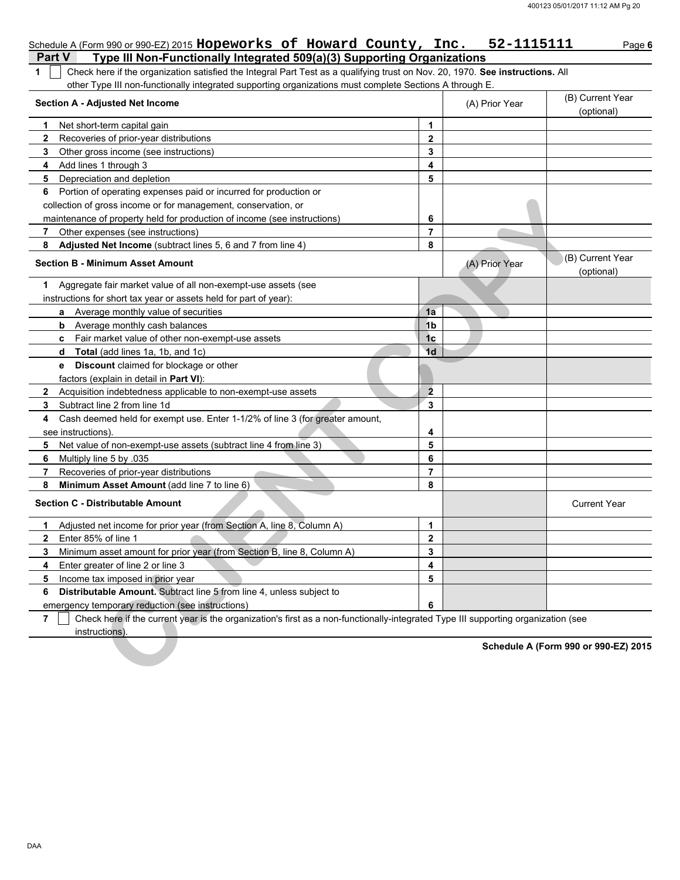| Type III Non-Functionally Integrated 509(a)(3) Supporting Organizations<br><b>Part V</b><br>Check here if the organization satisfied the Integral Part Test as a qualifying trust on Nov. 20, 1970. See instructions. All<br>1<br>other Type III non-functionally integrated supporting organizations must complete Sections A through E. |                |                |                                      |
|-------------------------------------------------------------------------------------------------------------------------------------------------------------------------------------------------------------------------------------------------------------------------------------------------------------------------------------------|----------------|----------------|--------------------------------------|
| <b>Section A - Adjusted Net Income</b>                                                                                                                                                                                                                                                                                                    |                | (A) Prior Year | (B) Current Year<br>(optional)       |
| Net short-term capital gain<br>1                                                                                                                                                                                                                                                                                                          | 1              |                |                                      |
| $\mathbf{2}$<br>Recoveries of prior-year distributions                                                                                                                                                                                                                                                                                    | $\mathbf 2$    |                |                                      |
| 3<br>Other gross income (see instructions)                                                                                                                                                                                                                                                                                                | 3              |                |                                      |
| Add lines 1 through 3<br>4                                                                                                                                                                                                                                                                                                                | 4              |                |                                      |
| 5<br>Depreciation and depletion                                                                                                                                                                                                                                                                                                           | 5              |                |                                      |
| Portion of operating expenses paid or incurred for production or<br>6                                                                                                                                                                                                                                                                     |                |                |                                      |
| collection of gross income or for management, conservation, or                                                                                                                                                                                                                                                                            |                |                |                                      |
| maintenance of property held for production of income (see instructions)                                                                                                                                                                                                                                                                  | 6              |                |                                      |
| Other expenses (see instructions)<br>$\overline{7}$                                                                                                                                                                                                                                                                                       | 7              |                |                                      |
| Adjusted Net Income (subtract lines 5, 6 and 7 from line 4)<br>8                                                                                                                                                                                                                                                                          | 8              |                |                                      |
| <b>Section B - Minimum Asset Amount</b>                                                                                                                                                                                                                                                                                                   |                | (A) Prior Year | (B) Current Year<br>(optional)       |
| Aggregate fair market value of all non-exempt-use assets (see<br>1                                                                                                                                                                                                                                                                        |                |                |                                      |
| instructions for short tax year or assets held for part of year):                                                                                                                                                                                                                                                                         |                |                |                                      |
| a Average monthly value of securities                                                                                                                                                                                                                                                                                                     | 1a             |                |                                      |
| <b>b</b> Average monthly cash balances                                                                                                                                                                                                                                                                                                    | 1 <sub>b</sub> |                |                                      |
| c Fair market value of other non-exempt-use assets                                                                                                                                                                                                                                                                                        | 1 <sub>c</sub> |                |                                      |
| Total (add lines 1a, 1b, and 1c)<br>d                                                                                                                                                                                                                                                                                                     | 1 <sub>d</sub> |                |                                      |
| Discount claimed for blockage or other<br>е                                                                                                                                                                                                                                                                                               |                |                |                                      |
| factors (explain in detail in Part VI):                                                                                                                                                                                                                                                                                                   |                |                |                                      |
| Acquisition indebtedness applicable to non-exempt-use assets<br>$\mathbf{2}$                                                                                                                                                                                                                                                              | $\overline{2}$ |                |                                      |
| Subtract line 2 from line 1d<br>3                                                                                                                                                                                                                                                                                                         | 3              |                |                                      |
| Cash deemed held for exempt use. Enter 1-1/2% of line 3 (for greater amount,<br>4                                                                                                                                                                                                                                                         |                |                |                                      |
| see instructions).                                                                                                                                                                                                                                                                                                                        | 4              |                |                                      |
| Net value of non-exempt-use assets (subtract line 4 from line 3)<br>5                                                                                                                                                                                                                                                                     | 5              |                |                                      |
| Multiply line 5 by .035<br>6                                                                                                                                                                                                                                                                                                              | 6              |                |                                      |
| 7<br>Recoveries of prior-year distributions                                                                                                                                                                                                                                                                                               | 7              |                |                                      |
| Minimum Asset Amount (add line 7 to line 6)<br>8                                                                                                                                                                                                                                                                                          | 8              |                |                                      |
| <b>Section C - Distributable Amount</b>                                                                                                                                                                                                                                                                                                   |                |                | <b>Current Year</b>                  |
| Adjusted net income for prior year (from Section A, line 8, Column A)<br>1                                                                                                                                                                                                                                                                | 1              |                |                                      |
| Enter 85% of line 1<br>$\mathbf{2}$                                                                                                                                                                                                                                                                                                       | 2              |                |                                      |
| Minimum asset amount for prior year (from Section B, line 8, Column A)<br>3                                                                                                                                                                                                                                                               | 3              |                |                                      |
| Enter greater of line 2 or line 3<br>4                                                                                                                                                                                                                                                                                                    | 4              |                |                                      |
| 5<br>Income tax imposed in prior year                                                                                                                                                                                                                                                                                                     | 5              |                |                                      |
| 6<br>Distributable Amount. Subtract line 5 from line 4, unless subject to                                                                                                                                                                                                                                                                 |                |                |                                      |
| emergency temporary reduction (see instructions)                                                                                                                                                                                                                                                                                          | 6              |                |                                      |
| $\overline{7}$<br>Check here if the current year is the organization's first as a non-functionally-integrated Type III supporting organization (see<br>instructions)                                                                                                                                                                      |                |                |                                      |
|                                                                                                                                                                                                                                                                                                                                           |                |                | Schedule A (Form 990 or 990-EZ) 2015 |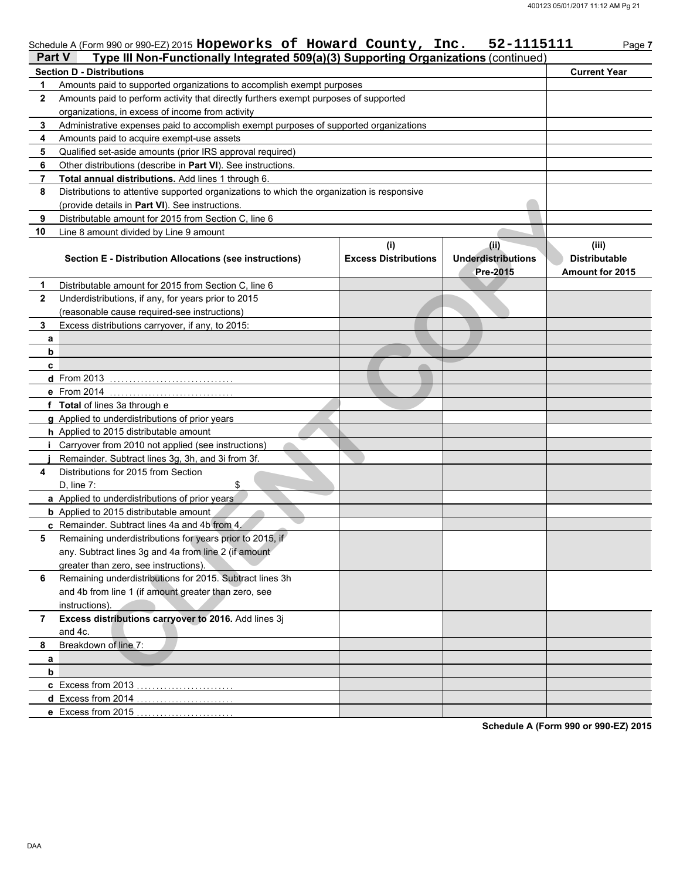|        | Schedule A (Form 990 or 990-EZ) 2015 Hopeworks of Howard County, Inc.                            |                             | 52-1115111                | Page 7                 |
|--------|--------------------------------------------------------------------------------------------------|-----------------------------|---------------------------|------------------------|
| Part V | Type III Non-Functionally Integrated 509(a)(3) Supporting Organizations (continued)              |                             |                           |                        |
|        | <b>Section D - Distributions</b>                                                                 |                             |                           | <b>Current Year</b>    |
| 1      | Amounts paid to supported organizations to accomplish exempt purposes                            |                             |                           |                        |
| 2      | Amounts paid to perform activity that directly furthers exempt purposes of supported             |                             |                           |                        |
|        | organizations, in excess of income from activity                                                 |                             |                           |                        |
| 3      | Administrative expenses paid to accomplish exempt purposes of supported organizations            |                             |                           |                        |
| 4      | Amounts paid to acquire exempt-use assets                                                        |                             |                           |                        |
| 5      | Qualified set-aside amounts (prior IRS approval required)                                        |                             |                           |                        |
| 6      | Other distributions (describe in Part VI). See instructions.                                     |                             |                           |                        |
| 7      | Total annual distributions. Add lines 1 through 6.                                               |                             |                           |                        |
| 8      | Distributions to attentive supported organizations to which the organization is responsive       |                             |                           |                        |
|        | (provide details in Part VI). See instructions.                                                  |                             |                           |                        |
| 9      | Distributable amount for 2015 from Section C, line 6                                             |                             |                           |                        |
| 10     | Line 8 amount divided by Line 9 amount                                                           |                             |                           |                        |
|        |                                                                                                  | (i)                         | (ii)                      | (iii)                  |
|        | <b>Section E - Distribution Allocations (see instructions)</b>                                   | <b>Excess Distributions</b> | <b>Underdistributions</b> | <b>Distributable</b>   |
|        |                                                                                                  |                             | Pre-2015                  | <b>Amount for 2015</b> |
| 1      | Distributable amount for 2015 from Section C, line 6                                             |                             |                           |                        |
| 2      | Underdistributions, if any, for years prior to 2015                                              |                             |                           |                        |
| 3      | (reasonable cause required-see instructions)<br>Excess distributions carryover, if any, to 2015: |                             |                           |                        |
| a      |                                                                                                  |                             |                           |                        |
| b      |                                                                                                  |                             |                           |                        |
| c      |                                                                                                  |                             |                           |                        |
|        | d From 2013                                                                                      |                             |                           |                        |
|        | e From 2014                                                                                      |                             |                           |                        |
|        | f Total of lines 3a through e                                                                    |                             |                           |                        |
|        | g Applied to underdistributions of prior years                                                   |                             |                           |                        |
|        | h Applied to 2015 distributable amount                                                           |                             |                           |                        |
|        | Carryover from 2010 not applied (see instructions)                                               |                             |                           |                        |
|        | Remainder. Subtract lines 3g, 3h, and 3i from 3f.                                                |                             |                           |                        |
| 4      | Distributions for 2015 from Section                                                              |                             |                           |                        |
|        | D, line 7:<br>\$                                                                                 |                             |                           |                        |
|        | a Applied to underdistributions of prior years                                                   |                             |                           |                        |
|        | <b>b</b> Applied to 2015 distributable amount                                                    |                             |                           |                        |
|        | c Remainder. Subtract lines 4a and 4b from 4.                                                    |                             |                           |                        |
| 5      | Remaining underdistributions for years prior to 2015, if                                         |                             |                           |                        |
|        | any. Subtract lines 3g and 4a from line 2 (if amount                                             |                             |                           |                        |
|        | greater than zero, see instructions).                                                            |                             |                           |                        |
| 6      | Remaining underdistributions for 2015. Subtract lines 3h                                         |                             |                           |                        |
|        | and 4b from line 1 (if amount greater than zero, see                                             |                             |                           |                        |
|        | instructions)                                                                                    |                             |                           |                        |
| 7      | Excess distributions carryover to 2016. Add lines 3j                                             |                             |                           |                        |
|        | and 4c.                                                                                          |                             |                           |                        |
| 8      | Breakdown of line 7:                                                                             |                             |                           |                        |
| а      |                                                                                                  |                             |                           |                        |
| b      |                                                                                                  |                             |                           |                        |
|        | c Excess from 2013                                                                               |                             |                           |                        |
|        | d Excess from 2014                                                                               |                             |                           |                        |
|        | e Excess from 2015                                                                               |                             |                           |                        |

**Schedule A (Form 990 or 990-EZ) 2015**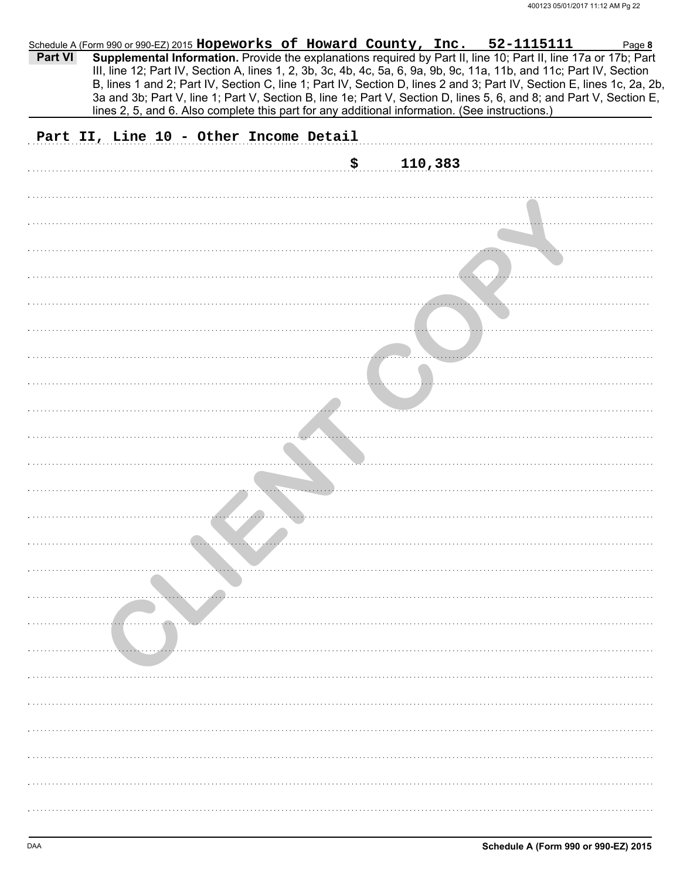|         | Schedule A (Form 990 or 990-EZ) 2015 Hopeworks of Howard County, Inc. 52-1115111<br>Page 8                             |
|---------|------------------------------------------------------------------------------------------------------------------------|
| Part VI | Supplemental Information. Provide the explanations required by Part II, line 10; Part II, line 17a or 17b; Part        |
|         | III, line 12; Part IV, Section A, lines 1, 2, 3b, 3c, 4b, 4c, 5a, 6, 9a, 9b, 9c, 11a, 11b, and 11c; Part IV, Section   |
|         | B, lines 1 and 2; Part IV, Section C, line 1; Part IV, Section D, lines 2 and 3; Part IV, Section E, lines 1c, 2a, 2b, |
|         | 3a and 3b; Part V, line 1; Part V, Section B, line 1e; Part V, Section D, lines 5, 6, and 8; and Part V, Section E,    |
|         | lines 2, 5, and 6. Also complete this part for any additional information. (See instructions.)                         |
|         |                                                                                                                        |
|         | Part II, Line 10 - Other Income Detail                                                                                 |
|         |                                                                                                                        |
|         | 110,383<br>\$                                                                                                          |
|         |                                                                                                                        |
|         |                                                                                                                        |
|         |                                                                                                                        |
|         |                                                                                                                        |
|         |                                                                                                                        |
|         |                                                                                                                        |
|         |                                                                                                                        |
|         |                                                                                                                        |
|         |                                                                                                                        |
|         |                                                                                                                        |
|         |                                                                                                                        |
|         |                                                                                                                        |
|         |                                                                                                                        |
|         |                                                                                                                        |
|         |                                                                                                                        |
|         |                                                                                                                        |
|         |                                                                                                                        |
|         |                                                                                                                        |
|         |                                                                                                                        |
|         |                                                                                                                        |
|         |                                                                                                                        |
|         |                                                                                                                        |
|         |                                                                                                                        |
|         |                                                                                                                        |
|         |                                                                                                                        |
|         |                                                                                                                        |
|         |                                                                                                                        |
|         |                                                                                                                        |
|         |                                                                                                                        |
|         |                                                                                                                        |
|         |                                                                                                                        |
|         |                                                                                                                        |
|         |                                                                                                                        |
|         |                                                                                                                        |
|         |                                                                                                                        |
|         |                                                                                                                        |
|         |                                                                                                                        |
|         |                                                                                                                        |
|         |                                                                                                                        |
|         |                                                                                                                        |
|         |                                                                                                                        |
|         |                                                                                                                        |
|         |                                                                                                                        |
|         |                                                                                                                        |
|         |                                                                                                                        |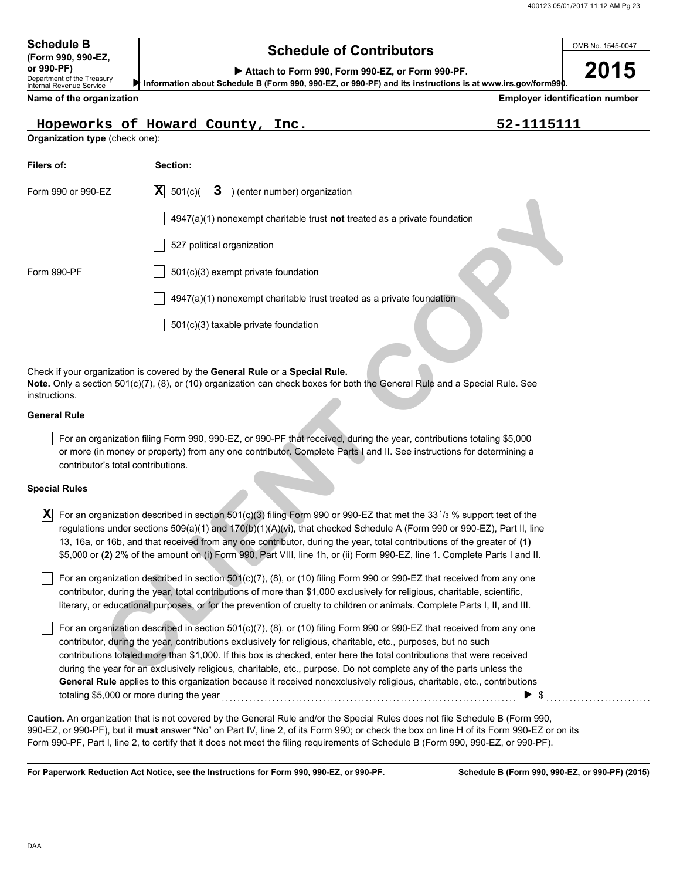| <b>Schedule B</b>                                      |
|--------------------------------------------------------|
| (Form 990, 990-EZ,                                     |
| or 990-PF)                                             |
| Department of the Treasury<br>Internal Revenue Service |

### **Schedule of Contributors**

OMB No. 1545-0047

**2015**

**or 990-PF) Attach to Form 990, Form 990-EZ, or Form 990-PF. Information about Schedule B (Form 990, 990-EZ, or 990-PF) and its instructions is at www.irs.gov/form990.**

**Employer identification number**

|  | Name of the organization |
|--|--------------------------|
|--|--------------------------|

**Organization type** (check one):

**Hopeworks of Howard County, Inc. 52-1115111**

| 12-1115111 |  |  |  |  |
|------------|--|--|--|--|
|            |  |  |  |  |

| Filers of:                                                                                                                                                                                                                                                                          | Section:                                                                                                                                                                                                                                                                                                                                                                                                                                                                                                                          |  |  |  |  |  |
|-------------------------------------------------------------------------------------------------------------------------------------------------------------------------------------------------------------------------------------------------------------------------------------|-----------------------------------------------------------------------------------------------------------------------------------------------------------------------------------------------------------------------------------------------------------------------------------------------------------------------------------------------------------------------------------------------------------------------------------------------------------------------------------------------------------------------------------|--|--|--|--|--|
| Form 990 or 990-EZ                                                                                                                                                                                                                                                                  | $ \mathbf{X} $<br>) (enter number) organization<br>501(c)<br>3                                                                                                                                                                                                                                                                                                                                                                                                                                                                    |  |  |  |  |  |
|                                                                                                                                                                                                                                                                                     | 4947(a)(1) nonexempt charitable trust not treated as a private foundation                                                                                                                                                                                                                                                                                                                                                                                                                                                         |  |  |  |  |  |
|                                                                                                                                                                                                                                                                                     | 527 political organization                                                                                                                                                                                                                                                                                                                                                                                                                                                                                                        |  |  |  |  |  |
| Form 990-PF                                                                                                                                                                                                                                                                         | 501(c)(3) exempt private foundation                                                                                                                                                                                                                                                                                                                                                                                                                                                                                               |  |  |  |  |  |
|                                                                                                                                                                                                                                                                                     | 4947(a)(1) nonexempt charitable trust treated as a private foundation                                                                                                                                                                                                                                                                                                                                                                                                                                                             |  |  |  |  |  |
|                                                                                                                                                                                                                                                                                     | 501(c)(3) taxable private foundation                                                                                                                                                                                                                                                                                                                                                                                                                                                                                              |  |  |  |  |  |
| instructions.<br>General Rule                                                                                                                                                                                                                                                       | Check if your organization is covered by the General Rule or a Special Rule.<br>Note. Only a section 501(c)(7), (8), or (10) organization can check boxes for both the General Rule and a Special Rule. See                                                                                                                                                                                                                                                                                                                       |  |  |  |  |  |
|                                                                                                                                                                                                                                                                                     |                                                                                                                                                                                                                                                                                                                                                                                                                                                                                                                                   |  |  |  |  |  |
| For an organization filing Form 990, 990-EZ, or 990-PF that received, during the year, contributions totaling \$5,000<br>or more (in money or property) from any one contributor. Complete Parts I and II. See instructions for determining a<br>contributor's total contributions. |                                                                                                                                                                                                                                                                                                                                                                                                                                                                                                                                   |  |  |  |  |  |
| Special Rules                                                                                                                                                                                                                                                                       |                                                                                                                                                                                                                                                                                                                                                                                                                                                                                                                                   |  |  |  |  |  |
| X                                                                                                                                                                                                                                                                                   | For an organization described in section 501(c)(3) filing Form 990 or 990-EZ that met the 33 <sup>1</sup> / <sub>3</sub> % support test of the<br>regulations under sections 509(a)(1) and 170(b)(1)(A)(vi), that checked Schedule A (Form 990 or 990-EZ), Part II, line<br>13, 16a, or 16b, and that received from any one contributor, during the year, total contributions of the greater of (1)<br>\$5,000 or (2) 2% of the amount on (i) Form 990, Part VIII, line 1h, or (ii) Form 990-EZ, line 1. Complete Parts I and II. |  |  |  |  |  |
|                                                                                                                                                                                                                                                                                     | For an organization described in section 501(c)(7), (8), or (10) filing Form 990 or 990-EZ that received from any one<br>contributor, during the year, total contributions of more than \$1,000 exclusively for religious, charitable, scientific,<br>literary, or educational purposes, or for the prevention of cruelty to children or animals. Complete Parts I, II, and III.                                                                                                                                                  |  |  |  |  |  |
|                                                                                                                                                                                                                                                                                     | For an organization described in section 501(c)(7), (8), or (10) filing Form 990 or 990-EZ that received from any one<br>contributor, during the year, contributions exclusively for religious, charitable, etc., purposes, but no such<br>contributions totaled more than \$1,000. If this box is checked, enter here the total contributions that were received<br>during the year for an exclusively religious, charitable, etc., purpose. Do not complete any of the parts unless the                                         |  |  |  |  |  |

#### **General Rule**

#### **Special Rules**

For an organization described in section 501(c)(7), (8), or (10) filing Form 990 or 990-EZ that received from any one contributor, during the year, contributions exclusively for religious, charitable, etc., purposes, but no such contributions totaled more than \$1,000. If this box is checked, enter here the total contributions that were received during the year for an exclusively religious, charitable, etc., purpose. Do not complete any of the parts unless the **General Rule** applies to this organization because it received nonexclusively religious, charitable, etc., contributions totaling \$5,000 or more during the year  $\ldots$   $\ldots$   $\ldots$   $\ldots$   $\ldots$   $\ldots$   $\ldots$   $\ldots$   $\ldots$   $\ldots$   $\ldots$ 

990-EZ, or 990-PF), but it **must** answer "No" on Part IV, line 2, of its Form 990; or check the box on line H of its Form 990-EZ or on its Form 990-PF, Part I, line 2, to certify that it does not meet the filing requirements of Schedule B (Form 990, 990-EZ, or 990-PF). **Caution.** An organization that is not covered by the General Rule and/or the Special Rules does not file Schedule B (Form 990,

**For Paperwork Reduction Act Notice, see the Instructions for Form 990, 990-EZ, or 990-PF.**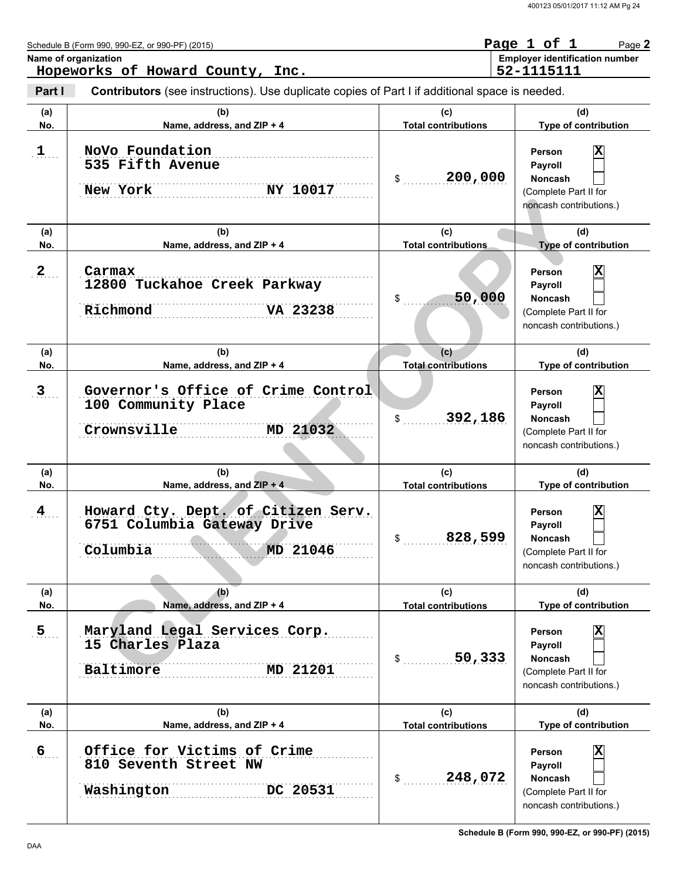|                                | Schedule B (Form 990, 990-EZ, or 990-PF) (2015)                                                                         |                                             | Page 1 of 1<br>Page 2                                                                                                |
|--------------------------------|-------------------------------------------------------------------------------------------------------------------------|---------------------------------------------|----------------------------------------------------------------------------------------------------------------------|
|                                | Name of organization<br>Hopeworks of Howard County, Inc.                                                                |                                             | <b>Employer identification number</b><br>52-1115111                                                                  |
| Part I                         | Contributors (see instructions). Use duplicate copies of Part I if additional space is needed.                          |                                             |                                                                                                                      |
| (a)<br>No.                     | (b)<br>Name, address, and ZIP + 4                                                                                       | (c)<br><b>Total contributions</b>           | (d)<br>Type of contribution                                                                                          |
| $\mathbf{1}$                   | NoVo Foundation<br>535 Fifth Avenue<br>NY 10017<br>New York                                                             | 200,000<br>\$                               | x<br><b>Person</b><br>Payroll<br>Noncash<br>(Complete Part II for<br>noncash contributions.)                         |
| (a)                            | (b)                                                                                                                     | (c)                                         | (d)                                                                                                                  |
| No.                            | Name, address, and ZIP + 4                                                                                              | <b>Total contributions</b>                  | <b>Type of contribution</b>                                                                                          |
| $\mathbf{2}$                   | Carmax<br>12800 Tuckahoe Creek Parkway<br>Richmond<br>VA 23238                                                          | 50,000<br>\$                                | x<br>Person<br>Payroll<br>Noncash<br>(Complete Part II for<br>noncash contributions.)                                |
| (a)<br>No.                     | (b)<br>Name, address, and ZIP + 4                                                                                       | (c)<br><b>Total contributions</b>           | (d)<br>Type of contribution                                                                                          |
| $\mathbf{3}$                   | Governor's Office of Crime Control<br>100 Community Place<br>Crownsville<br>MD 21032                                    | 392,186<br>\$                               | x<br><b>Person</b><br>Payroll<br>Noncash<br>(Complete Part II for<br>noncash contributions.)                         |
| (a)                            | (b)                                                                                                                     | (c)                                         | (d)                                                                                                                  |
| No.<br>$\overline{\mathbf{4}}$ | Name, address, and ZIP + 4<br>Howard Cty. Dept. of Citizen Serv.<br>6751 Columbia Gateway Drive<br>Columbia<br>MD 21046 | <b>Total contributions</b><br>828,599       | Type of contribution<br>x<br><b>Person</b><br>Payroll<br>Noncash<br>(Complete Part II for<br>noncash contributions.) |
| (a)                            | (b)                                                                                                                     | (c)                                         | (d)                                                                                                                  |
| No.                            | Name, address, and ZIP + 4                                                                                              | <b>Total contributions</b>                  | Type of contribution                                                                                                 |
| $\overline{5}$                 | Maryland Legal Services Corp.<br>15 Charles Plaza<br>MD 21201<br>Baltimore                                              | 50,333<br>\$                                | X<br>Person<br>Payroll<br><b>Noncash</b><br>(Complete Part II for<br>noncash contributions.)                         |
| (a)                            | (b)                                                                                                                     | (c)                                         | (d)                                                                                                                  |
| No.<br>$6 \overline{6}$        | Name, address, and ZIP + 4<br>Office for Victims of Crime<br>810 Seventh Street NW<br>DC 20531<br>Washington            | <b>Total contributions</b><br>248,072<br>\$ | Type of contribution<br>X<br>Person<br>Payroll<br><b>Noncash</b><br>(Complete Part II for<br>noncash contributions.) |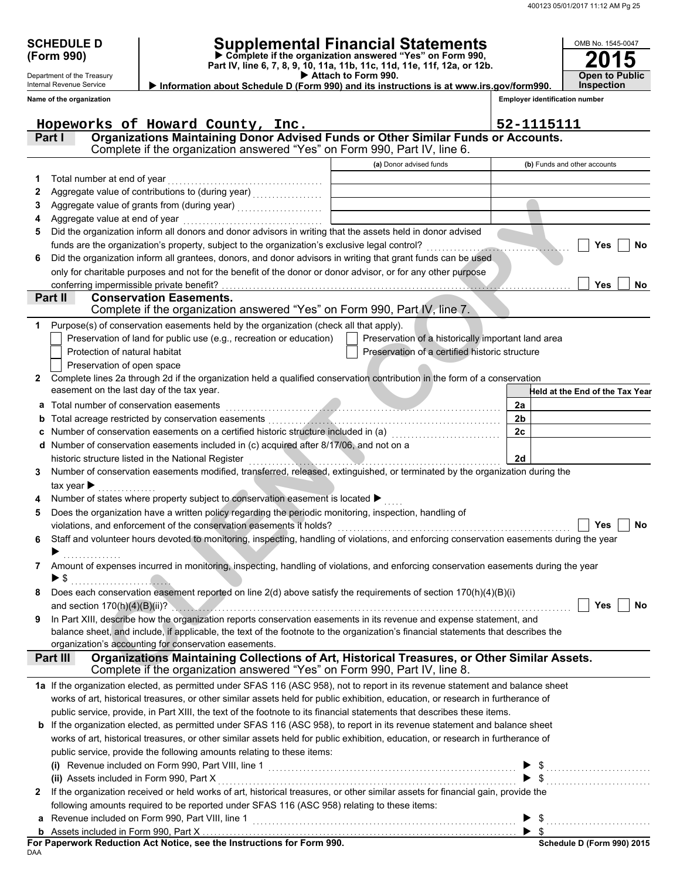|              | <b>SCHEDULE D</b><br>(Form 990)                        |                                                                                                                                                                                                                                 | <b>Supplemental Financial Statements</b><br>Complete if the organization answered "Yes" on Form 990,<br>Part IV, line 6, 7, 8, 9, 10, 11a, 11b, 11c, 11d, 11e, 11f, 12a, or 12b. | OMB No. 1545-0047                     |
|--------------|--------------------------------------------------------|---------------------------------------------------------------------------------------------------------------------------------------------------------------------------------------------------------------------------------|----------------------------------------------------------------------------------------------------------------------------------------------------------------------------------|---------------------------------------|
|              | Department of the Treasury<br>Internal Revenue Service | <b>Open to Public</b><br><b>Inspection</b><br>Information about Schedule D (Form 990) and its instructions is at www.irs.gov/form990.                                                                                           |                                                                                                                                                                                  |                                       |
|              | Name of the organization                               |                                                                                                                                                                                                                                 |                                                                                                                                                                                  | <b>Employer identification number</b> |
|              |                                                        |                                                                                                                                                                                                                                 |                                                                                                                                                                                  |                                       |
|              |                                                        | Hopeworks of Howard County, Inc.                                                                                                                                                                                                |                                                                                                                                                                                  | 52-1115111                            |
|              | Part I                                                 | Organizations Maintaining Donor Advised Funds or Other Similar Funds or Accounts.<br>Complete if the organization answered "Yes" on Form 990, Part IV, line 6.                                                                  |                                                                                                                                                                                  |                                       |
|              |                                                        |                                                                                                                                                                                                                                 | (a) Donor advised funds                                                                                                                                                          | (b) Funds and other accounts          |
| 1            |                                                        |                                                                                                                                                                                                                                 |                                                                                                                                                                                  |                                       |
| 2            |                                                        |                                                                                                                                                                                                                                 |                                                                                                                                                                                  |                                       |
| 3            |                                                        |                                                                                                                                                                                                                                 |                                                                                                                                                                                  |                                       |
| 4            |                                                        |                                                                                                                                                                                                                                 |                                                                                                                                                                                  |                                       |
| 5            |                                                        | Did the organization inform all donors and donor advisors in writing that the assets held in donor advised                                                                                                                      |                                                                                                                                                                                  |                                       |
|              |                                                        |                                                                                                                                                                                                                                 |                                                                                                                                                                                  | Yes<br>No                             |
|              |                                                        | Did the organization inform all grantees, donors, and donor advisors in writing that grant funds can be used                                                                                                                    |                                                                                                                                                                                  |                                       |
|              |                                                        | only for charitable purposes and not for the benefit of the donor or donor advisor, or for any other purpose                                                                                                                    |                                                                                                                                                                                  |                                       |
|              | conferring impermissible private benefit?              |                                                                                                                                                                                                                                 |                                                                                                                                                                                  | Yes<br>No.                            |
|              | Part II                                                | <b>Conservation Easements.</b><br>Complete if the organization answered "Yes" on Form 990, Part IV, line 7.                                                                                                                     |                                                                                                                                                                                  |                                       |
| 1            |                                                        | Purpose(s) of conservation easements held by the organization (check all that apply).                                                                                                                                           |                                                                                                                                                                                  |                                       |
|              |                                                        | Preservation of land for public use (e.g., recreation or education)                                                                                                                                                             | Preservation of a historically important land area                                                                                                                               |                                       |
|              | Protection of natural habitat                          |                                                                                                                                                                                                                                 | Preservation of a certified historic structure                                                                                                                                   |                                       |
|              | Preservation of open space                             |                                                                                                                                                                                                                                 |                                                                                                                                                                                  |                                       |
| 2            |                                                        | Complete lines 2a through 2d if the organization held a qualified conservation contribution in the form of a conservation                                                                                                       |                                                                                                                                                                                  |                                       |
|              | easement on the last day of the tax year.              |                                                                                                                                                                                                                                 |                                                                                                                                                                                  | Held at the End of the Tax Year       |
|              | a Total number of conservation easements               |                                                                                                                                                                                                                                 |                                                                                                                                                                                  | 2a                                    |
|              |                                                        |                                                                                                                                                                                                                                 |                                                                                                                                                                                  | 2 <sub>b</sub>                        |
|              |                                                        | c Number of conservation easements on a certified historic structure included in (a) [11] Number of conservation easements on a certified historic structure included in (a)                                                    |                                                                                                                                                                                  | 2c                                    |
|              |                                                        | d Number of conservation easements included in (c) acquired after 8/17/06, and not on a                                                                                                                                         |                                                                                                                                                                                  |                                       |
|              |                                                        | historic structure listed in the National Register<br>Number of conservation easements modified, transferred, released, extinguished, or terminated by the organization during the                                              |                                                                                                                                                                                  | 2d                                    |
| 3            | tax year $\blacktriangleright$                         |                                                                                                                                                                                                                                 |                                                                                                                                                                                  |                                       |
|              |                                                        | Number of states where property subject to conservation easement is located >                                                                                                                                                   |                                                                                                                                                                                  |                                       |
| 5            |                                                        | Does the organization have a written policy regarding the periodic monitoring, inspection, handling of                                                                                                                          |                                                                                                                                                                                  |                                       |
|              |                                                        |                                                                                                                                                                                                                                 |                                                                                                                                                                                  | Yes<br>No                             |
| 6            |                                                        | Staff and volunteer hours devoted to monitoring, inspecting, handling of violations, and enforcing conservation easements during the year                                                                                       |                                                                                                                                                                                  |                                       |
|              |                                                        |                                                                                                                                                                                                                                 |                                                                                                                                                                                  |                                       |
| 7            |                                                        | Amount of expenses incurred in monitoring, inspecting, handling of violations, and enforcing conservation easements during the year                                                                                             |                                                                                                                                                                                  |                                       |
|              | $\blacktriangleright$ \$                               |                                                                                                                                                                                                                                 |                                                                                                                                                                                  |                                       |
| 8            |                                                        | Does each conservation easement reported on line 2(d) above satisfy the requirements of section 170(h)(4)(B)(i)                                                                                                                 |                                                                                                                                                                                  |                                       |
|              |                                                        | and section $170(h)(4)(B)(ii)$ ?<br>In Part XIII, describe how the organization reports conservation easements in its revenue and expense statement, and                                                                        |                                                                                                                                                                                  | Yes<br>No                             |
| 9            |                                                        | balance sheet, and include, if applicable, the text of the footnote to the organization's financial statements that describes the                                                                                               |                                                                                                                                                                                  |                                       |
|              |                                                        | organization's accounting for conservation easements.                                                                                                                                                                           |                                                                                                                                                                                  |                                       |
|              | Part III                                               | Organizations Maintaining Collections of Art, Historical Treasures, or Other Similar Assets.<br>Complete if the organization answered "Yes" on Form 990, Part IV, line 8.                                                       |                                                                                                                                                                                  |                                       |
|              |                                                        | 1a If the organization elected, as permitted under SFAS 116 (ASC 958), not to report in its revenue statement and balance sheet                                                                                                 |                                                                                                                                                                                  |                                       |
|              |                                                        | works of art, historical treasures, or other similar assets held for public exhibition, education, or research in furtherance of                                                                                                |                                                                                                                                                                                  |                                       |
|              |                                                        | public service, provide, in Part XIII, the text of the footnote to its financial statements that describes these items.                                                                                                         |                                                                                                                                                                                  |                                       |
|              |                                                        | b If the organization elected, as permitted under SFAS 116 (ASC 958), to report in its revenue statement and balance sheet                                                                                                      |                                                                                                                                                                                  |                                       |
|              |                                                        | works of art, historical treasures, or other similar assets held for public exhibition, education, or research in furtherance of                                                                                                |                                                                                                                                                                                  |                                       |
|              |                                                        | public service, provide the following amounts relating to these items:                                                                                                                                                          |                                                                                                                                                                                  |                                       |
|              |                                                        |                                                                                                                                                                                                                                 |                                                                                                                                                                                  |                                       |
|              | (ii) Assets included in Form 990, Part X               |                                                                                                                                                                                                                                 |                                                                                                                                                                                  |                                       |
| $\mathbf{2}$ |                                                        | If the organization received or held works of art, historical treasures, or other similar assets for financial gain, provide the<br>following amounts required to be reported under SFAS 116 (ASC 958) relating to these items: |                                                                                                                                                                                  |                                       |
| а            |                                                        |                                                                                                                                                                                                                                 |                                                                                                                                                                                  |                                       |
|              |                                                        |                                                                                                                                                                                                                                 |                                                                                                                                                                                  | $\blacktriangleright$ \$              |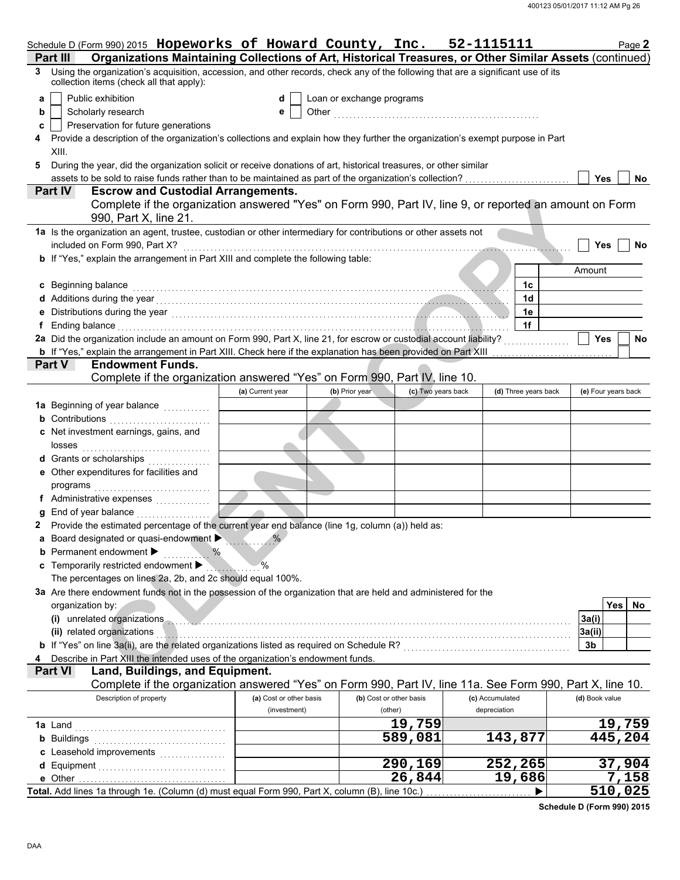|   | Schedule D (Form 990) 2015 Hopeworks of Howard County, Inc. 52-1115111<br>Organizations Maintaining Collections of Art, Historical Treasures, or Other Similar Assets (continued)<br>Part III                                  |                         |                           |                    |                      | Page 2              |
|---|--------------------------------------------------------------------------------------------------------------------------------------------------------------------------------------------------------------------------------|-------------------------|---------------------------|--------------------|----------------------|---------------------|
| 3 | Using the organization's acquisition, accession, and other records, check any of the following that are a significant use of its<br>collection items (check all that apply):                                                   |                         |                           |                    |                      |                     |
| a | Public exhibition                                                                                                                                                                                                              | d                       | Loan or exchange programs |                    |                      |                     |
| b | Scholarly research                                                                                                                                                                                                             | е                       |                           |                    |                      |                     |
| c | Preservation for future generations                                                                                                                                                                                            |                         |                           |                    |                      |                     |
|   | Provide a description of the organization's collections and explain how they further the organization's exempt purpose in Part<br>XIII.                                                                                        |                         |                           |                    |                      |                     |
| 5 | During the year, did the organization solicit or receive donations of art, historical treasures, or other similar                                                                                                              |                         |                           |                    |                      |                     |
|   | assets to be sold to raise funds rather than to be maintained as part of the organization's collection?                                                                                                                        |                         |                           |                    |                      | Yes<br>No.          |
|   | <b>Part IV</b><br><b>Escrow and Custodial Arrangements.</b>                                                                                                                                                                    |                         |                           |                    |                      |                     |
|   | Complete if the organization answered "Yes" on Form 990, Part IV, line 9, or reported an amount on Form<br>990, Part X, line 21.                                                                                               |                         |                           |                    |                      |                     |
|   | 1a Is the organization an agent, trustee, custodian or other intermediary for contributions or other assets not<br>included on Form 990, Part X?                                                                               |                         |                           |                    |                      | Yes<br>No           |
|   | b If "Yes," explain the arrangement in Part XIII and complete the following table:                                                                                                                                             |                         |                           |                    |                      |                     |
|   |                                                                                                                                                                                                                                |                         |                           |                    |                      | Amount              |
|   | c Beginning balance                                                                                                                                                                                                            |                         |                           |                    | 1c                   |                     |
|   | d Additions during the year electron contract the set of the year of the set of the set of the set of the set of the set of the set of the set of the set of the set of the set of the set of the set of the set of the set of |                         |                           |                    | 1d                   |                     |
|   |                                                                                                                                                                                                                                |                         |                           |                    | 1e                   |                     |
|   | f Ending balance encourance and a series of the contract of the contract of the contract of the contract of the contract of the contract of the contract of the contract of the contract of the contract of the contract of th |                         |                           |                    | 1f                   |                     |
|   | 2a Did the organization include an amount on Form 990, Part X, line 21, for escrow or custodial account liability?                                                                                                             |                         |                           |                    |                      | Yes<br>No           |
|   | <b>b</b> If "Yes," explain the arrangement in Part XIII. Check here if the explanation has been provided on Part XIII                                                                                                          |                         |                           |                    |                      |                     |
|   | <b>Endowment Funds.</b><br><b>Part V</b>                                                                                                                                                                                       |                         |                           |                    |                      |                     |
|   | Complete if the organization answered "Yes" on Form 990, Part IV, line 10.                                                                                                                                                     |                         |                           |                    |                      |                     |
|   |                                                                                                                                                                                                                                | (a) Current year        | (b) Prior year            | (c) Two years back | (d) Three years back | (e) Four years back |
|   | 1a Beginning of year balance                                                                                                                                                                                                   |                         |                           |                    |                      |                     |
|   | <b>b</b> Contributions <b>contributions</b>                                                                                                                                                                                    |                         |                           |                    |                      |                     |
|   | c Net investment earnings, gains, and                                                                                                                                                                                          |                         |                           |                    |                      |                     |
|   |                                                                                                                                                                                                                                |                         |                           |                    |                      |                     |
|   | d Grants or scholarships<br>.                                                                                                                                                                                                  |                         |                           |                    |                      |                     |
|   | e Other expenditures for facilities and                                                                                                                                                                                        |                         |                           |                    |                      |                     |
|   |                                                                                                                                                                                                                                |                         |                           |                    |                      |                     |
|   | f Administrative expenses                                                                                                                                                                                                      |                         |                           |                    |                      |                     |
|   |                                                                                                                                                                                                                                |                         |                           |                    |                      |                     |
|   | 2 Provide the estimated percentage of the current year end balance (line 1g, column (a)) held as:                                                                                                                              |                         |                           |                    |                      |                     |
|   | a Board designated or quasi-endowment                                                                                                                                                                                          |                         |                           |                    |                      |                     |
|   | <b>b</b> Permanent endowment $\blacktriangleright$<br>%                                                                                                                                                                        |                         |                           |                    |                      |                     |
|   | c Temporarily restricted endowment >                                                                                                                                                                                           | $-\frac{9}{6}$          |                           |                    |                      |                     |
|   | The percentages on lines 2a, 2b, and 2c should equal 100%.                                                                                                                                                                     |                         |                           |                    |                      |                     |
|   | 3a Are there endowment funds not in the possession of the organization that are held and administered for the                                                                                                                  |                         |                           |                    |                      |                     |
|   | organization by:                                                                                                                                                                                                               |                         |                           |                    |                      | <b>Yes</b><br>No    |
|   | (i) unrelated organizations                                                                                                                                                                                                    |                         |                           |                    |                      | 3a(i)               |
|   | (ii) related organizations <b>contained a contained a contained a contained a contained a contained a contained a</b>                                                                                                          |                         |                           |                    |                      | 3a(ii)              |
|   |                                                                                                                                                                                                                                |                         |                           |                    |                      | 3b                  |
|   | Describe in Part XIII the intended uses of the organization's endowment funds.                                                                                                                                                 |                         |                           |                    |                      |                     |
|   | <b>Part VI</b><br>Land, Buildings, and Equipment.                                                                                                                                                                              |                         |                           |                    |                      |                     |
|   | Complete if the organization answered "Yes" on Form 990, Part IV, line 11a. See Form 990, Part X, line 10.                                                                                                                     |                         |                           |                    |                      |                     |
|   | Description of property                                                                                                                                                                                                        | (a) Cost or other basis | (b) Cost or other basis   |                    | (c) Accumulated      | (d) Book value      |
|   |                                                                                                                                                                                                                                | (investment)            | (other)                   |                    | depreciation         |                     |
|   |                                                                                                                                                                                                                                |                         |                           | 19,759             |                      | 19,759              |
|   | <b>b</b> Buildings                                                                                                                                                                                                             |                         |                           | 589,081            | 143,877              | 445,204             |
|   |                                                                                                                                                                                                                                |                         |                           |                    |                      |                     |
|   |                                                                                                                                                                                                                                |                         |                           | 290,169            | 252,265              | 37,904              |
|   |                                                                                                                                                                                                                                |                         |                           | 26,844             | 19,686               | 7,158               |
|   | Total. Add lines 1a through 1e. (Column (d) must equal Form 990, Part X, column (B), line 10c.)                                                                                                                                |                         |                           |                    |                      | 510,025             |

**Schedule D (Form 990) 2015**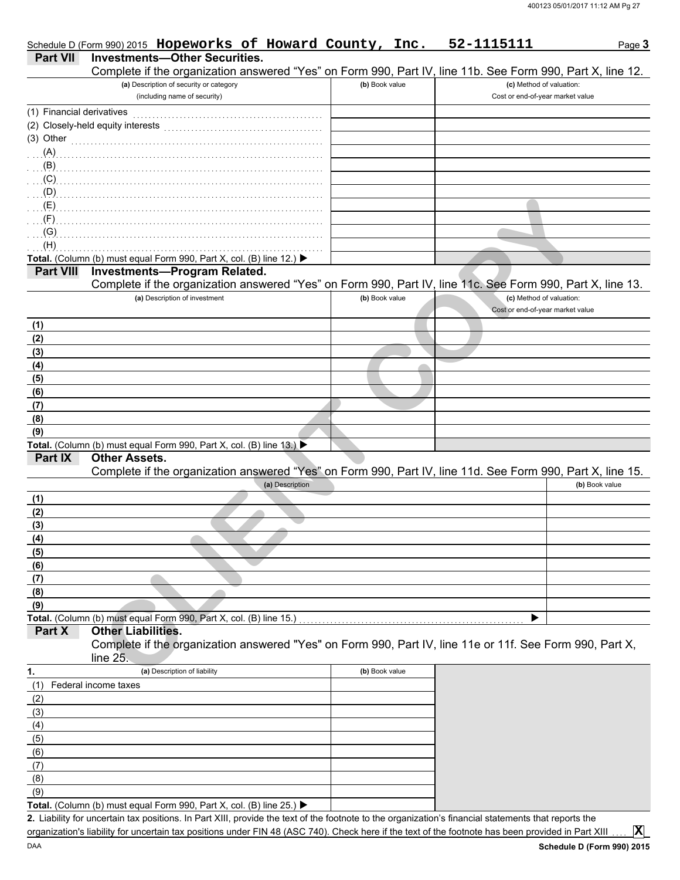|                                                  | Schedule D (Form 990) 2015 Hopeworks of Howard County, Inc.                                                |                | 52-1115111                       | Page 3         |
|--------------------------------------------------|------------------------------------------------------------------------------------------------------------|----------------|----------------------------------|----------------|
| <b>Part VII</b>                                  | <b>Investments-Other Securities.</b>                                                                       |                |                                  |                |
|                                                  | Complete if the organization answered "Yes" on Form 990, Part IV, line 11b. See Form 990, Part X, line 12. |                |                                  |                |
|                                                  | (a) Description of security or category<br>(including name of security)                                    | (b) Book value | (c) Method of valuation:         |                |
|                                                  |                                                                                                            |                | Cost or end-of-year market value |                |
| (1) Financial derivatives                        |                                                                                                            |                |                                  |                |
|                                                  |                                                                                                            |                |                                  |                |
|                                                  | (3) Other $\ldots$ and $\ldots$ and $\ldots$ and $\ldots$ and $\ldots$                                     |                |                                  |                |
|                                                  | (A)                                                                                                        |                |                                  |                |
| $\ldots$ (C) $\ldots$ $\ldots$ $\ldots$ $\ldots$ |                                                                                                            |                |                                  |                |
| $\ldots$ (D) $\ldots$ $\ldots$ $\ldots$ $\ldots$ |                                                                                                            |                |                                  |                |
| $\ldots$ (E) $\ldots$                            |                                                                                                            |                |                                  |                |
| $\ldots$ (F) $\ldots$                            |                                                                                                            |                |                                  |                |
|                                                  |                                                                                                            |                |                                  |                |
| $(H)$ .                                          |                                                                                                            |                |                                  |                |
|                                                  | Total. (Column (b) must equal Form 990, Part X, col. (B) line 12.) ▶                                       |                |                                  |                |
| <b>Part VIII</b>                                 | <b>Investments-Program Related.</b>                                                                        |                |                                  |                |
|                                                  | Complete if the organization answered "Yes" on Form 990, Part IV, line 11c. See Form 990, Part X, line 13. |                |                                  |                |
|                                                  | (a) Description of investment                                                                              | (b) Book value | (c) Method of valuation:         |                |
|                                                  |                                                                                                            |                | Cost or end-of-year market value |                |
| (1)                                              |                                                                                                            |                |                                  |                |
| (2)                                              |                                                                                                            |                |                                  |                |
| (3)                                              |                                                                                                            |                |                                  |                |
| (4)                                              |                                                                                                            |                |                                  |                |
| (5)                                              |                                                                                                            |                |                                  |                |
| (6)                                              |                                                                                                            |                |                                  |                |
| (7)                                              |                                                                                                            |                |                                  |                |
| (8)                                              |                                                                                                            |                |                                  |                |
| (9)                                              | Total. (Column (b) must equal Form 990, Part X, col. (B) line 13.) ▶                                       |                |                                  |                |
| Part IX                                          | <b>Other Assets.</b>                                                                                       |                |                                  |                |
|                                                  | Complete if the organization answered "Yes" on Form 990, Part IV, line 11d. See Form 990, Part X, line 15. |                |                                  |                |
|                                                  | (a) Description                                                                                            |                |                                  | (b) Book value |
| (1)                                              |                                                                                                            |                |                                  |                |
| (2)                                              |                                                                                                            |                |                                  |                |
| (3)                                              |                                                                                                            |                |                                  |                |
| (4)                                              |                                                                                                            |                |                                  |                |
| (5)                                              |                                                                                                            |                |                                  |                |
| (6)                                              |                                                                                                            |                |                                  |                |
| (7)                                              |                                                                                                            |                |                                  |                |
| (8)                                              |                                                                                                            |                |                                  |                |
| (9)                                              |                                                                                                            |                |                                  |                |
| Part X                                           | Total. (Column (b) must equal Form 990, Part X, col. (B) line 15.)<br><b>Other Liabilities.</b>            |                |                                  |                |
|                                                  | Complete if the organization answered "Yes" on Form 990, Part IV, line 11e or 11f. See Form 990, Part X,   |                |                                  |                |
|                                                  | line $25$ .                                                                                                |                |                                  |                |
| 1.                                               | (a) Description of liability                                                                               | (b) Book value |                                  |                |
| (1)                                              | Federal income taxes                                                                                       |                |                                  |                |
| (2)                                              |                                                                                                            |                |                                  |                |
| (3)                                              |                                                                                                            |                |                                  |                |
| (4)                                              |                                                                                                            |                |                                  |                |
| (5)                                              |                                                                                                            |                |                                  |                |
| (6)                                              |                                                                                                            |                |                                  |                |
| (7)                                              |                                                                                                            |                |                                  |                |
| (8)                                              |                                                                                                            |                |                                  |                |
| (9)                                              |                                                                                                            |                |                                  |                |

Total. (Column (b) must equal Form 990, Part X, col. (B) line 25.) ▶

Liability for uncertain tax positions. In Part XIII, provide the text of the footnote to the organization's financial statements that reports the **2.** organization's liability for uncertain tax positions under FIN 48 (ASC 740). Check here if the text of the footnote has been provided in Part XIII

**X**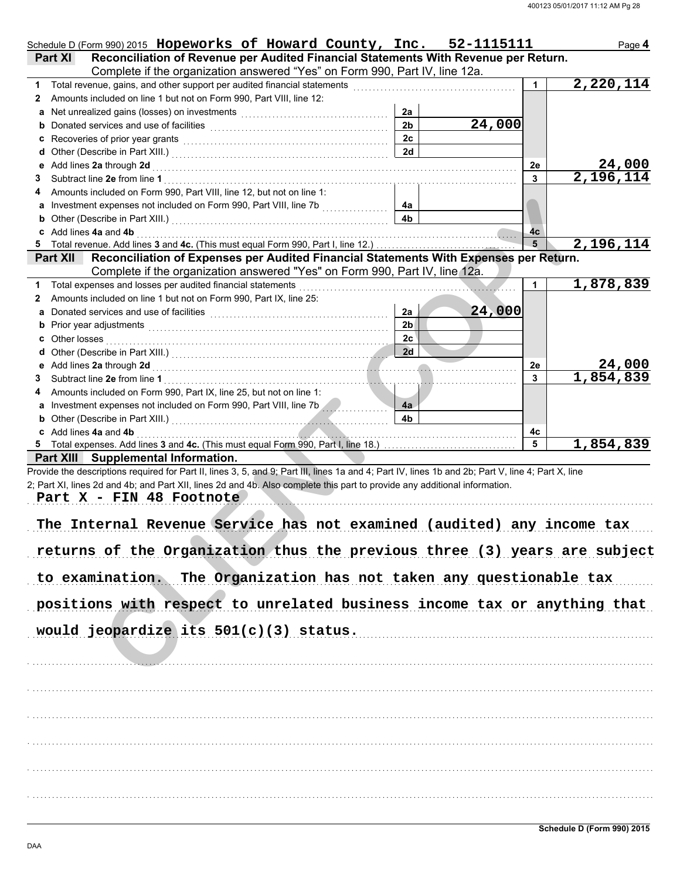| Schedule D (Form 990) 2015 Hopeworks of Howard County, Inc. 52-1115111<br>Reconciliation of Revenue per Audited Financial Statements With Revenue per Return.<br><b>Part XI</b><br>Complete if the organization answered "Yes" on Form 990, Part IV, line 12a.                                               |                                                                    |                      |                | Page 4                 |
|--------------------------------------------------------------------------------------------------------------------------------------------------------------------------------------------------------------------------------------------------------------------------------------------------------------|--------------------------------------------------------------------|----------------------|----------------|------------------------|
|                                                                                                                                                                                                                                                                                                              |                                                                    |                      |                |                        |
| Total revenue, gains, and other support per audited financial statements<br>1                                                                                                                                                                                                                                |                                                                    |                      |                | $\overline{2,220,114}$ |
| Amounts included on line 1 but not on Form 990, Part VIII, line 12:<br>$\mathbf{2}$                                                                                                                                                                                                                          |                                                                    |                      |                |                        |
| a Net unrealized gains (losses) on investments                                                                                                                                                                                                                                                               | 2a                                                                 |                      |                |                        |
|                                                                                                                                                                                                                                                                                                              | 2 <sub>b</sub>                                                     | $\overline{24}$ ,000 |                |                        |
| c Recoveries of prior year grants [11] Recover 10 and 10 and 10 and 10 and 10 and 10 and 10 and 10 and 10 and 10 and 10 and 10 and 10 and 10 and 10 and 10 and 10 and 10 and 10 and 10 and 10 and 10 and 10 and 10 and 10 and                                                                                | 2c                                                                 |                      |                |                        |
|                                                                                                                                                                                                                                                                                                              | 2d                                                                 |                      |                |                        |
|                                                                                                                                                                                                                                                                                                              |                                                                    |                      | 2e             | 24,000                 |
| 3                                                                                                                                                                                                                                                                                                            |                                                                    |                      | 3              | $\overline{2,196,114}$ |
| Amounts included on Form 990, Part VIII, line 12, but not on line 1:<br>4                                                                                                                                                                                                                                    |                                                                    |                      |                |                        |
| a Investment expenses not included on Form 990, Part VIII, line 7b                                                                                                                                                                                                                                           | 4a                                                                 |                      |                |                        |
| <b>b</b> Other (Describe in Part XIII.) <b>CONSIDENT DESCRIPTION DESCRIPTION DESCRIPTION DESCRIPTION DESCRIPTION DESCRIPTION DESCRIPTION DESCRIPTION DESCRIPTION DESCRIPTION DESCRIPTION DESCRIPTION DESCRI</b>                                                                                              | 4 <sub>b</sub>                                                     |                      |                |                        |
| c Add lines 4a and 4b                                                                                                                                                                                                                                                                                        |                                                                    |                      | 4c             |                        |
|                                                                                                                                                                                                                                                                                                              |                                                                    |                      | 5              | 2,196,114              |
| Reconciliation of Expenses per Audited Financial Statements With Expenses per Return.<br><b>Part XII</b><br>Complete if the organization answered "Yes" on Form 990, Part IV, line 12a.                                                                                                                      |                                                                    |                      |                |                        |
| 1 Total expenses and losses per audited financial statements                                                                                                                                                                                                                                                 | <u> 1980 - John Stein, Amerikaansk politik ferhandel (d. 1980)</u> |                      | $\mathbf{1}$   | 1,878,839              |
| Amounts included on line 1 but not on Form 990, Part IX, line 25:<br>$\mathbf{2}$                                                                                                                                                                                                                            |                                                                    |                      |                |                        |
| a Donated services and use of facilities <b>constructs</b> and construct of the service of the Donated Service of the S                                                                                                                                                                                      | 2a                                                                 | 24,000               |                |                        |
| b Prior year adjustments <b>contained</b> and the contained and the contained and contained and prior of the contained and contained and contained and contained and contained and contained and contained and contained and contai                                                                          | 2 <sub>b</sub>                                                     |                      |                |                        |
|                                                                                                                                                                                                                                                                                                              | 2c                                                                 |                      |                |                        |
|                                                                                                                                                                                                                                                                                                              | 2d                                                                 |                      |                |                        |
| e Add lines 2a through 2d [11] March 20 [11] March 20 [11] March 20 [11] March 20 [11] March 20 [11] March 20 [11] March 20 [11] March 20 [11] March 20 [11] March 20 [11] March 20 [11] March 20 [11] March 20 [11] March 20                                                                                |                                                                    |                      | 2е             | 24,000                 |
| 3                                                                                                                                                                                                                                                                                                            |                                                                    |                      | $\overline{3}$ | 1,854,839              |
| Amounts included on Form 990, Part IX, line 25, but not on line 1:<br>4                                                                                                                                                                                                                                      |                                                                    |                      |                |                        |
| a Investment expenses not included on Form 990, Part VIII, line 7b                                                                                                                                                                                                                                           | 4a                                                                 |                      |                |                        |
|                                                                                                                                                                                                                                                                                                              | 4 <sub>b</sub>                                                     |                      |                |                        |
| <b>b</b> Other (Describe in Part XIII.) <b>CONSUMER 2018</b>                                                                                                                                                                                                                                                 |                                                                    |                      |                |                        |
| c Add lines 4a and 4b                                                                                                                                                                                                                                                                                        |                                                                    |                      | 4c<br>5        | 1,854,839              |
|                                                                                                                                                                                                                                                                                                              |                                                                    |                      |                |                        |
| Part XIII Supplemental Information.                                                                                                                                                                                                                                                                          |                                                                    |                      |                |                        |
| Provide the descriptions required for Part II, lines 3, 5, and 9; Part III, lines 1a and 4; Part IV, lines 1b and 2b; Part V, line 4; Part X, line<br>2; Part XI, lines 2d and 4b; and Part XII, lines 2d and 4b. Also complete this part to provide any additional information.<br>Part X - FIN 48 Footnote |                                                                    |                      |                |                        |
| The Internal Revenue Service has not examined (audited) any income tax<br>returns of the Organization thus the previous three (3) years are subject                                                                                                                                                          |                                                                    |                      |                |                        |
| to examination. The Organization has not taken any questionable tax                                                                                                                                                                                                                                          |                                                                    |                      |                |                        |
| positions with respect to unrelated business income tax or anything that                                                                                                                                                                                                                                     |                                                                    |                      |                |                        |
| would jeopardize its 501(c)(3) status.                                                                                                                                                                                                                                                                       |                                                                    |                      |                |                        |
|                                                                                                                                                                                                                                                                                                              |                                                                    |                      |                |                        |
|                                                                                                                                                                                                                                                                                                              |                                                                    |                      |                |                        |
|                                                                                                                                                                                                                                                                                                              |                                                                    |                      |                |                        |
|                                                                                                                                                                                                                                                                                                              |                                                                    |                      |                |                        |
|                                                                                                                                                                                                                                                                                                              |                                                                    |                      |                |                        |
|                                                                                                                                                                                                                                                                                                              |                                                                    |                      |                |                        |
|                                                                                                                                                                                                                                                                                                              |                                                                    |                      |                |                        |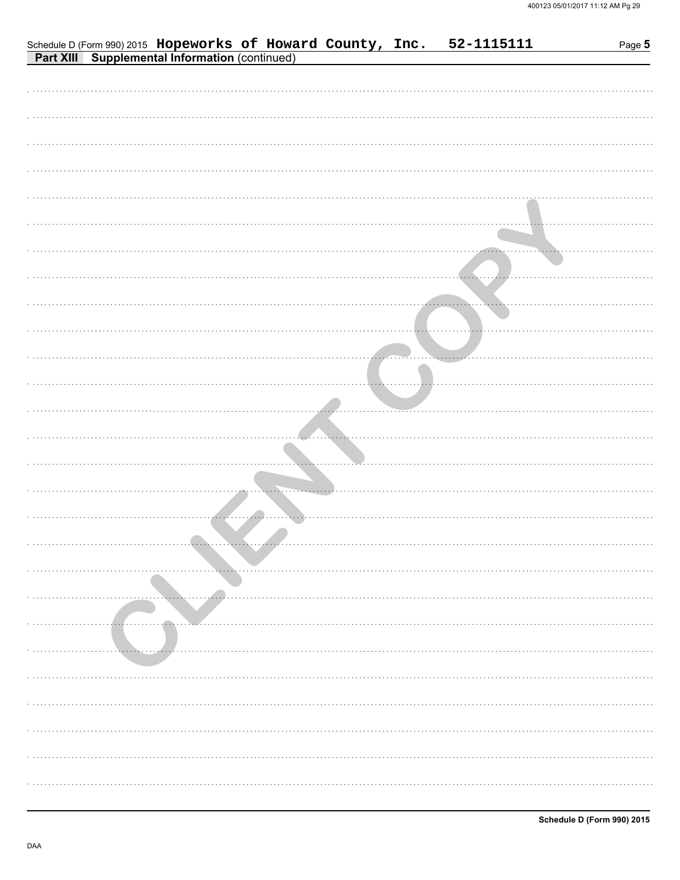|            | Schedule D (Form 990) 2015 Hopeworks of Howard County, Inc.<br>Part XIII Supplemental Information (continued) |  | 52-1115111 | Page 5 |
|------------|---------------------------------------------------------------------------------------------------------------|--|------------|--------|
|            |                                                                                                               |  |            |        |
|            |                                                                                                               |  |            |        |
|            |                                                                                                               |  |            |        |
|            |                                                                                                               |  |            |        |
|            |                                                                                                               |  |            |        |
|            |                                                                                                               |  |            |        |
|            |                                                                                                               |  |            |        |
|            |                                                                                                               |  |            |        |
|            |                                                                                                               |  |            |        |
|            |                                                                                                               |  |            |        |
|            |                                                                                                               |  |            |        |
|            |                                                                                                               |  |            |        |
|            |                                                                                                               |  |            |        |
|            |                                                                                                               |  |            |        |
|            |                                                                                                               |  |            |        |
|            |                                                                                                               |  |            |        |
|            |                                                                                                               |  |            |        |
|            |                                                                                                               |  |            |        |
|            |                                                                                                               |  |            |        |
|            |                                                                                                               |  |            |        |
|            | .                                                                                                             |  |            |        |
|            | .                                                                                                             |  |            |        |
|            |                                                                                                               |  |            |        |
| . <i>.</i> |                                                                                                               |  |            |        |
|            |                                                                                                               |  |            |        |
|            |                                                                                                               |  |            |        |
|            |                                                                                                               |  |            |        |
|            |                                                                                                               |  |            |        |
|            |                                                                                                               |  |            |        |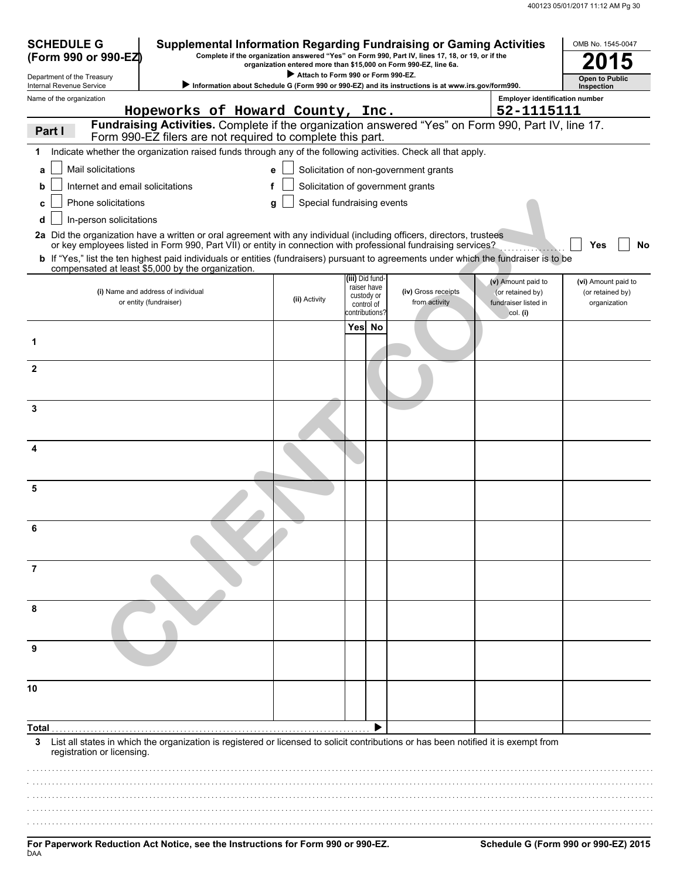| <b>SCHEDULE G</b><br><b>Supplemental Information Regarding Fundraising or Gaming Activities</b><br>Complete if the organization answered "Yes" on Form 990, Part IV, lines 17, 18, or 19, or if the<br>(Form 990 or 990-EZ)<br>organization entered more than \$15,000 on Form 990-EZ, line 6a.<br>Attach to Form 990 or Form 990-EZ. |                                                                                                                                                                  |                                 |                 |                              |                                                                                                   | OMB No. 1545-0047                     |                                     |
|---------------------------------------------------------------------------------------------------------------------------------------------------------------------------------------------------------------------------------------------------------------------------------------------------------------------------------------|------------------------------------------------------------------------------------------------------------------------------------------------------------------|---------------------------------|-----------------|------------------------------|---------------------------------------------------------------------------------------------------|---------------------------------------|-------------------------------------|
| Department of the Treasury<br>Internal Revenue Service                                                                                                                                                                                                                                                                                |                                                                                                                                                                  |                                 |                 |                              | Information about Schedule G (Form 990 or 990-EZ) and its instructions is at www.irs.gov/form990. |                                       | <b>Open to Public</b><br>Inspection |
| Name of the organization                                                                                                                                                                                                                                                                                                              |                                                                                                                                                                  |                                 |                 |                              |                                                                                                   | <b>Employer identification number</b> |                                     |
|                                                                                                                                                                                                                                                                                                                                       | Hopeworks of Howard County, Inc.                                                                                                                                 |                                 |                 |                              |                                                                                                   | 52-1115111                            |                                     |
| Part I                                                                                                                                                                                                                                                                                                                                | Fundraising Activities. Complete if the organization answered "Yes" on Form 990, Part IV, line 17.<br>Form 990-EZ filers are not required to complete this part. |                                 |                 |                              |                                                                                                   |                                       |                                     |
|                                                                                                                                                                                                                                                                                                                                       | Indicate whether the organization raised funds through any of the following activities. Check all that apply.                                                    |                                 |                 |                              |                                                                                                   |                                       |                                     |
| Mail solicitations<br>a                                                                                                                                                                                                                                                                                                               |                                                                                                                                                                  | e                               |                 |                              | Solicitation of non-government grants                                                             |                                       |                                     |
| Internet and email solicitations<br>b                                                                                                                                                                                                                                                                                                 | f                                                                                                                                                                |                                 |                 |                              | Solicitation of government grants                                                                 |                                       |                                     |
| Phone solicitations                                                                                                                                                                                                                                                                                                                   |                                                                                                                                                                  | Special fundraising events<br>g |                 |                              |                                                                                                   |                                       |                                     |
| In-person solicitations<br>d                                                                                                                                                                                                                                                                                                          |                                                                                                                                                                  |                                 |                 |                              |                                                                                                   |                                       |                                     |
|                                                                                                                                                                                                                                                                                                                                       | 2a Did the organization have a written or oral agreement with any individual (including officers, directors, trustees                                            |                                 |                 |                              |                                                                                                   |                                       |                                     |
|                                                                                                                                                                                                                                                                                                                                       | or key employees listed in Form 990, Part VII) or entity in connection with professional fundraising services?                                                   |                                 |                 |                              |                                                                                                   |                                       | No<br>Yes                           |
|                                                                                                                                                                                                                                                                                                                                       | <b>b</b> If "Yes," list the ten highest paid individuals or entities (fundraisers) pursuant to agreements under which the fundraiser is to be                    |                                 |                 |                              |                                                                                                   |                                       |                                     |
|                                                                                                                                                                                                                                                                                                                                       | compensated at least \$5,000 by the organization.                                                                                                                |                                 | (iii) Did fund- |                              |                                                                                                   | (v) Amount paid to                    | (vi) Amount paid to                 |
|                                                                                                                                                                                                                                                                                                                                       | (i) Name and address of individual                                                                                                                               |                                 |                 | raiser have<br>custody or    | (iv) Gross receipts                                                                               | (or retained by)                      | (or retained by)                    |
|                                                                                                                                                                                                                                                                                                                                       | or entity (fundraiser)                                                                                                                                           | (ii) Activity                   |                 | control of<br>contributions? | from activity                                                                                     | fundraiser listed in<br>col. (i)      | organization                        |
|                                                                                                                                                                                                                                                                                                                                       |                                                                                                                                                                  |                                 | Yes No          |                              |                                                                                                   |                                       |                                     |
| 1                                                                                                                                                                                                                                                                                                                                     |                                                                                                                                                                  |                                 |                 |                              |                                                                                                   |                                       |                                     |
|                                                                                                                                                                                                                                                                                                                                       |                                                                                                                                                                  |                                 |                 |                              |                                                                                                   |                                       |                                     |
| $\mathbf{2}$                                                                                                                                                                                                                                                                                                                          |                                                                                                                                                                  |                                 |                 |                              |                                                                                                   |                                       |                                     |
|                                                                                                                                                                                                                                                                                                                                       |                                                                                                                                                                  |                                 |                 |                              |                                                                                                   |                                       |                                     |
|                                                                                                                                                                                                                                                                                                                                       |                                                                                                                                                                  |                                 |                 |                              |                                                                                                   |                                       |                                     |
| 3                                                                                                                                                                                                                                                                                                                                     |                                                                                                                                                                  |                                 |                 |                              |                                                                                                   |                                       |                                     |
|                                                                                                                                                                                                                                                                                                                                       |                                                                                                                                                                  |                                 |                 |                              |                                                                                                   |                                       |                                     |
| 4                                                                                                                                                                                                                                                                                                                                     |                                                                                                                                                                  |                                 |                 |                              |                                                                                                   |                                       |                                     |
|                                                                                                                                                                                                                                                                                                                                       |                                                                                                                                                                  |                                 |                 |                              |                                                                                                   |                                       |                                     |
|                                                                                                                                                                                                                                                                                                                                       |                                                                                                                                                                  |                                 |                 |                              |                                                                                                   |                                       |                                     |
| 5                                                                                                                                                                                                                                                                                                                                     |                                                                                                                                                                  |                                 |                 |                              |                                                                                                   |                                       |                                     |
| 6                                                                                                                                                                                                                                                                                                                                     |                                                                                                                                                                  |                                 |                 |                              |                                                                                                   |                                       |                                     |
| 7                                                                                                                                                                                                                                                                                                                                     |                                                                                                                                                                  |                                 |                 |                              |                                                                                                   |                                       |                                     |
|                                                                                                                                                                                                                                                                                                                                       |                                                                                                                                                                  |                                 |                 |                              |                                                                                                   |                                       |                                     |
| 8                                                                                                                                                                                                                                                                                                                                     |                                                                                                                                                                  |                                 |                 |                              |                                                                                                   |                                       |                                     |
|                                                                                                                                                                                                                                                                                                                                       |                                                                                                                                                                  |                                 |                 |                              |                                                                                                   |                                       |                                     |
|                                                                                                                                                                                                                                                                                                                                       |                                                                                                                                                                  |                                 |                 |                              |                                                                                                   |                                       |                                     |
| 10                                                                                                                                                                                                                                                                                                                                    |                                                                                                                                                                  |                                 |                 |                              |                                                                                                   |                                       |                                     |
|                                                                                                                                                                                                                                                                                                                                       |                                                                                                                                                                  |                                 |                 |                              |                                                                                                   |                                       |                                     |
| Total<br>3<br>registration or licensing.                                                                                                                                                                                                                                                                                              | List all states in which the organization is registered or licensed to solicit contributions or has been notified it is exempt from                              |                                 |                 |                              |                                                                                                   |                                       |                                     |
|                                                                                                                                                                                                                                                                                                                                       |                                                                                                                                                                  |                                 |                 |                              |                                                                                                   |                                       |                                     |
|                                                                                                                                                                                                                                                                                                                                       |                                                                                                                                                                  |                                 |                 |                              |                                                                                                   |                                       |                                     |
|                                                                                                                                                                                                                                                                                                                                       |                                                                                                                                                                  |                                 |                 |                              |                                                                                                   |                                       |                                     |
|                                                                                                                                                                                                                                                                                                                                       |                                                                                                                                                                  |                                 |                 |                              |                                                                                                   |                                       |                                     |
|                                                                                                                                                                                                                                                                                                                                       |                                                                                                                                                                  |                                 |                 |                              |                                                                                                   |                                       |                                     |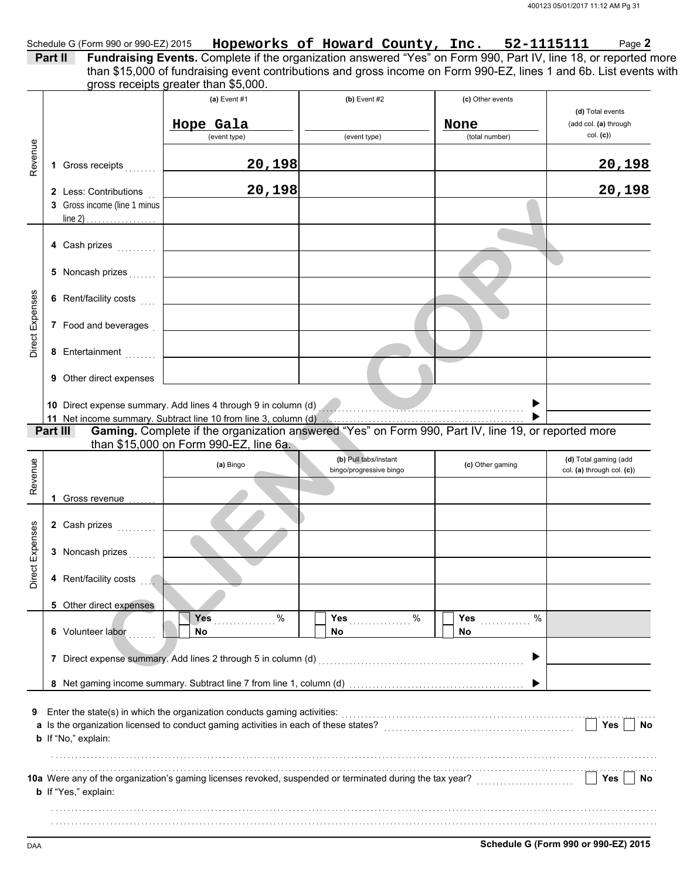|  | Schedule G (Form 990 or 990-EZ) 2015 | Hopeworks of Howard County, Inc. |  |  |  |  | 52-1115111 | Page $\geq$ |
|--|--------------------------------------|----------------------------------|--|--|--|--|------------|-------------|
|--|--------------------------------------|----------------------------------|--|--|--|--|------------|-------------|

**Part II Fundraising Events.** Complete if the organization answered "Yes" on Form 990, Part IV, line 18, or reported more gross receipts greater than \$5,000. than \$15,000 of fundraising event contributions and gross income on Form 990-EZ, lines 1 and 6b. List events with

|                 |                                                       | (a) Event #1<br>Hope Gala<br>(event type)                                            | $(b)$ Event #2<br>(event type)                                                                                                    | (c) Other events<br>None<br>(total number) | (d) Total events<br>(add col. (a) through<br>col. (c) |
|-----------------|-------------------------------------------------------|--------------------------------------------------------------------------------------|-----------------------------------------------------------------------------------------------------------------------------------|--------------------------------------------|-------------------------------------------------------|
| Revenue         |                                                       |                                                                                      |                                                                                                                                   |                                            |                                                       |
|                 | 1 Gross receipts                                      | 20,198                                                                               |                                                                                                                                   |                                            | 20,198                                                |
|                 | 2 Less: Contributions<br>3 Gross income (line 1 minus | 20,198                                                                               |                                                                                                                                   |                                            | 20,198                                                |
|                 | line $2)$<br>. <u>.</u>                               |                                                                                      |                                                                                                                                   |                                            |                                                       |
|                 | 4 Cash prizes                                         |                                                                                      |                                                                                                                                   |                                            |                                                       |
|                 | 5 Noncash prizes                                      |                                                                                      |                                                                                                                                   |                                            |                                                       |
|                 | 6 Rent/facility costs                                 |                                                                                      |                                                                                                                                   |                                            |                                                       |
| Direct Expenses | 7 Food and beverages                                  |                                                                                      |                                                                                                                                   |                                            |                                                       |
|                 |                                                       |                                                                                      |                                                                                                                                   |                                            |                                                       |
|                 | 8 Entertainment                                       |                                                                                      |                                                                                                                                   |                                            |                                                       |
|                 | 9 Other direct expenses                               |                                                                                      |                                                                                                                                   |                                            |                                                       |
|                 |                                                       |                                                                                      | 10 Direct expense summary. Add lines 4 through 9 in column (d)<br>11 Net income summary. Subtract line 10 from line 3, column (d) | $\blacktriangleright$                      |                                                       |
|                 | Part III                                              | than \$15,000 on Form 990-EZ, line 6a.                                               | Gaming. Complete if the organization answered "Yes" on Form 990, Part IV, line 19, or reported more                               |                                            |                                                       |
|                 |                                                       | (a) Bingo                                                                            | (b) Pull tabs/instant<br>bingo/progressive bingo                                                                                  | (c) Other gaming                           | (d) Total gaming (add<br>col. (a) through col. (c))   |
| Revenue         |                                                       |                                                                                      |                                                                                                                                   |                                            |                                                       |
|                 | 1 Gross revenue                                       |                                                                                      |                                                                                                                                   |                                            |                                                       |
|                 | 2 Cash prizes                                         |                                                                                      |                                                                                                                                   |                                            |                                                       |
| Direct Expenses | 3 Noncash prizes                                      |                                                                                      |                                                                                                                                   |                                            |                                                       |
|                 | 4 Rent/facility costs                                 |                                                                                      |                                                                                                                                   |                                            |                                                       |
|                 | 5 Other direct expenses                               |                                                                                      |                                                                                                                                   |                                            |                                                       |
|                 | 6 Volunteer labor                                     | <b>Yes</b><br>%<br>No                                                                | Yes<br>%<br><b>No</b>                                                                                                             | %<br>Yes<br>No                             |                                                       |
|                 |                                                       | 7 Direct expense summary. Add lines 2 through 5 in column (d)                        |                                                                                                                                   | ▶                                          |                                                       |
|                 |                                                       |                                                                                      |                                                                                                                                   | ▶                                          |                                                       |
| 9               |                                                       | Enter the state(s) in which the organization conducts gaming activities:             |                                                                                                                                   |                                            |                                                       |
|                 | b If "No," explain:                                   | a Is the organization licensed to conduct gaming activities in each of these states? |                                                                                                                                   |                                            | Yes<br>No                                             |
|                 | <b>b</b> If "Yes," explain:                           |                                                                                      | 10a Were any of the organization's gaming licenses revoked, suspended or terminated during the tax year?                          |                                            | <b>Yes</b><br>No                                      |
|                 |                                                       |                                                                                      |                                                                                                                                   |                                            |                                                       |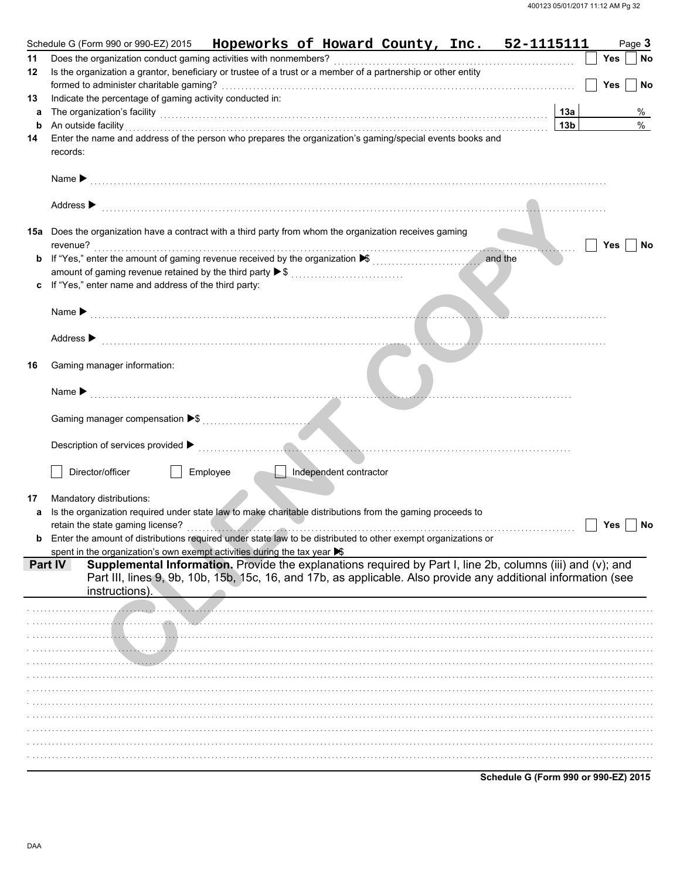|    | Hopeworks of Howard County, Inc. 52-1115111<br>Page 3<br>Schedule G (Form 990 or 990-EZ) 2015                                                                                                                                                             |  |  |  |  |  |  |  |  |
|----|-----------------------------------------------------------------------------------------------------------------------------------------------------------------------------------------------------------------------------------------------------------|--|--|--|--|--|--|--|--|
| 11 | Does the organization conduct gaming activities with nonmembers?<br>Yes<br>No                                                                                                                                                                             |  |  |  |  |  |  |  |  |
| 12 | Is the organization a grantor, beneficiary or trustee of a trust or a member of a partnership or other entity                                                                                                                                             |  |  |  |  |  |  |  |  |
|    | <b>Yes</b><br>No                                                                                                                                                                                                                                          |  |  |  |  |  |  |  |  |
| 13 | Indicate the percentage of gaming activity conducted in:                                                                                                                                                                                                  |  |  |  |  |  |  |  |  |
| а  | The organization's facility [1, 2003] The organization's facility [1, 2004] The organization's facility [1, 2004] The organization's facility [1, 2004] The organization's facility [1, 2004] The organization of the organiza<br>13a<br>%                |  |  |  |  |  |  |  |  |
| b  | $\%$<br>An outside facility encourance and account of the facility of the facility of the set of the set of the set of the set of the set of the set of the set of the set of the set of the set of the set of the set of the set of t<br>13 <sub>b</sub> |  |  |  |  |  |  |  |  |
| 14 | Enter the name and address of the person who prepares the organization's gaming/special events books and                                                                                                                                                  |  |  |  |  |  |  |  |  |
|    | records:                                                                                                                                                                                                                                                  |  |  |  |  |  |  |  |  |
|    |                                                                                                                                                                                                                                                           |  |  |  |  |  |  |  |  |
|    |                                                                                                                                                                                                                                                           |  |  |  |  |  |  |  |  |
|    | Address $\blacktriangleright$                                                                                                                                                                                                                             |  |  |  |  |  |  |  |  |
|    |                                                                                                                                                                                                                                                           |  |  |  |  |  |  |  |  |
|    | 15a Does the organization have a contract with a third party from whom the organization receives gaming                                                                                                                                                   |  |  |  |  |  |  |  |  |
|    | <b>Yes</b><br>revenue?<br>No                                                                                                                                                                                                                              |  |  |  |  |  |  |  |  |
| b  |                                                                                                                                                                                                                                                           |  |  |  |  |  |  |  |  |
|    | amount of gaming revenue retained by the third party ▶ \$                                                                                                                                                                                                 |  |  |  |  |  |  |  |  |
| c  | If "Yes," enter name and address of the third party:                                                                                                                                                                                                      |  |  |  |  |  |  |  |  |
|    |                                                                                                                                                                                                                                                           |  |  |  |  |  |  |  |  |
|    |                                                                                                                                                                                                                                                           |  |  |  |  |  |  |  |  |
|    |                                                                                                                                                                                                                                                           |  |  |  |  |  |  |  |  |
|    | Address $\blacktriangleright$                                                                                                                                                                                                                             |  |  |  |  |  |  |  |  |
|    |                                                                                                                                                                                                                                                           |  |  |  |  |  |  |  |  |
| 16 | Gaming manager information:                                                                                                                                                                                                                               |  |  |  |  |  |  |  |  |
|    |                                                                                                                                                                                                                                                           |  |  |  |  |  |  |  |  |
|    |                                                                                                                                                                                                                                                           |  |  |  |  |  |  |  |  |
|    |                                                                                                                                                                                                                                                           |  |  |  |  |  |  |  |  |
|    |                                                                                                                                                                                                                                                           |  |  |  |  |  |  |  |  |
|    |                                                                                                                                                                                                                                                           |  |  |  |  |  |  |  |  |
|    |                                                                                                                                                                                                                                                           |  |  |  |  |  |  |  |  |
|    | Director/officer<br>Employee<br>Independent contractor                                                                                                                                                                                                    |  |  |  |  |  |  |  |  |
|    |                                                                                                                                                                                                                                                           |  |  |  |  |  |  |  |  |
| 17 | Mandatory distributions:                                                                                                                                                                                                                                  |  |  |  |  |  |  |  |  |
| a  | Is the organization required under state law to make charitable distributions from the gaming proceeds to                                                                                                                                                 |  |  |  |  |  |  |  |  |
|    | retain the state gaming license?<br>Yes<br>No                                                                                                                                                                                                             |  |  |  |  |  |  |  |  |
| b  | Enter the amount of distributions required under state law to be distributed to other exempt organizations or                                                                                                                                             |  |  |  |  |  |  |  |  |
|    | spent in the organization's own exempt activities during the tax year $\blacktriangleright$                                                                                                                                                               |  |  |  |  |  |  |  |  |
|    | Supplemental Information. Provide the explanations required by Part I, line 2b, columns (iii) and (v); and<br>Part IV                                                                                                                                     |  |  |  |  |  |  |  |  |
|    | Part III, lines 9, 9b, 10b, 15b, 15c, 16, and 17b, as applicable. Also provide any additional information (see<br>instructions).                                                                                                                          |  |  |  |  |  |  |  |  |
|    |                                                                                                                                                                                                                                                           |  |  |  |  |  |  |  |  |
|    |                                                                                                                                                                                                                                                           |  |  |  |  |  |  |  |  |
|    |                                                                                                                                                                                                                                                           |  |  |  |  |  |  |  |  |
|    |                                                                                                                                                                                                                                                           |  |  |  |  |  |  |  |  |
|    |                                                                                                                                                                                                                                                           |  |  |  |  |  |  |  |  |
|    |                                                                                                                                                                                                                                                           |  |  |  |  |  |  |  |  |
|    |                                                                                                                                                                                                                                                           |  |  |  |  |  |  |  |  |
|    |                                                                                                                                                                                                                                                           |  |  |  |  |  |  |  |  |
|    |                                                                                                                                                                                                                                                           |  |  |  |  |  |  |  |  |
|    |                                                                                                                                                                                                                                                           |  |  |  |  |  |  |  |  |
|    |                                                                                                                                                                                                                                                           |  |  |  |  |  |  |  |  |
|    |                                                                                                                                                                                                                                                           |  |  |  |  |  |  |  |  |
|    |                                                                                                                                                                                                                                                           |  |  |  |  |  |  |  |  |

Schedule G (Form 990 or 990-EZ) 2015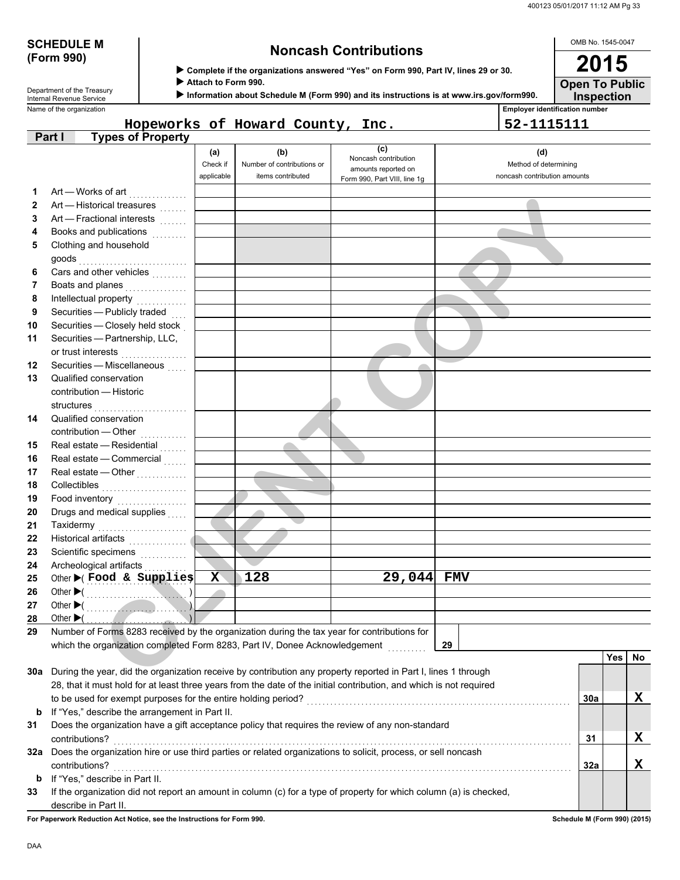OMB No. 1545-0047

**2015**

# **(Form 990)**

Department of the Treasury<br>Internal Revenue Service

## **SCHEDULE M Noncash Contributions**

 **Complete if the organizations answered "Yes" on Form 990, Part IV, lines 29 or 30.**

 **Attach to Form 990.**

 **Information about Schedule M (Form 990) and its instructions is at www.irs.gov/form990.**

**Inspection Open To Public**

| Name<br>.<br>organization<br>Emplover<br>r identification number<br>ി the u. |
|------------------------------------------------------------------------------|

**Hopeworks of Howard County, Inc. 52-1115111**

|     | <b>Types of Property</b><br>Part I                                                                                  |            |                            |                                             |                              |     |     |    |
|-----|---------------------------------------------------------------------------------------------------------------------|------------|----------------------------|---------------------------------------------|------------------------------|-----|-----|----|
|     |                                                                                                                     | (a)        | (b)                        | (c)                                         | (d)                          |     |     |    |
|     |                                                                                                                     | Check if   | Number of contributions or | Noncash contribution<br>amounts reported on | Method of determining        |     |     |    |
|     |                                                                                                                     | applicable | items contributed          | Form 990, Part VIII, line 1g                | noncash contribution amounts |     |     |    |
| 1   | Art - Works of art                                                                                                  |            |                            |                                             |                              |     |     |    |
| 2   | Art - Historical treasures                                                                                          |            |                            |                                             |                              |     |     |    |
| 3   | Art - Fractional interests                                                                                          |            |                            |                                             |                              |     |     |    |
| 4   | Books and publications                                                                                              |            |                            |                                             |                              |     |     |    |
| 5   | Clothing and household                                                                                              |            |                            |                                             |                              |     |     |    |
|     |                                                                                                                     |            |                            |                                             |                              |     |     |    |
| 6   | Cars and other vehicles                                                                                             |            |                            |                                             |                              |     |     |    |
| 7   | Boats and planes<br>                                                                                                |            |                            |                                             |                              |     |     |    |
| 8   |                                                                                                                     |            |                            |                                             |                              |     |     |    |
| 9   | Securities - Publicly traded                                                                                        |            |                            |                                             |                              |     |     |    |
| 10  | Securities - Closely held stock                                                                                     |            |                            |                                             |                              |     |     |    |
| 11  | Securities - Partnership, LLC,                                                                                      |            |                            |                                             |                              |     |     |    |
|     | or trust interests<br>.                                                                                             |            |                            |                                             |                              |     |     |    |
| 12  | Securities - Miscellaneous                                                                                          |            |                            |                                             |                              |     |     |    |
| 13  | Qualified conservation                                                                                              |            |                            |                                             |                              |     |     |    |
|     | contribution - Historic                                                                                             |            |                            |                                             |                              |     |     |    |
|     |                                                                                                                     |            |                            |                                             |                              |     |     |    |
| 14  | Qualified conservation                                                                                              |            |                            |                                             |                              |     |     |    |
|     | contribution - Other<br>.                                                                                           |            |                            |                                             |                              |     |     |    |
| 15  | Real estate - Residential                                                                                           |            |                            |                                             |                              |     |     |    |
| 16  | Real estate - Commercial                                                                                            |            |                            |                                             |                              |     |     |    |
| 17  | Real estate - Other                                                                                                 |            |                            |                                             |                              |     |     |    |
| 18  | Collectibles                                                                                                        |            |                            |                                             |                              |     |     |    |
| 19  |                                                                                                                     |            |                            |                                             |                              |     |     |    |
| 20  | Drugs and medical supplies                                                                                          |            |                            |                                             |                              |     |     |    |
| 21  | Taxidermy                                                                                                           |            |                            |                                             |                              |     |     |    |
| 22  |                                                                                                                     |            |                            |                                             |                              |     |     |    |
| 23  | Scientific specimens<br>                                                                                            |            |                            |                                             |                              |     |     |    |
| 24  | Archeological artifacts                                                                                             |            |                            |                                             |                              |     |     |    |
| 25  | Other C Food & Supplies                                                                                             | X          | 128                        | 29,044                                      | <b>FMV</b>                   |     |     |    |
| 26  |                                                                                                                     |            |                            |                                             |                              |     |     |    |
| 27  |                                                                                                                     |            |                            |                                             |                              |     |     |    |
| 28  | Other $\blacktriangleright$ (                                                                                       |            |                            |                                             |                              |     |     |    |
| 29  | Number of Forms 8283 received by the organization during the tax year for contributions for                         |            |                            |                                             |                              |     |     |    |
|     | which the organization completed Form 8283, Part IV, Donee Acknowledgement                                          |            |                            |                                             | 29                           |     |     |    |
|     |                                                                                                                     |            |                            |                                             |                              |     | Yes | No |
| 30a | During the year, did the organization receive by contribution any property reported in Part I, lines 1 through      |            |                            |                                             |                              |     |     |    |
|     | 28, that it must hold for at least three years from the date of the initial contribution, and which is not required |            |                            |                                             |                              |     |     |    |
|     | to be used for exempt purposes for the entire holding period?                                                       |            |                            |                                             |                              | 30a |     | x  |
| b   | If "Yes," describe the arrangement in Part II.                                                                      |            |                            |                                             |                              |     |     |    |
| 31  | Does the organization have a gift acceptance policy that requires the review of any non-standard                    |            |                            |                                             |                              |     |     |    |
|     | contributions?                                                                                                      |            |                            |                                             |                              | 31  |     | X  |
| 32a | Does the organization hire or use third parties or related organizations to solicit, process, or sell noncash       |            |                            |                                             |                              |     |     |    |
|     | contributions?                                                                                                      |            |                            |                                             |                              | 32a |     | x  |
| b   | If "Yes," describe in Part II.                                                                                      |            |                            |                                             |                              |     |     |    |
| 33  | If the organization did not report an amount in column (c) for a type of property for which column (a) is checked,  |            |                            |                                             |                              |     |     |    |
|     | describe in Part II.                                                                                                |            |                            |                                             |                              |     |     |    |

**For Paperwork Reduction Act Notice, see the Instructions for Form 990. Schedule M (Form 990) (2015)**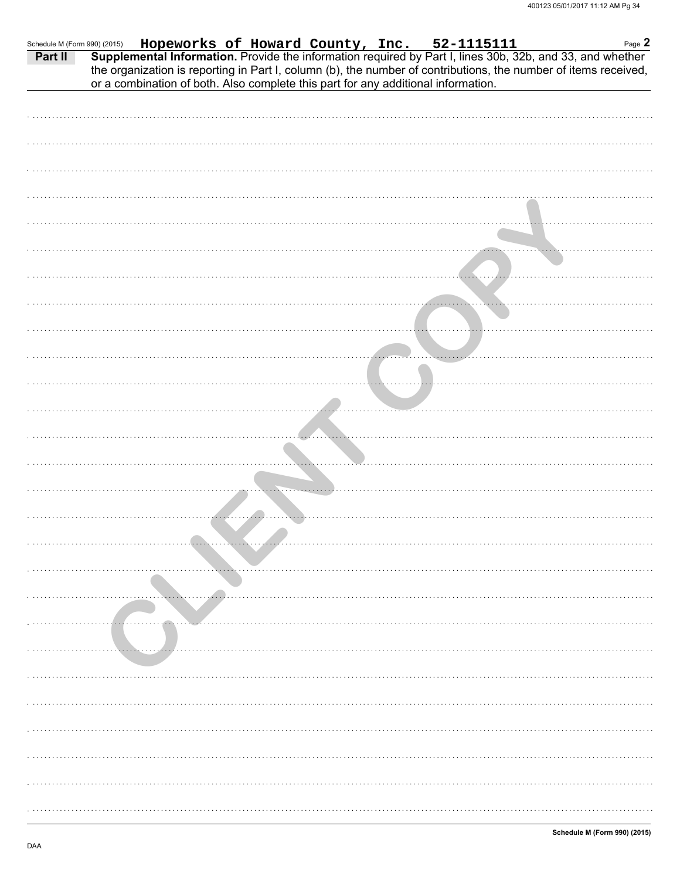| Schedule M (Form 990) (2015) |  |  |  |                                                                                   | Page 2                                                                                                                                                                                                                                                                                                               |
|------------------------------|--|--|--|-----------------------------------------------------------------------------------|----------------------------------------------------------------------------------------------------------------------------------------------------------------------------------------------------------------------------------------------------------------------------------------------------------------------|
| Part II                      |  |  |  |                                                                                   | $\frac{1000(2015)}{2000(2015)}$ Hopeworks of Howard County, Inc. 52-1115111 Figure 2<br>Supplemental Information. Provide the information required by Part I, lines 30b, 32b, and 33, and whether<br>the organization is reporting in Part I, column (b), the number of contributions, the number of items received, |
|                              |  |  |  | or a combination of both. Also complete this part for any additional information. |                                                                                                                                                                                                                                                                                                                      |
|                              |  |  |  |                                                                                   |                                                                                                                                                                                                                                                                                                                      |
|                              |  |  |  |                                                                                   |                                                                                                                                                                                                                                                                                                                      |
|                              |  |  |  |                                                                                   |                                                                                                                                                                                                                                                                                                                      |
|                              |  |  |  |                                                                                   |                                                                                                                                                                                                                                                                                                                      |
|                              |  |  |  |                                                                                   |                                                                                                                                                                                                                                                                                                                      |
|                              |  |  |  |                                                                                   |                                                                                                                                                                                                                                                                                                                      |
|                              |  |  |  |                                                                                   |                                                                                                                                                                                                                                                                                                                      |
|                              |  |  |  |                                                                                   |                                                                                                                                                                                                                                                                                                                      |
|                              |  |  |  |                                                                                   |                                                                                                                                                                                                                                                                                                                      |
|                              |  |  |  |                                                                                   |                                                                                                                                                                                                                                                                                                                      |
|                              |  |  |  |                                                                                   |                                                                                                                                                                                                                                                                                                                      |
|                              |  |  |  |                                                                                   |                                                                                                                                                                                                                                                                                                                      |
|                              |  |  |  |                                                                                   |                                                                                                                                                                                                                                                                                                                      |
|                              |  |  |  |                                                                                   |                                                                                                                                                                                                                                                                                                                      |
|                              |  |  |  |                                                                                   |                                                                                                                                                                                                                                                                                                                      |
|                              |  |  |  |                                                                                   |                                                                                                                                                                                                                                                                                                                      |
|                              |  |  |  |                                                                                   |                                                                                                                                                                                                                                                                                                                      |
|                              |  |  |  |                                                                                   |                                                                                                                                                                                                                                                                                                                      |
|                              |  |  |  |                                                                                   |                                                                                                                                                                                                                                                                                                                      |
|                              |  |  |  |                                                                                   |                                                                                                                                                                                                                                                                                                                      |
|                              |  |  |  |                                                                                   |                                                                                                                                                                                                                                                                                                                      |
|                              |  |  |  |                                                                                   |                                                                                                                                                                                                                                                                                                                      |
|                              |  |  |  |                                                                                   |                                                                                                                                                                                                                                                                                                                      |
|                              |  |  |  |                                                                                   |                                                                                                                                                                                                                                                                                                                      |
|                              |  |  |  |                                                                                   |                                                                                                                                                                                                                                                                                                                      |
|                              |  |  |  |                                                                                   |                                                                                                                                                                                                                                                                                                                      |
|                              |  |  |  |                                                                                   |                                                                                                                                                                                                                                                                                                                      |
|                              |  |  |  |                                                                                   |                                                                                                                                                                                                                                                                                                                      |
|                              |  |  |  |                                                                                   |                                                                                                                                                                                                                                                                                                                      |
|                              |  |  |  |                                                                                   |                                                                                                                                                                                                                                                                                                                      |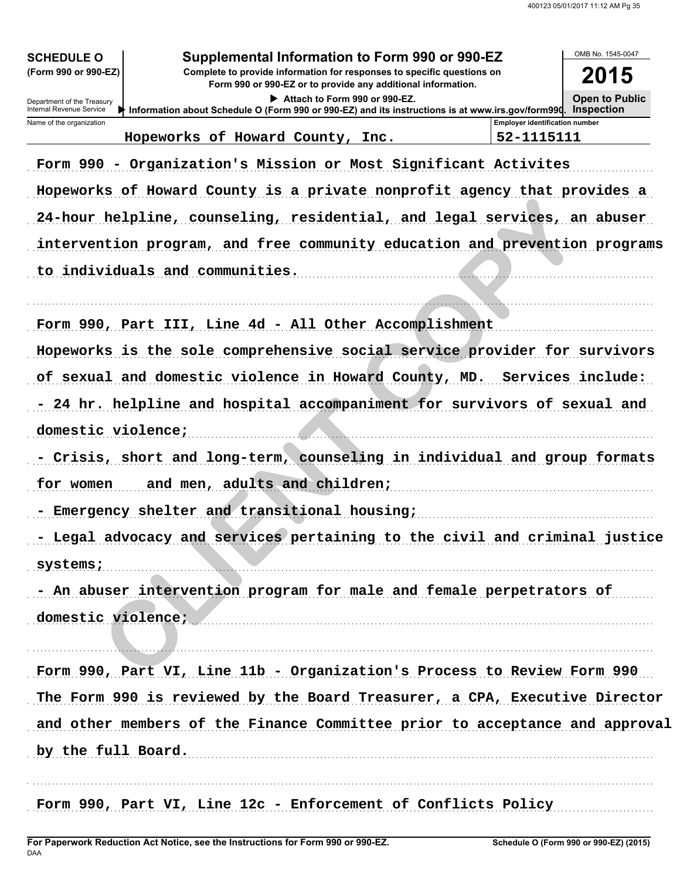| <b>SCHEDULE O</b>                                      | OMB No. 1545-0047<br>Supplemental Information to Form 990 or 990-EZ                                                                           |                                                     |                       |  |  |  |
|--------------------------------------------------------|-----------------------------------------------------------------------------------------------------------------------------------------------|-----------------------------------------------------|-----------------------|--|--|--|
| (Form 990 or 990-EZ)                                   | Complete to provide information for responses to specific questions on<br>Form 990 or 990-EZ or to provide any additional information.        |                                                     | 2015                  |  |  |  |
| Department of the Treasury<br>Internal Revenue Service | Attach to Form 990 or 990-EZ.<br>Information about Schedule O (Form 990 or 990-EZ) and its instructions is at www.irs.gov/form990. Inspection |                                                     | <b>Open to Public</b> |  |  |  |
| Name of the organization                               | Hopeworks of Howard County, Inc.                                                                                                              | <b>Employer identification number</b><br>52-1115111 |                       |  |  |  |
|                                                        | Form 990 - Organization's Mission or Most Significant Activites                                                                               |                                                     |                       |  |  |  |
|                                                        |                                                                                                                                               |                                                     |                       |  |  |  |
|                                                        | Hopeworks of Howard County is a private nonprofit agency that provides a                                                                      |                                                     |                       |  |  |  |
|                                                        | 24-hour helpline, counseling, residential, and legal services, an abuser                                                                      |                                                     |                       |  |  |  |
|                                                        | intervention program, and free community education and prevention programs                                                                    |                                                     |                       |  |  |  |
|                                                        | to individuals and communities.                                                                                                               |                                                     |                       |  |  |  |
|                                                        |                                                                                                                                               |                                                     |                       |  |  |  |
|                                                        | Form 990, Part III, Line 4d - All Other Accomplishment                                                                                        |                                                     |                       |  |  |  |
|                                                        | Hopeworks is the sole comprehensive social service provider for survivors                                                                     |                                                     |                       |  |  |  |
|                                                        | of sexual and domestic violence in Howard County, MD. Services include:                                                                       |                                                     |                       |  |  |  |
|                                                        | - 24 hr. helpline and hospital accompaniment for survivors of sexual and                                                                      |                                                     |                       |  |  |  |
| domestic violence;                                     | .                                                                                                                                             |                                                     |                       |  |  |  |
|                                                        | - Crisis, short and long-term, counseling in individual and group formats                                                                     |                                                     |                       |  |  |  |
| for women                                              | and men, adults and children;                                                                                                                 |                                                     |                       |  |  |  |
|                                                        | - Emergency shelter and transitional housing;                                                                                                 |                                                     |                       |  |  |  |
|                                                        | - Legal advocacy and services pertaining to the civil and criminal justice                                                                    |                                                     |                       |  |  |  |
| systems;                                               |                                                                                                                                               |                                                     |                       |  |  |  |
|                                                        | - An abuser intervention program for male and female perpetrators of                                                                          |                                                     |                       |  |  |  |
| domestic violence;                                     |                                                                                                                                               |                                                     |                       |  |  |  |
|                                                        |                                                                                                                                               |                                                     |                       |  |  |  |
|                                                        | Form 990, Part VI, Line 11b - Organization's Process to Review Form 990                                                                       |                                                     |                       |  |  |  |
|                                                        | The Form 990 is reviewed by the Board Treasurer, a CPA, Executive Director                                                                    |                                                     |                       |  |  |  |
|                                                        | and other members of the Finance Committee prior to acceptance and approval                                                                   |                                                     |                       |  |  |  |
| by the full Board.                                     |                                                                                                                                               |                                                     |                       |  |  |  |
|                                                        |                                                                                                                                               |                                                     |                       |  |  |  |
|                                                        | Form 990, Part VI, Line 12c - Enforcement of Conflicts Policy                                                                                 |                                                     |                       |  |  |  |
|                                                        |                                                                                                                                               |                                                     |                       |  |  |  |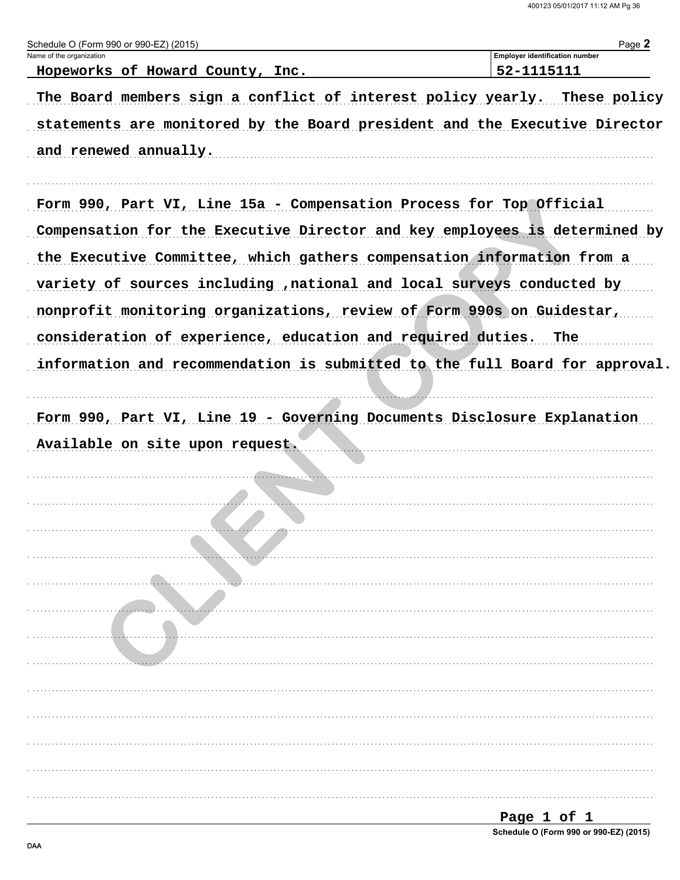| Schedule O (Form 990 or 990-EZ) (2015)<br>Name of the organization          | Page 2<br><b>Employer identification number</b> |
|-----------------------------------------------------------------------------|-------------------------------------------------|
| Hopeworks of Howard County, Inc.                                            | 52-1115111                                      |
| The Board members sign a conflict of interest policy yearly. These policy   |                                                 |
|                                                                             |                                                 |
| statements are monitored by the Board president and the Executive Director  |                                                 |
| and renewed annually.                                                       |                                                 |
| Form 990, Part VI, Line 15a - Compensation Process for Top Official         |                                                 |
| Compensation for the Executive Director and key employees is determined by  |                                                 |
| the Executive Committee, which gathers compensation information from a      |                                                 |
| variety of sources including , national and local surveys conducted by      |                                                 |
| nonprofit monitoring organizations, review of Form 990s on Guidestar,       |                                                 |
| consideration of experience, education and required duties.                 | The                                             |
| information and recommendation is submitted to the full Board for approval. |                                                 |
|                                                                             |                                                 |
|                                                                             |                                                 |
|                                                                             |                                                 |
|                                                                             |                                                 |
|                                                                             |                                                 |
|                                                                             |                                                 |
|                                                                             |                                                 |
|                                                                             |                                                 |
|                                                                             |                                                 |
|                                                                             |                                                 |
|                                                                             |                                                 |
|                                                                             |                                                 |
|                                                                             |                                                 |
|                                                                             |                                                 |
|                                                                             |                                                 |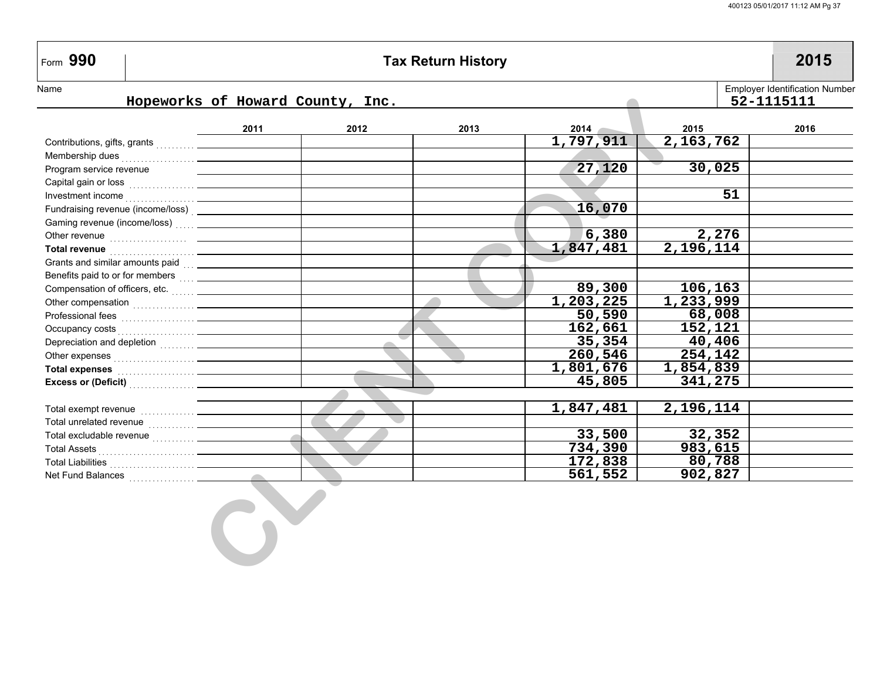|                                                                                                                                                                                                                                      |      | Hopeworks of Howard County, Inc. |      |           |           | 52-1115111 |
|--------------------------------------------------------------------------------------------------------------------------------------------------------------------------------------------------------------------------------------|------|----------------------------------|------|-----------|-----------|------------|
|                                                                                                                                                                                                                                      | 2011 | 2012                             | 2013 | 2014      | 2015      | 2016       |
|                                                                                                                                                                                                                                      |      |                                  |      | 1,797,911 | 2,163,762 |            |
| Program service revenue                                                                                                                                                                                                              |      |                                  |      | 27,120    | 30,025    |            |
|                                                                                                                                                                                                                                      |      |                                  |      |           |           |            |
|                                                                                                                                                                                                                                      |      |                                  |      |           | 51        |            |
|                                                                                                                                                                                                                                      |      |                                  |      | 16,070    |           |            |
|                                                                                                                                                                                                                                      |      |                                  |      |           |           |            |
|                                                                                                                                                                                                                                      |      |                                  |      | 6,380     | 2,276     |            |
| Total revenue<br><br><br><br><br><br><br><br><br><br><br><br><br><br><br><br><br><br><br><br><br><br><br><br>                                                                                                                        |      |                                  |      | 1,847,481 | 2,196,114 |            |
|                                                                                                                                                                                                                                      |      |                                  |      |           |           |            |
|                                                                                                                                                                                                                                      |      |                                  |      |           |           |            |
|                                                                                                                                                                                                                                      |      |                                  |      | 89,300    | 106,163   |            |
|                                                                                                                                                                                                                                      |      |                                  |      | 1,203,225 | 1,233,999 |            |
|                                                                                                                                                                                                                                      |      |                                  |      | 50,590    | 68,008    |            |
|                                                                                                                                                                                                                                      |      |                                  |      | 162,661   | 152,121   |            |
| Depreciation and depletion <i>manual</i>                                                                                                                                                                                             |      |                                  |      | 35,354    | 40,406    |            |
|                                                                                                                                                                                                                                      |      |                                  |      | 260,546   | 254,142   |            |
| Total expenses <b>Manual According to the Contract of Temperature Contract Contract Contract Contract Contract Contract Contract Contract Contract Contract Contract Contract Contract Contract Contract Contract Contract Contr</b> |      |                                  |      | 1,801,676 | 1,854,839 |            |
|                                                                                                                                                                                                                                      |      |                                  |      | 45,805    | 341,275   |            |
|                                                                                                                                                                                                                                      |      |                                  |      |           |           |            |
|                                                                                                                                                                                                                                      |      |                                  |      | 1,847,481 | 2,196,114 |            |
|                                                                                                                                                                                                                                      |      |                                  |      | 33,500    | 32,352    |            |
|                                                                                                                                                                                                                                      |      |                                  |      | 734,390   | 983,615   |            |
| Total Assets <b>Committee Assets</b>                                                                                                                                                                                                 |      |                                  |      | 172,838   | 80,788    |            |
|                                                                                                                                                                                                                                      |      |                                  |      | 561,552   | 902,827   |            |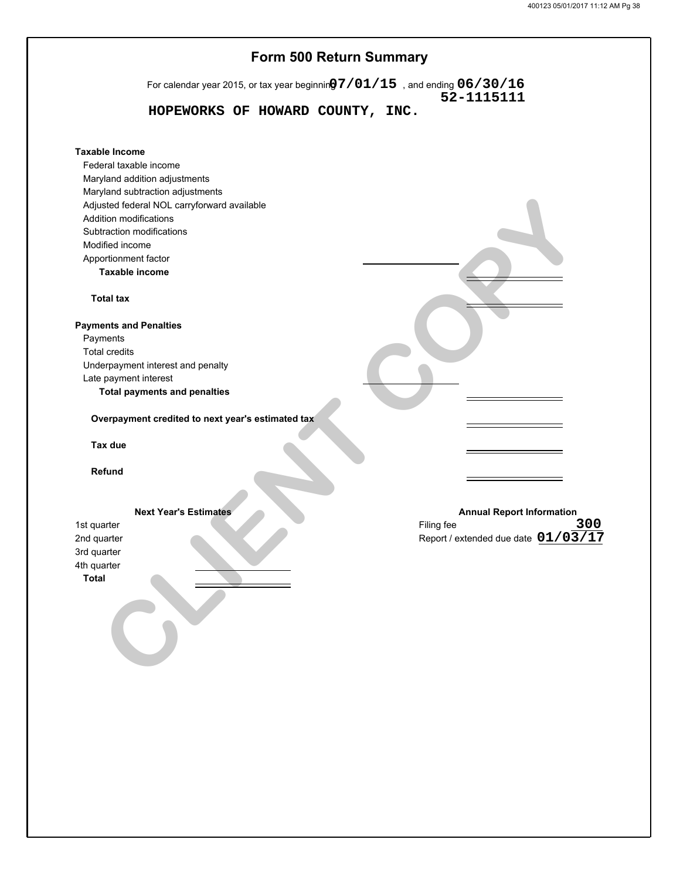## For calendar year 2015, or tax year beginnin $97/01/15\,$  , and ending  $06/30/16\,$ **Form 500 Return Summary** Maryland subtraction adjustments Maryland addition adjustments **Total tax Total payments and penalties Payments and Penalties** Apportionment factor Late payment interest Underpayment interest and penalty Total credits Payments **Taxable income** Modified income **Refund Overpayment credited to next year's estimated tax** Subtraction modifications Addition modifications **Tax due** Federal taxable income **Taxable Income Next Year's Estimates** Adjusted federal NOL carryforward available **HOPEWORKS OF HOWARD COUNTY, INC. 52-1115111 Cast federal NO. Complement available<br>
custod mondifications**<br> **CLIENT COPY CONTABUT CONTABUT CONTABUT CONTABUT CONTABUT CONTABUT CONTABUT CONTABUT CONTABUT CONTABUT CONTABUT CONTABUT CONTABUT CONTABUT CONTABUT CONTABUT C**

**Total** 4th quarter 3rd quarter 2nd quarter 1st quarter

**Annual Report Information**

Report / extended due date **01/03/17** Filing fee **300**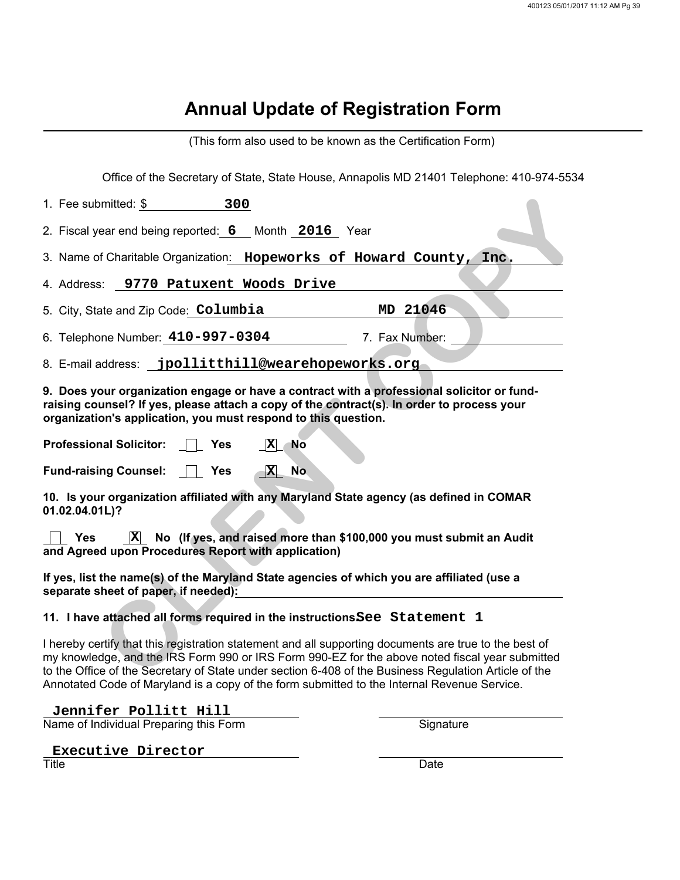# **Annual Update of Registration Form**

| (This form also used to be known as the Certification Form)                                                                                                                                                                                                                                                                                                                                                       |  |  |  |  |  |  |
|-------------------------------------------------------------------------------------------------------------------------------------------------------------------------------------------------------------------------------------------------------------------------------------------------------------------------------------------------------------------------------------------------------------------|--|--|--|--|--|--|
| Office of the Secretary of State, State House, Annapolis MD 21401 Telephone: 410-974-5534                                                                                                                                                                                                                                                                                                                         |  |  |  |  |  |  |
| 1. Fee submitted: \$<br>300                                                                                                                                                                                                                                                                                                                                                                                       |  |  |  |  |  |  |
| 2. Fiscal year end being reported: 6 Month 2016 Year                                                                                                                                                                                                                                                                                                                                                              |  |  |  |  |  |  |
| 3. Name of Charitable Organization: Hopeworks of Howard County,<br>Inc.                                                                                                                                                                                                                                                                                                                                           |  |  |  |  |  |  |
| 4. Address: 9770 Patuxent Woods Drive                                                                                                                                                                                                                                                                                                                                                                             |  |  |  |  |  |  |
| MD 21046<br>5. City, State and Zip Code: Columbia                                                                                                                                                                                                                                                                                                                                                                 |  |  |  |  |  |  |
| 6. Telephone Number: 410-997-0304<br>7. Fax Number:                                                                                                                                                                                                                                                                                                                                                               |  |  |  |  |  |  |
| 8. E-mail address: jpollitthill@wearehopeworks.org                                                                                                                                                                                                                                                                                                                                                                |  |  |  |  |  |  |
| 9. Does your organization engage or have a contract with a professional solicitor or fund-<br>raising counsel? If yes, please attach a copy of the contract(s). In order to process your<br>organization's application, you must respond to this question.                                                                                                                                                        |  |  |  |  |  |  |
| <b>Professional Solicitor:</b><br>$\vert \mathbf{x} \vert$<br><b>Yes</b><br>Nō                                                                                                                                                                                                                                                                                                                                    |  |  |  |  |  |  |
| $ {\bf X} $<br><b>Fund-raising Counsel:</b><br><b>Yes</b><br><b>No</b>                                                                                                                                                                                                                                                                                                                                            |  |  |  |  |  |  |
| 10. Is your organization affiliated with any Maryland State agency (as defined in COMAR<br>01.02.04.01L)?                                                                                                                                                                                                                                                                                                         |  |  |  |  |  |  |
| $\overline{X}$ No (If yes, and raised more than \$100,000 you must submit an Audit<br><b>Yes</b><br>and Agreed upon Procedures Report with application)                                                                                                                                                                                                                                                           |  |  |  |  |  |  |
| If yes, list the name(s) of the Maryland State agencies of which you are affiliated (use a<br>separate sheet of paper, if needed):                                                                                                                                                                                                                                                                                |  |  |  |  |  |  |
| 11. I have attached all forms required in the instructions See Statement 1                                                                                                                                                                                                                                                                                                                                        |  |  |  |  |  |  |
| I hereby certify that this registration statement and all supporting documents are true to the best of<br>my knowledge, and the IRS Form 990 or IRS Form 990-EZ for the above noted fiscal year submitted<br>to the Office of the Secretary of State under section 6-408 of the Business Regulation Article of the<br>Annotated Code of Maryland is a copy of the form submitted to the Internal Revenue Service. |  |  |  |  |  |  |
| Jennifer Pollitt Hill                                                                                                                                                                                                                                                                                                                                                                                             |  |  |  |  |  |  |

Name of Individual Preparing this Form

**Signature** 

**Executive Director**

Title

**Date**